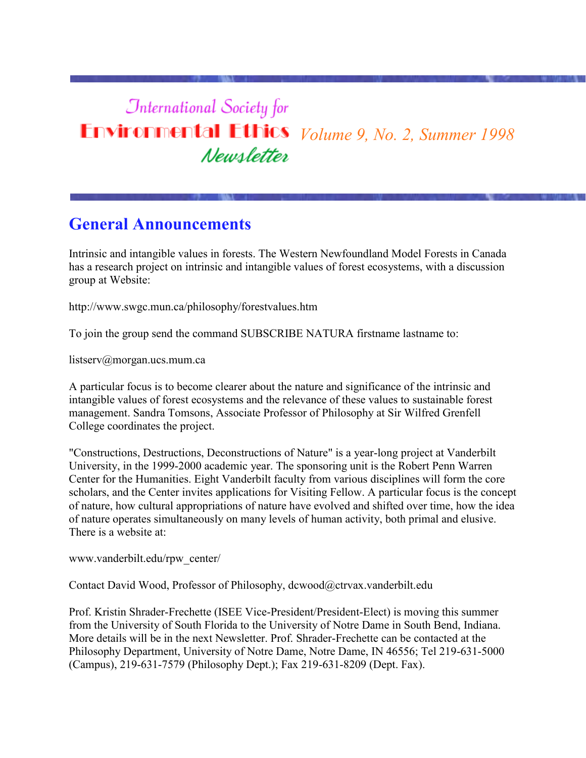# *<u>International Society</u>* for **Environmental Ethics** *Volume 9, No. 2, Summer 1998* Newsletter

## **General Announcements**

Intrinsic and intangible values in forests. The Western Newfoundland Model Forests in Canada has a research project on intrinsic and intangible values of forest ecosystems, with a discussion group at Website:

http://www.swgc.mun.ca/philosophy/forestvalues.htm

To join the group send the command SUBSCRIBE NATURA firstname lastname to:

listserv@morgan.ucs.mum.ca

A particular focus is to become clearer about the nature and significance of the intrinsic and intangible values of forest ecosystems and the relevance of these values to sustainable forest management. Sandra Tomsons, Associate Professor of Philosophy at Sir Wilfred Grenfell College coordinates the project.

"Constructions, Destructions, Deconstructions of Nature" is a year-long project at Vanderbilt University, in the 1999-2000 academic year. The sponsoring unit is the Robert Penn Warren Center for the Humanities. Eight Vanderbilt faculty from various disciplines will form the core scholars, and the Center invites applications for Visiting Fellow. A particular focus is the concept of nature, how cultural appropriations of nature have evolved and shifted over time, how the idea of nature operates simultaneously on many levels of human activity, both primal and elusive. There is a website at:

www.vanderbilt.edu/rpw\_center/

Contact David Wood, Professor of Philosophy, dcwood@ctrvax.vanderbilt.edu

Prof. Kristin Shrader-Frechette (ISEE Vice-President/President-Elect) is moving this summer from the University of South Florida to the University of Notre Dame in South Bend, Indiana. More details will be in the next Newsletter. Prof. Shrader-Frechette can be contacted at the Philosophy Department, University of Notre Dame, Notre Dame, IN 46556; Tel 219-631-5000 (Campus), 219-631-7579 (Philosophy Dept.); Fax 219-631-8209 (Dept. Fax).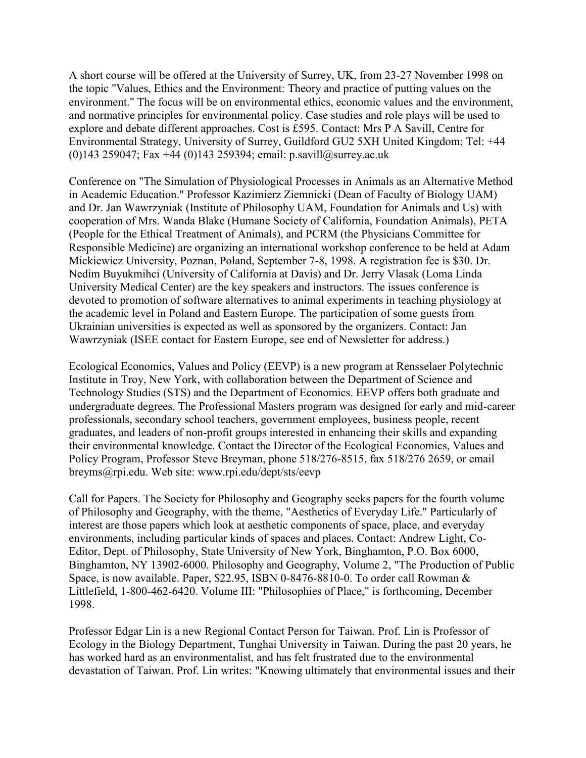A short course will be offered at the University of Surrey, UK, from 23-27 November 1998 on the topic "Values, Ethics and the Environment: Theory and practice of putting values on the environment." The focus will be on environmental ethics, economic values and the environment, and normative principles for environmental policy. Case studies and role plays will be used to explore and debate different approaches. Cost is £595. Contact: Mrs P A Savill, Centre for Environmental Strategy, University of Surrey, Guildford GU2 5XH United Kingdom; Tel: +44 (0)143 259047; Fax +44 (0)143 259394; email: p.savill@surrey.ac.uk

Conference on "The Simulation of Physiological Processes in Animals as an Alternative Method in Academic Education." Professor Kazimierz Ziemnicki (Dean of Faculty of Biology UAM) and Dr. Jan Wawrzyniak (Institute of Philosophy UAM, Foundation for Animals and Us) with cooperation of Mrs. Wanda Blake (Humane Society of California, Foundation Animals), PETA (People for the Ethical Treatment of Animals), and PCRM (the Physicians Committee for Responsible Medicine) are organizing an international workshop conference to be held at Adam Mickiewicz University, Poznan, Poland, September 7-8, 1998. A registration fee is \$30. Dr. Nedim Buyukmihci (University of California at Davis) and Dr. Jerry Vlasak (Loma Linda University Medical Center) are the key speakers and instructors. The issues conference is devoted to promotion of software alternatives to animal experiments in teaching physiology at the academic level in Poland and Eastern Europe. The participation of some guests from Ukrainian universities is expected as well as sponsored by the organizers. Contact: Jan Wawrzyniak (ISEE contact for Eastern Europe, see end of Newsletter for address.)

Ecological Economics, Values and Policy (EEVP) is a new program at Rensselaer Polytechnic Institute in Troy, New York, with collaboration between the Department of Science and Technology Studies (STS) and the Department of Economics. EEVP offers both graduate and undergraduate degrees. The Professional Masters program was designed for early and mid-career professionals, secondary school teachers, government employees, business people, recent graduates, and leaders of non-profit groups interested in enhancing their skills and expanding their environmental knowledge. Contact the Director of the Ecological Economics, Values and Policy Program, Professor Steve Breyman, phone 518/276-8515, fax 518/276 2659, or email breyms@rpi.edu. Web site: www.rpi.edu/dept/sts/eevp

Call for Papers. The Society for Philosophy and Geography seeks papers for the fourth volume of Philosophy and Geography, with the theme, "Aesthetics of Everyday Life." Particularly of interest are those papers which look at aesthetic components of space, place, and everyday environments, including particular kinds of spaces and places. Contact: Andrew Light, Co-Editor, Dept. of Philosophy, State University of New York, Binghamton, P.O. Box 6000, Binghamton, NY 13902-6000. Philosophy and Geography, Volume 2, "The Production of Public Space, is now available. Paper, \$22.95, ISBN 0-8476-8810-0. To order call Rowman & Littlefield, 1-800-462-6420. Volume III: "Philosophies of Place," is forthcoming, December 1998.

Professor Edgar Lin is a new Regional Contact Person for Taiwan. Prof. Lin is Professor of Ecology in the Biology Department, Tunghai University in Taiwan. During the past 20 years, he has worked hard as an environmentalist, and has felt frustrated due to the environmental devastation of Taiwan. Prof. Lin writes: "Knowing ultimately that environmental issues and their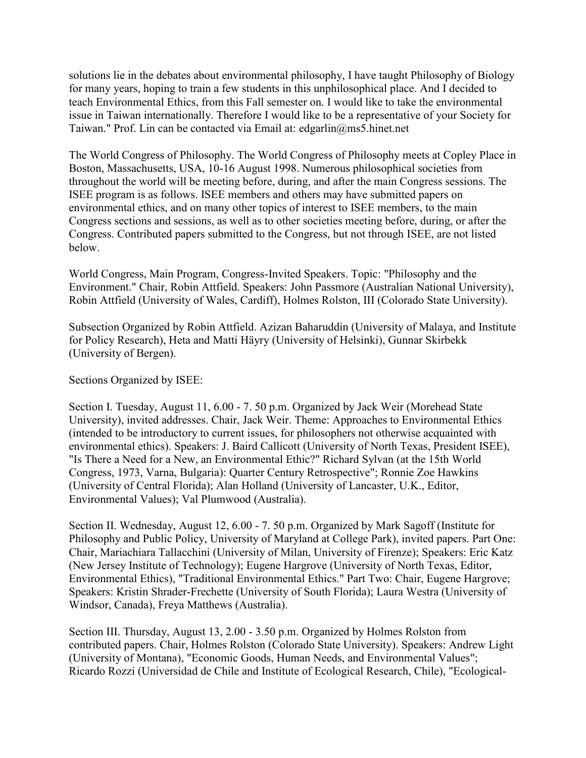solutions lie in the debates about environmental philosophy, I have taught Philosophy of Biology for many years, hoping to train a few students in this unphilosophical place. And I decided to teach Environmental Ethics, from this Fall semester on. I would like to take the environmental issue in Taiwan internationally. Therefore I would like to be a representative of your Society for Taiwan." Prof. Lin can be contacted via Email at: edgarlin@ms5.hinet.net

The World Congress of Philosophy. The World Congress of Philosophy meets at Copley Place in Boston, Massachusetts, USA, 10-16 August 1998. Numerous philosophical societies from throughout the world will be meeting before, during, and after the main Congress sessions. The ISEE program is as follows. ISEE members and others may have submitted papers on environmental ethics, and on many other topics of interest to ISEE members, to the main Congress sections and sessions, as well as to other societies meeting before, during, or after the Congress. Contributed papers submitted to the Congress, but not through ISEE, are not listed below.

World Congress, Main Program, Congress-Invited Speakers. Topic: "Philosophy and the Environment." Chair, Robin Attfield. Speakers: John Passmore (Australian National University), Robin Attfield (University of Wales, Cardiff), Holmes Rolston, III (Colorado State University).

Subsection Organized by Robin Attfield. Azizan Baharuddin (University of Malaya, and Institute for Policy Research), Heta and Matti Häyry (University of Helsinki), Gunnar Skirbekk (University of Bergen).

Sections Organized by ISEE:

Section I. Tuesday, August 11, 6.00 - 7. 50 p.m. Organized by Jack Weir (Morehead State University), invited addresses. Chair, Jack Weir. Theme: Approaches to Environmental Ethics (intended to be introductory to current issues, for philosophers not otherwise acquainted with environmental ethics). Speakers: J. Baird Callicott (University of North Texas, President ISEE), "Is There a Need for a New, an Environmental Ethic?" Richard Sylvan (at the 15th World Congress, 1973, Varna, Bulgaria): Quarter Century Retrospective"; Ronnie Zoe Hawkins (University of Central Florida); Alan Holland (University of Lancaster, U.K., Editor, Environmental Values); Val Plumwood (Australia).

Section II. Wednesday, August 12, 6.00 - 7. 50 p.m. Organized by Mark Sagoff (Institute for Philosophy and Public Policy, University of Maryland at College Park), invited papers. Part One: Chair, Mariachiara Tallacchini (University of Milan, University of Firenze); Speakers: Eric Katz (New Jersey Institute of Technology); Eugene Hargrove (University of North Texas, Editor, Environmental Ethics), "Traditional Environmental Ethics." Part Two: Chair, Eugene Hargrove; Speakers: Kristin Shrader-Frechette (University of South Florida); Laura Westra (University of Windsor, Canada), Freya Matthews (Australia).

Section III. Thursday, August 13, 2.00 - 3.50 p.m. Organized by Holmes Rolston from contributed papers. Chair, Holmes Rolston (Colorado State University). Speakers: Andrew Light (University of Montana), "Economic Goods, Human Needs, and Environmental Values"; Ricardo Rozzi (Universidad de Chile and Institute of Ecological Research, Chile), "Ecological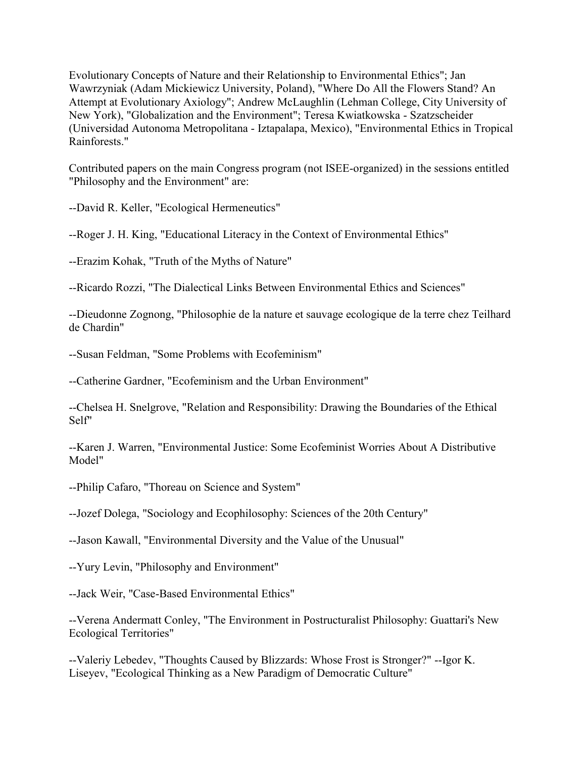Evolutionary Concepts of Nature and their Relationship to Environmental Ethics"; Jan Wawrzyniak (Adam Mickiewicz University, Poland), "Where Do All the Flowers Stand? An Attempt at Evolutionary Axiology"; Andrew McLaughlin (Lehman College, City University of New York), "Globalization and the Environment"; Teresa Kwiatkowska - Szatzscheider (Universidad Autonoma Metropolitana - Iztapalapa, Mexico), "Environmental Ethics in Tropical Rainforests."

Contributed papers on the main Congress program (not ISEE-organized) in the sessions entitled "Philosophy and the Environment" are:

--David R. Keller, "Ecological Hermeneutics"

--Roger J. H. King, "Educational Literacy in the Context of Environmental Ethics"

--Erazim Kohak, "Truth of the Myths of Nature"

--Ricardo Rozzi, "The Dialectical Links Between Environmental Ethics and Sciences"

--Dieudonne Zognong, "Philosophie de la nature et sauvage ecologique de la terre chez Teilhard de Chardin"

--Susan Feldman, "Some Problems with Ecofeminism"

--Catherine Gardner, "Ecofeminism and the Urban Environment"

--Chelsea H. Snelgrove, "Relation and Responsibility: Drawing the Boundaries of the Ethical Self"

--Karen J. Warren, "Environmental Justice: Some Ecofeminist Worries About A Distributive Model"

--Philip Cafaro, "Thoreau on Science and System"

--Jozef Dolega, "Sociology and Ecophilosophy: Sciences of the 20th Century"

--Jason Kawall, "Environmental Diversity and the Value of the Unusual"

--Yury Levin, "Philosophy and Environment"

--Jack Weir, "Case-Based Environmental Ethics"

--Verena Andermatt Conley, "The Environment in Postructuralist Philosophy: Guattari's New Ecological Territories"

--Valeriy Lebedev, "Thoughts Caused by Blizzards: Whose Frost is Stronger?" --Igor K. Liseyev, "Ecological Thinking as a New Paradigm of Democratic Culture"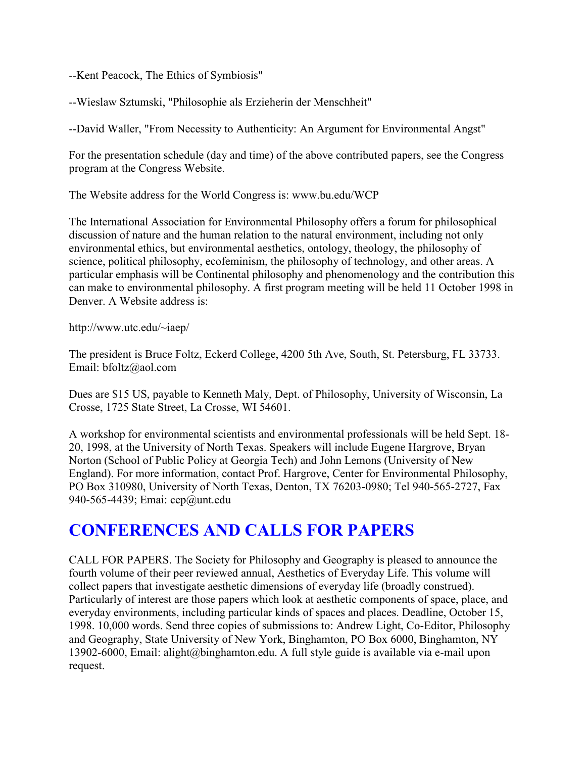--Kent Peacock, The Ethics of Symbiosis"

--Wieslaw Sztumski, "Philosophie als Erzieherin der Menschheit"

--David Waller, "From Necessity to Authenticity: An Argument for Environmental Angst"

For the presentation schedule (day and time) of the above contributed papers, see the Congress program at the Congress Website.

The Website address for the World Congress is: www.bu.edu/WCP

The International Association for Environmental Philosophy offers a forum for philosophical discussion of nature and the human relation to the natural environment, including not only environmental ethics, but environmental aesthetics, ontology, theology, the philosophy of science, political philosophy, ecofeminism, the philosophy of technology, and other areas. A particular emphasis will be Continental philosophy and phenomenology and the contribution this can make to environmental philosophy. A first program meeting will be held 11 October 1998 in Denver. A Website address is:

http://www.utc.edu/~iaep/

The president is Bruce Foltz, Eckerd College, 4200 5th Ave, South, St. Petersburg, FL 33733. Email: bfoltz@aol.com

Dues are \$15 US, payable to Kenneth Maly, Dept. of Philosophy, University of Wisconsin, La Crosse, 1725 State Street, La Crosse, WI 54601.

A workshop for environmental scientists and environmental professionals will be held Sept. 18- 20, 1998, at the University of North Texas. Speakers will include Eugene Hargrove, Bryan Norton (School of Public Policy at Georgia Tech) and John Lemons (University of New England). For more information, contact Prof. Hargrove, Center for Environmental Philosophy, PO Box 310980, University of North Texas, Denton, TX 76203-0980; Tel 940-565-2727, Fax 940-565-4439; Emai: cep@unt.edu

## **CONFERENCES AND CALLS FOR PAPERS**

CALL FOR PAPERS. The Society for Philosophy and Geography is pleased to announce the fourth volume of their peer reviewed annual, Aesthetics of Everyday Life. This volume will collect papers that investigate aesthetic dimensions of everyday life (broadly construed). Particularly of interest are those papers which look at aesthetic components of space, place, and everyday environments, including particular kinds of spaces and places. Deadline, October 15, 1998. 10,000 words. Send three copies of submissions to: Andrew Light, Co-Editor, Philosophy and Geography, State University of New York, Binghamton, PO Box 6000, Binghamton, NY 13902-6000, Email: alight@binghamton.edu. A full style guide is available via e-mail upon request.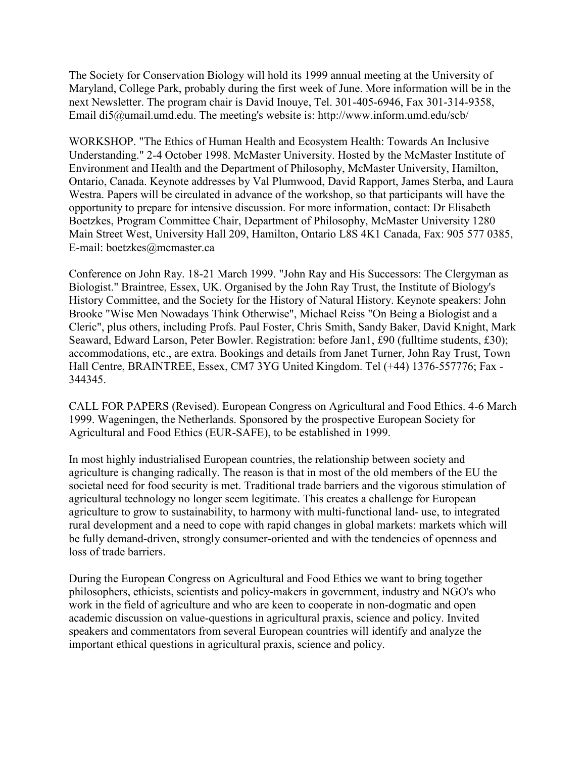The Society for Conservation Biology will hold its 1999 annual meeting at the University of Maryland, College Park, probably during the first week of June. More information will be in the next Newsletter. The program chair is David Inouye, Tel. 301-405-6946, Fax 301-314-9358, Email di5@umail.umd.edu. The meeting's website is: http://www.inform.umd.edu/scb/

WORKSHOP. "The Ethics of Human Health and Ecosystem Health: Towards An Inclusive Understanding." 2-4 October 1998. McMaster University. Hosted by the McMaster Institute of Environment and Health and the Department of Philosophy, McMaster University, Hamilton, Ontario, Canada. Keynote addresses by Val Plumwood, David Rapport, James Sterba, and Laura Westra. Papers will be circulated in advance of the workshop, so that participants will have the opportunity to prepare for intensive discussion. For more information, contact: Dr Elisabeth Boetzkes, Program Committee Chair, Department of Philosophy, McMaster University 1280 Main Street West, University Hall 209, Hamilton, Ontario L8S 4K1 Canada, Fax: 905 577 0385, E-mail: boetzkes@mcmaster.ca

Conference on John Ray. 18-21 March 1999. "John Ray and His Successors: The Clergyman as Biologist." Braintree, Essex, UK. Organised by the John Ray Trust, the Institute of Biology's History Committee, and the Society for the History of Natural History. Keynote speakers: John Brooke "Wise Men Nowadays Think Otherwise", Michael Reiss "On Being a Biologist and a Cleric", plus others, including Profs. Paul Foster, Chris Smith, Sandy Baker, David Knight, Mark Seaward, Edward Larson, Peter Bowler. Registration: before Jan1, £90 (fulltime students, £30); accommodations, etc., are extra. Bookings and details from Janet Turner, John Ray Trust, Town Hall Centre, BRAINTREE, Essex, CM7 3YG United Kingdom. Tel (+44) 1376-557776; Fax - 344345.

CALL FOR PAPERS (Revised). European Congress on Agricultural and Food Ethics. 4-6 March 1999. Wageningen, the Netherlands. Sponsored by the prospective European Society for Agricultural and Food Ethics (EUR-SAFE), to be established in 1999.

In most highly industrialised European countries, the relationship between society and agriculture is changing radically. The reason is that in most of the old members of the EU the societal need for food security is met. Traditional trade barriers and the vigorous stimulation of agricultural technology no longer seem legitimate. This creates a challenge for European agriculture to grow to sustainability, to harmony with multi-functional land- use, to integrated rural development and a need to cope with rapid changes in global markets: markets which will be fully demand-driven, strongly consumer-oriented and with the tendencies of openness and loss of trade barriers.

During the European Congress on Agricultural and Food Ethics we want to bring together philosophers, ethicists, scientists and policy-makers in government, industry and NGO's who work in the field of agriculture and who are keen to cooperate in non-dogmatic and open academic discussion on value-questions in agricultural praxis, science and policy. Invited speakers and commentators from several European countries will identify and analyze the important ethical questions in agricultural praxis, science and policy.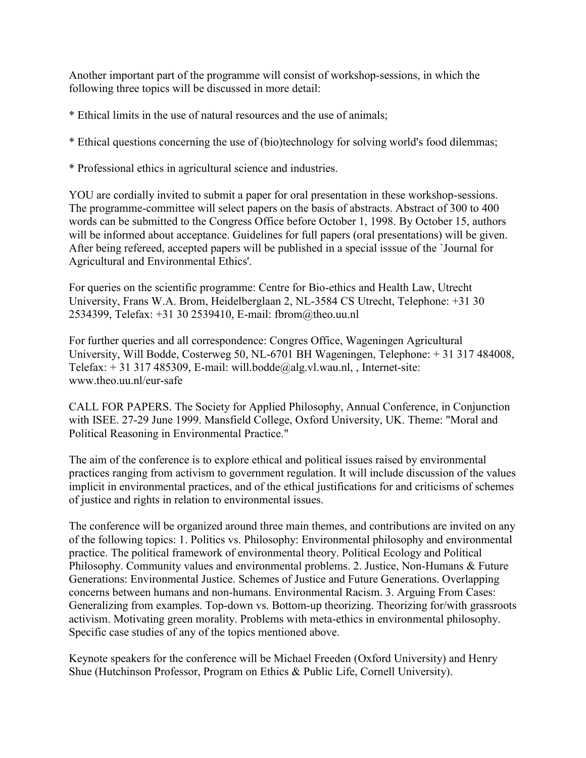Another important part of the programme will consist of workshop-sessions, in which the following three topics will be discussed in more detail:

- \* Ethical limits in the use of natural resources and the use of animals;
- \* Ethical questions concerning the use of (bio)technology for solving world's food dilemmas;
- \* Professional ethics in agricultural science and industries.

YOU are cordially invited to submit a paper for oral presentation in these workshop-sessions. The programme-committee will select papers on the basis of abstracts. Abstract of 300 to 400 words can be submitted to the Congress Office before October 1, 1998. By October 15, authors will be informed about acceptance. Guidelines for full papers (oral presentations) will be given. After being refereed, accepted papers will be published in a special isssue of the `Journal for Agricultural and Environmental Ethics'.

For queries on the scientific programme: Centre for Bio-ethics and Health Law, Utrecht University, Frans W.A. Brom, Heidelberglaan 2, NL-3584 CS Utrecht, Telephone: +31 30 2534399, Telefax: +31 30 2539410, E-mail: fbrom@theo.uu.nl

For further queries and all correspondence: Congres Office, Wageningen Agricultural University, Will Bodde, Costerweg 50, NL-6701 BH Wageningen, Telephone: + 31 317 484008, Telefax:  $+31317485309$ , E-mail: will.bodde@alg.vl.wau.nl,, Internet-site: www.theo.uu.nl/eur-safe

CALL FOR PAPERS. The Society for Applied Philosophy, Annual Conference, in Conjunction with ISEE. 27-29 June 1999. Mansfield College, Oxford University, UK. Theme: "Moral and Political Reasoning in Environmental Practice."

The aim of the conference is to explore ethical and political issues raised by environmental practices ranging from activism to government regulation. It will include discussion of the values implicit in environmental practices, and of the ethical justifications for and criticisms of schemes of justice and rights in relation to environmental issues.

The conference will be organized around three main themes, and contributions are invited on any of the following topics: 1. Politics vs. Philosophy: Environmental philosophy and environmental practice. The political framework of environmental theory. Political Ecology and Political Philosophy. Community values and environmental problems. 2. Justice, Non-Humans & Future Generations: Environmental Justice. Schemes of Justice and Future Generations. Overlapping concerns between humans and non-humans. Environmental Racism. 3. Arguing From Cases: Generalizing from examples. Top-down vs. Bottom-up theorizing. Theorizing for/with grassroots activism. Motivating green morality. Problems with meta-ethics in environmental philosophy. Specific case studies of any of the topics mentioned above.

Keynote speakers for the conference will be Michael Freeden (Oxford University) and Henry Shue (Hutchinson Professor, Program on Ethics & Public Life, Cornell University).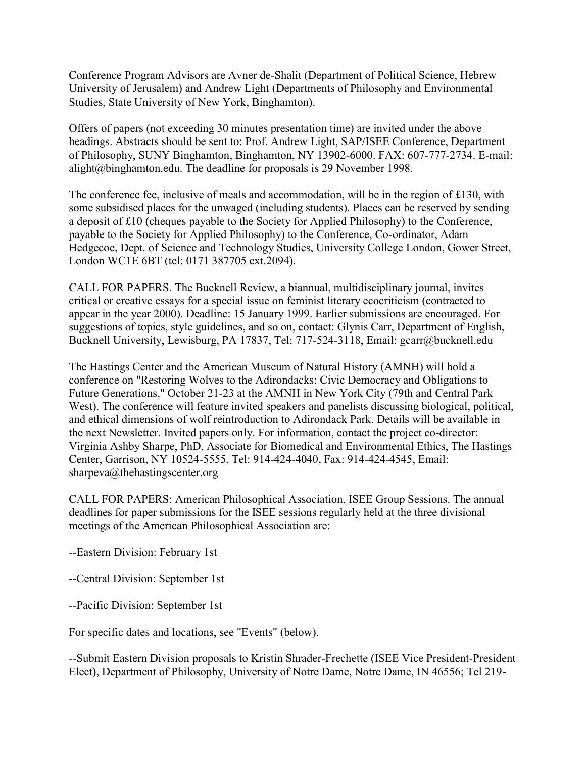Conference Program Advisors are Avner de-Shalit (Department of Political Science, Hebrew University of Jerusalem) and Andrew Light (Departments of Philosophy and Environmental Studies, State University of New York, Binghamton).

Offers of papers (not exceeding 30 minutes presentation time) are invited under the above headings. Abstracts should be sent to: Prof. Andrew Light, SAP/ISEE Conference, Department of Philosophy, SUNY Binghamton, Binghamton, NY 13902-6000. FAX: 607-777-2734. E-mail: alight@binghamton.edu. The deadline for proposals is 29 November 1998.

The conference fee, inclusive of meals and accommodation, will be in the region of £130, with some subsidised places for the unwaged (including students). Places can be reserved by sending a deposit of £10 (cheques payable to the Society for Applied Philosophy) to the Conference, payable to the Society for Applied Philosophy) to the Conference, Co-ordinator, Adam Hedgecoe, Dept. of Science and Technology Studies, University College London, Gower Street, London WC1E 6BT (tel: 0171 387705 ext.2094).

CALL FOR PAPERS. The Bucknell Review, a biannual, multidisciplinary journal, invites critical or creative essays for a special issue on feminist literary ecocriticism (contracted to appear in the year 2000). Deadline: 15 January 1999. Earlier submissions are encouraged. For suggestions of topics, style guidelines, and so on, contact: Glynis Carr, Department of English, Bucknell University, Lewisburg, PA 17837, Tel: 717-524-3118, Email: gcarr@bucknell.edu

The Hastings Center and the American Museum of Natural History (AMNH) will hold a conference on "Restoring Wolves to the Adirondacks: Civic Democracy and Obligations to Future Generations," October 21-23 at the AMNH in New York City (79th and Central Park West). The conference will feature invited speakers and panelists discussing biological, political, and ethical dimensions of wolf reintroduction to Adirondack Park. Details will be available in the next Newsletter. Invited papers only. For information, contact the project co-director: Virginia Ashby Sharpe, PhD, Associate for Biomedical and Environmental Ethics, The Hastings Center, Garrison, NY 10524-5555, Tel: 914-424-4040, Fax: 914-424-4545, Email: sharpeva@thehastingscenter.org

CALL FOR PAPERS: American Philosophical Association, ISEE Group Sessions. The annual deadlines for paper submissions for the ISEE sessions regularly held at the three divisional meetings of the American Philosophical Association are:

--Eastern Division: February 1st

--Central Division: September 1st

--Pacific Division: September 1st

For specific dates and locations, see "Events" (below).

--Submit Eastern Division proposals to Kristin Shrader-Frechette (ISEE Vice President-President Elect), Department of Philosophy, University of Notre Dame, Notre Dame, IN 46556; Tel 219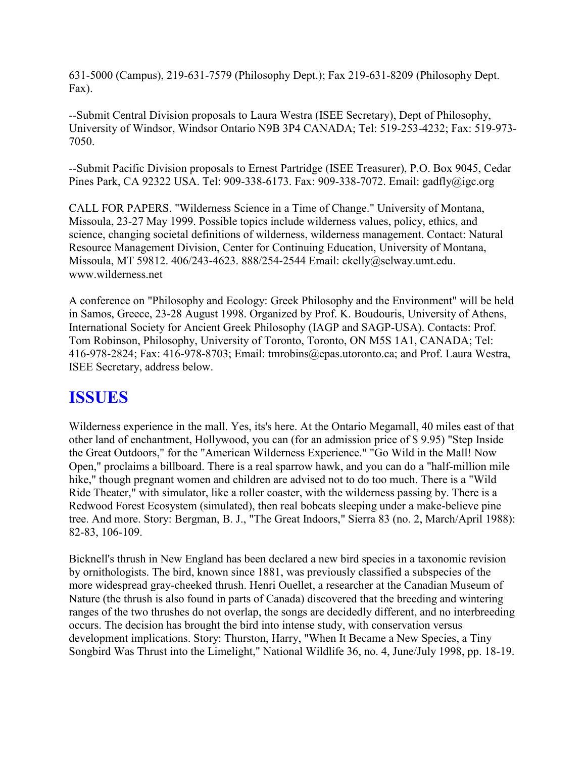631-5000 (Campus), 219-631-7579 (Philosophy Dept.); Fax 219-631-8209 (Philosophy Dept. Fax).

--Submit Central Division proposals to Laura Westra (ISEE Secretary), Dept of Philosophy, University of Windsor, Windsor Ontario N9B 3P4 CANADA; Tel: 519-253-4232; Fax: 519-973- 7050.

--Submit Pacific Division proposals to Ernest Partridge (ISEE Treasurer), P.O. Box 9045, Cedar Pines Park, CA 92322 USA. Tel: 909-338-6173. Fax: 909-338-7072. Email: gadfly@igc.org

CALL FOR PAPERS. "Wilderness Science in a Time of Change." University of Montana, Missoula, 23-27 May 1999. Possible topics include wilderness values, policy, ethics, and science, changing societal definitions of wilderness, wilderness management. Contact: Natural Resource Management Division, Center for Continuing Education, University of Montana, Missoula, MT 59812. 406/243-4623. 888/254-2544 Email: ckelly@selway.umt.edu. www.wilderness.net

A conference on "Philosophy and Ecology: Greek Philosophy and the Environment" will be held in Samos, Greece, 23-28 August 1998. Organized by Prof. K. Boudouris, University of Athens, International Society for Ancient Greek Philosophy (IAGP and SAGP-USA). Contacts: Prof. Tom Robinson, Philosophy, University of Toronto, Toronto, ON M5S 1A1, CANADA; Tel: 416-978-2824; Fax: 416-978-8703; Email: tmrobins@epas.utoronto.ca; and Prof. Laura Westra, ISEE Secretary, address below.

## **ISSUES**

Wilderness experience in the mall. Yes, its's here. At the Ontario Megamall, 40 miles east of that other land of enchantment, Hollywood, you can (for an admission price of \$ 9.95) "Step Inside the Great Outdoors," for the "American Wilderness Experience." "Go Wild in the Mall! Now Open," proclaims a billboard. There is a real sparrow hawk, and you can do a "half-million mile hike," though pregnant women and children are advised not to do too much. There is a "Wild Ride Theater," with simulator, like a roller coaster, with the wilderness passing by. There is a Redwood Forest Ecosystem (simulated), then real bobcats sleeping under a make-believe pine tree. And more. Story: Bergman, B. J., "The Great Indoors," Sierra 83 (no. 2, March/April 1988): 82-83, 106-109.

Bicknell's thrush in New England has been declared a new bird species in a taxonomic revision by ornithologists. The bird, known since 1881, was previously classified a subspecies of the more widespread gray-cheeked thrush. Henri Ouellet, a researcher at the Canadian Museum of Nature (the thrush is also found in parts of Canada) discovered that the breeding and wintering ranges of the two thrushes do not overlap, the songs are decidedly different, and no interbreeding occurs. The decision has brought the bird into intense study, with conservation versus development implications. Story: Thurston, Harry, "When It Became a New Species, a Tiny Songbird Was Thrust into the Limelight," National Wildlife 36, no. 4, June/July 1998, pp. 18-19.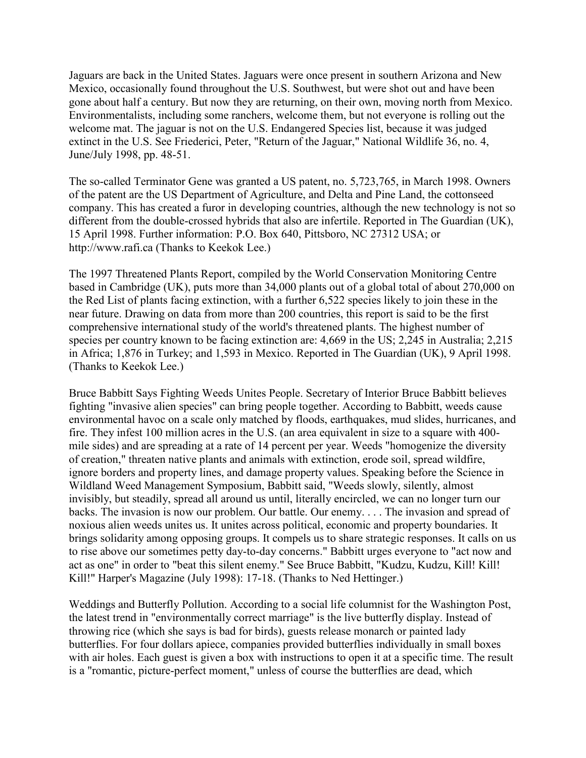Jaguars are back in the United States. Jaguars were once present in southern Arizona and New Mexico, occasionally found throughout the U.S. Southwest, but were shot out and have been gone about half a century. But now they are returning, on their own, moving north from Mexico. Environmentalists, including some ranchers, welcome them, but not everyone is rolling out the welcome mat. The jaguar is not on the U.S. Endangered Species list, because it was judged extinct in the U.S. See Friederici, Peter, "Return of the Jaguar," National Wildlife 36, no. 4, June/July 1998, pp. 48-51.

The so-called Terminator Gene was granted a US patent, no. 5,723,765, in March 1998. Owners of the patent are the US Department of Agriculture, and Delta and Pine Land, the cottonseed company. This has created a furor in developing countries, although the new technology is not so different from the double-crossed hybrids that also are infertile. Reported in The Guardian (UK), 15 April 1998. Further information: P.O. Box 640, Pittsboro, NC 27312 USA; or http://www.rafi.ca (Thanks to Keekok Lee.)

The 1997 Threatened Plants Report, compiled by the World Conservation Monitoring Centre based in Cambridge (UK), puts more than 34,000 plants out of a global total of about 270,000 on the Red List of plants facing extinction, with a further 6,522 species likely to join these in the near future. Drawing on data from more than 200 countries, this report is said to be the first comprehensive international study of the world's threatened plants. The highest number of species per country known to be facing extinction are: 4,669 in the US; 2,245 in Australia; 2,215 in Africa; 1,876 in Turkey; and 1,593 in Mexico. Reported in The Guardian (UK), 9 April 1998. (Thanks to Keekok Lee.)

Bruce Babbitt Says Fighting Weeds Unites People. Secretary of Interior Bruce Babbitt believes fighting "invasive alien species" can bring people together. According to Babbitt, weeds cause environmental havoc on a scale only matched by floods, earthquakes, mud slides, hurricanes, and fire. They infest 100 million acres in the U.S. (an area equivalent in size to a square with 400 mile sides) and are spreading at a rate of 14 percent per year. Weeds "homogenize the diversity of creation," threaten native plants and animals with extinction, erode soil, spread wildfire, ignore borders and property lines, and damage property values. Speaking before the Science in Wildland Weed Management Symposium, Babbitt said, "Weeds slowly, silently, almost invisibly, but steadily, spread all around us until, literally encircled, we can no longer turn our backs. The invasion is now our problem. Our battle. Our enemy. . . . The invasion and spread of noxious alien weeds unites us. It unites across political, economic and property boundaries. It brings solidarity among opposing groups. It compels us to share strategic responses. It calls on us to rise above our sometimes petty day-to-day concerns." Babbitt urges everyone to "act now and act as one" in order to "beat this silent enemy." See Bruce Babbitt, "Kudzu, Kudzu, Kill! Kill! Kill!" Harper's Magazine (July 1998): 17-18. (Thanks to Ned Hettinger.)

Weddings and Butterfly Pollution. According to a social life columnist for the Washington Post, the latest trend in "environmentally correct marriage" is the live butterfly display. Instead of throwing rice (which she says is bad for birds), guests release monarch or painted lady butterflies. For four dollars apiece, companies provided butterflies individually in small boxes with air holes. Each guest is given a box with instructions to open it at a specific time. The result is a "romantic, picture-perfect moment," unless of course the butterflies are dead, which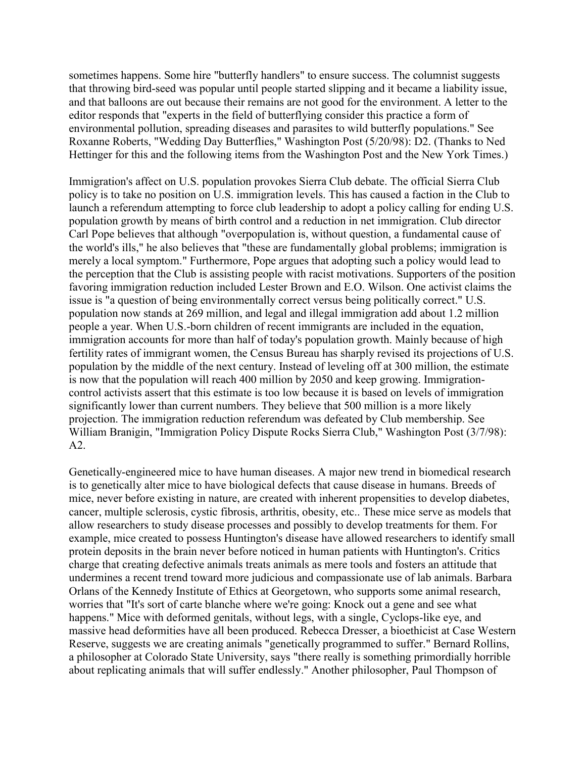sometimes happens. Some hire "butterfly handlers" to ensure success. The columnist suggests that throwing bird-seed was popular until people started slipping and it became a liability issue, and that balloons are out because their remains are not good for the environment. A letter to the editor responds that "experts in the field of butterflying consider this practice a form of environmental pollution, spreading diseases and parasites to wild butterfly populations." See Roxanne Roberts, "Wedding Day Butterflies," Washington Post (5/20/98): D2. (Thanks to Ned Hettinger for this and the following items from the Washington Post and the New York Times.)

Immigration's affect on U.S. population provokes Sierra Club debate. The official Sierra Club policy is to take no position on U.S. immigration levels. This has caused a faction in the Club to launch a referendum attempting to force club leadership to adopt a policy calling for ending U.S. population growth by means of birth control and a reduction in net immigration. Club director Carl Pope believes that although "overpopulation is, without question, a fundamental cause of the world's ills," he also believes that "these are fundamentally global problems; immigration is merely a local symptom." Furthermore, Pope argues that adopting such a policy would lead to the perception that the Club is assisting people with racist motivations. Supporters of the position favoring immigration reduction included Lester Brown and E.O. Wilson. One activist claims the issue is "a question of being environmentally correct versus being politically correct." U.S. population now stands at 269 million, and legal and illegal immigration add about 1.2 million people a year. When U.S.-born children of recent immigrants are included in the equation, immigration accounts for more than half of today's population growth. Mainly because of high fertility rates of immigrant women, the Census Bureau has sharply revised its projections of U.S. population by the middle of the next century. Instead of leveling off at 300 million, the estimate is now that the population will reach 400 million by 2050 and keep growing. Immigrationcontrol activists assert that this estimate is too low because it is based on levels of immigration significantly lower than current numbers. They believe that 500 million is a more likely projection. The immigration reduction referendum was defeated by Club membership. See William Branigin, "Immigration Policy Dispute Rocks Sierra Club," Washington Post (3/7/98): A2.

Genetically-engineered mice to have human diseases. A major new trend in biomedical research is to genetically alter mice to have biological defects that cause disease in humans. Breeds of mice, never before existing in nature, are created with inherent propensities to develop diabetes, cancer, multiple sclerosis, cystic fibrosis, arthritis, obesity, etc.. These mice serve as models that allow researchers to study disease processes and possibly to develop treatments for them. For example, mice created to possess Huntington's disease have allowed researchers to identify small protein deposits in the brain never before noticed in human patients with Huntington's. Critics charge that creating defective animals treats animals as mere tools and fosters an attitude that undermines a recent trend toward more judicious and compassionate use of lab animals. Barbara Orlans of the Kennedy Institute of Ethics at Georgetown, who supports some animal research, worries that "It's sort of carte blanche where we're going: Knock out a gene and see what happens." Mice with deformed genitals, without legs, with a single, Cyclops-like eye, and massive head deformities have all been produced. Rebecca Dresser, a bioethicist at Case Western Reserve, suggests we are creating animals "genetically programmed to suffer." Bernard Rollins, a philosopher at Colorado State University, says "there really is something primordially horrible about replicating animals that will suffer endlessly." Another philosopher, Paul Thompson of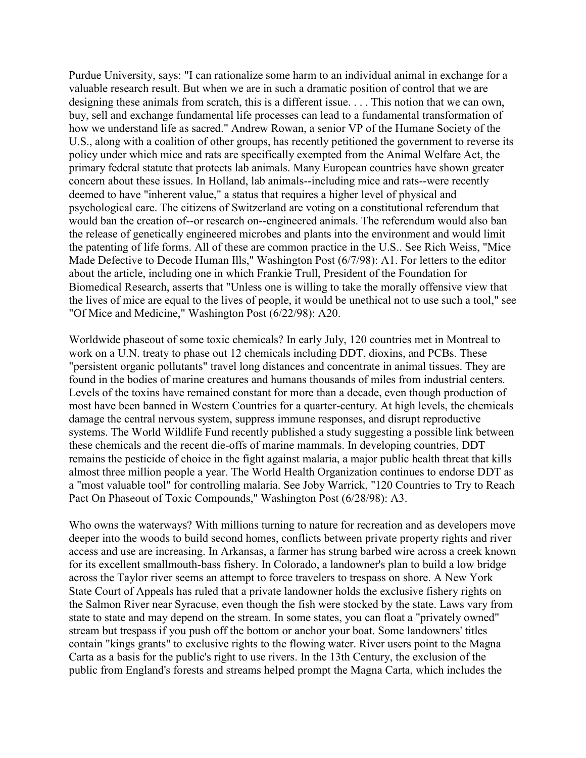Purdue University, says: "I can rationalize some harm to an individual animal in exchange for a valuable research result. But when we are in such a dramatic position of control that we are designing these animals from scratch, this is a different issue. . . . This notion that we can own, buy, sell and exchange fundamental life processes can lead to a fundamental transformation of how we understand life as sacred." Andrew Rowan, a senior VP of the Humane Society of the U.S., along with a coalition of other groups, has recently petitioned the government to reverse its policy under which mice and rats are specifically exempted from the Animal Welfare Act, the primary federal statute that protects lab animals. Many European countries have shown greater concern about these issues. In Holland, lab animals--including mice and rats--were recently deemed to have "inherent value," a status that requires a higher level of physical and psychological care. The citizens of Switzerland are voting on a constitutional referendum that would ban the creation of--or research on--engineered animals. The referendum would also ban the release of genetically engineered microbes and plants into the environment and would limit the patenting of life forms. All of these are common practice in the U.S.. See Rich Weiss, "Mice Made Defective to Decode Human Ills," Washington Post (6/7/98): A1. For letters to the editor about the article, including one in which Frankie Trull, President of the Foundation for Biomedical Research, asserts that "Unless one is willing to take the morally offensive view that the lives of mice are equal to the lives of people, it would be unethical not to use such a tool," see "Of Mice and Medicine," Washington Post (6/22/98): A20.

Worldwide phaseout of some toxic chemicals? In early July, 120 countries met in Montreal to work on a U.N. treaty to phase out 12 chemicals including DDT, dioxins, and PCBs. These "persistent organic pollutants" travel long distances and concentrate in animal tissues. They are found in the bodies of marine creatures and humans thousands of miles from industrial centers. Levels of the toxins have remained constant for more than a decade, even though production of most have been banned in Western Countries for a quarter-century. At high levels, the chemicals damage the central nervous system, suppress immune responses, and disrupt reproductive systems. The World Wildlife Fund recently published a study suggesting a possible link between these chemicals and the recent die-offs of marine mammals. In developing countries, DDT remains the pesticide of choice in the fight against malaria, a major public health threat that kills almost three million people a year. The World Health Organization continues to endorse DDT as a "most valuable tool" for controlling malaria. See Joby Warrick, "120 Countries to Try to Reach Pact On Phaseout of Toxic Compounds," Washington Post (6/28/98): A3.

Who owns the waterways? With millions turning to nature for recreation and as developers move deeper into the woods to build second homes, conflicts between private property rights and river access and use are increasing. In Arkansas, a farmer has strung barbed wire across a creek known for its excellent smallmouth-bass fishery. In Colorado, a landowner's plan to build a low bridge across the Taylor river seems an attempt to force travelers to trespass on shore. A New York State Court of Appeals has ruled that a private landowner holds the exclusive fishery rights on the Salmon River near Syracuse, even though the fish were stocked by the state. Laws vary from state to state and may depend on the stream. In some states, you can float a "privately owned" stream but trespass if you push off the bottom or anchor your boat. Some landowners' titles contain "kings grants" to exclusive rights to the flowing water. River users point to the Magna Carta as a basis for the public's right to use rivers. In the 13th Century, the exclusion of the public from England's forests and streams helped prompt the Magna Carta, which includes the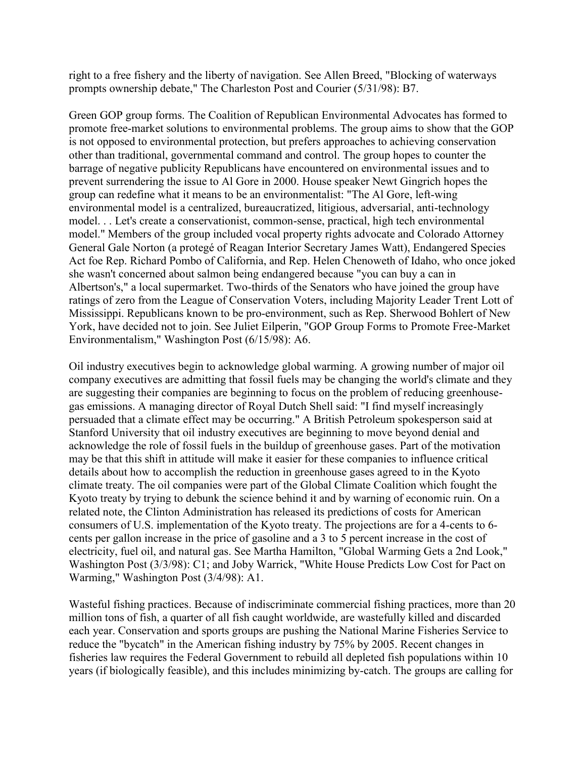right to a free fishery and the liberty of navigation. See Allen Breed, "Blocking of waterways prompts ownership debate," The Charleston Post and Courier (5/31/98): B7.

Green GOP group forms. The Coalition of Republican Environmental Advocates has formed to promote free-market solutions to environmental problems. The group aims to show that the GOP is not opposed to environmental protection, but prefers approaches to achieving conservation other than traditional, governmental command and control. The group hopes to counter the barrage of negative publicity Republicans have encountered on environmental issues and to prevent surrendering the issue to Al Gore in 2000. House speaker Newt Gingrich hopes the group can redefine what it means to be an environmentalist: "The Al Gore, left-wing environmental model is a centralized, bureaucratized, litigious, adversarial, anti-technology model. . . Let's create a conservationist, common-sense, practical, high tech environmental model." Members of the group included vocal property rights advocate and Colorado Attorney General Gale Norton (a protegé of Reagan Interior Secretary James Watt), Endangered Species Act foe Rep. Richard Pombo of California, and Rep. Helen Chenoweth of Idaho, who once joked she wasn't concerned about salmon being endangered because "you can buy a can in Albertson's," a local supermarket. Two-thirds of the Senators who have joined the group have ratings of zero from the League of Conservation Voters, including Majority Leader Trent Lott of Mississippi. Republicans known to be pro-environment, such as Rep. Sherwood Bohlert of New York, have decided not to join. See Juliet Eilperin, "GOP Group Forms to Promote Free-Market Environmentalism," Washington Post (6/15/98): A6.

Oil industry executives begin to acknowledge global warming. A growing number of major oil company executives are admitting that fossil fuels may be changing the world's climate and they are suggesting their companies are beginning to focus on the problem of reducing greenhousegas emissions. A managing director of Royal Dutch Shell said: "I find myself increasingly persuaded that a climate effect may be occurring." A British Petroleum spokesperson said at Stanford University that oil industry executives are beginning to move beyond denial and acknowledge the role of fossil fuels in the buildup of greenhouse gases. Part of the motivation may be that this shift in attitude will make it easier for these companies to influence critical details about how to accomplish the reduction in greenhouse gases agreed to in the Kyoto climate treaty. The oil companies were part of the Global Climate Coalition which fought the Kyoto treaty by trying to debunk the science behind it and by warning of economic ruin. On a related note, the Clinton Administration has released its predictions of costs for American consumers of U.S. implementation of the Kyoto treaty. The projections are for a 4-cents to 6 cents per gallon increase in the price of gasoline and a 3 to 5 percent increase in the cost of electricity, fuel oil, and natural gas. See Martha Hamilton, "Global Warming Gets a 2nd Look," Washington Post (3/3/98): C1; and Joby Warrick, "White House Predicts Low Cost for Pact on Warming," Washington Post (3/4/98): A1.

Wasteful fishing practices. Because of indiscriminate commercial fishing practices, more than 20 million tons of fish, a quarter of all fish caught worldwide, are wastefully killed and discarded each year. Conservation and sports groups are pushing the National Marine Fisheries Service to reduce the "bycatch" in the American fishing industry by 75% by 2005. Recent changes in fisheries law requires the Federal Government to rebuild all depleted fish populations within 10 years (if biologically feasible), and this includes minimizing by-catch. The groups are calling for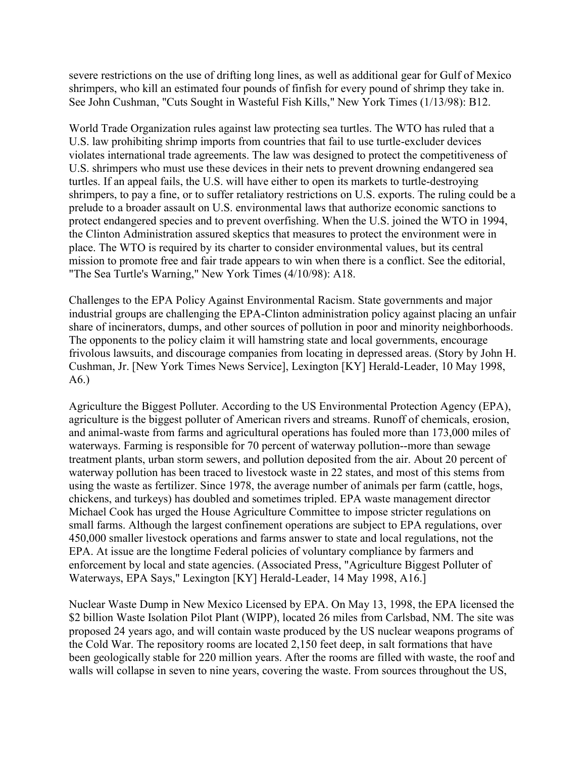severe restrictions on the use of drifting long lines, as well as additional gear for Gulf of Mexico shrimpers, who kill an estimated four pounds of finfish for every pound of shrimp they take in. See John Cushman, "Cuts Sought in Wasteful Fish Kills," New York Times (1/13/98): B12.

World Trade Organization rules against law protecting sea turtles. The WTO has ruled that a U.S. law prohibiting shrimp imports from countries that fail to use turtle-excluder devices violates international trade agreements. The law was designed to protect the competitiveness of U.S. shrimpers who must use these devices in their nets to prevent drowning endangered sea turtles. If an appeal fails, the U.S. will have either to open its markets to turtle-destroying shrimpers, to pay a fine, or to suffer retaliatory restrictions on U.S. exports. The ruling could be a prelude to a broader assault on U.S. environmental laws that authorize economic sanctions to protect endangered species and to prevent overfishing. When the U.S. joined the WTO in 1994, the Clinton Administration assured skeptics that measures to protect the environment were in place. The WTO is required by its charter to consider environmental values, but its central mission to promote free and fair trade appears to win when there is a conflict. See the editorial, "The Sea Turtle's Warning," New York Times (4/10/98): A18.

Challenges to the EPA Policy Against Environmental Racism. State governments and major industrial groups are challenging the EPA-Clinton administration policy against placing an unfair share of incinerators, dumps, and other sources of pollution in poor and minority neighborhoods. The opponents to the policy claim it will hamstring state and local governments, encourage frivolous lawsuits, and discourage companies from locating in depressed areas. (Story by John H. Cushman, Jr. [New York Times News Service], Lexington [KY] Herald-Leader, 10 May 1998, A6.)

Agriculture the Biggest Polluter. According to the US Environmental Protection Agency (EPA), agriculture is the biggest polluter of American rivers and streams. Runoff of chemicals, erosion, and animal-waste from farms and agricultural operations has fouled more than 173,000 miles of waterways. Farming is responsible for 70 percent of waterway pollution--more than sewage treatment plants, urban storm sewers, and pollution deposited from the air. About 20 percent of waterway pollution has been traced to livestock waste in 22 states, and most of this stems from using the waste as fertilizer. Since 1978, the average number of animals per farm (cattle, hogs, chickens, and turkeys) has doubled and sometimes tripled. EPA waste management director Michael Cook has urged the House Agriculture Committee to impose stricter regulations on small farms. Although the largest confinement operations are subject to EPA regulations, over 450,000 smaller livestock operations and farms answer to state and local regulations, not the EPA. At issue are the longtime Federal policies of voluntary compliance by farmers and enforcement by local and state agencies. (Associated Press, "Agriculture Biggest Polluter of Waterways, EPA Says," Lexington [KY] Herald-Leader, 14 May 1998, A16.]

Nuclear Waste Dump in New Mexico Licensed by EPA. On May 13, 1998, the EPA licensed the \$2 billion Waste Isolation Pilot Plant (WIPP), located 26 miles from Carlsbad, NM. The site was proposed 24 years ago, and will contain waste produced by the US nuclear weapons programs of the Cold War. The repository rooms are located 2,150 feet deep, in salt formations that have been geologically stable for 220 million years. After the rooms are filled with waste, the roof and walls will collapse in seven to nine years, covering the waste. From sources throughout the US,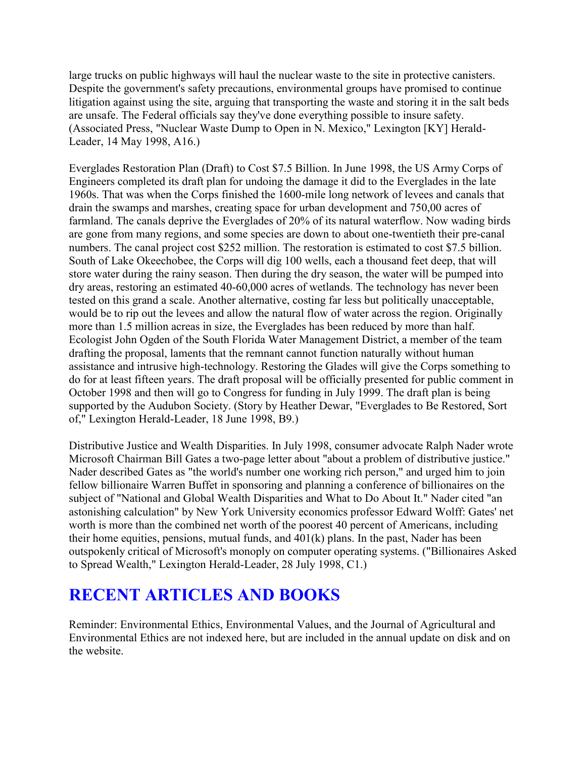large trucks on public highways will haul the nuclear waste to the site in protective canisters. Despite the government's safety precautions, environmental groups have promised to continue litigation against using the site, arguing that transporting the waste and storing it in the salt beds are unsafe. The Federal officials say they've done everything possible to insure safety. (Associated Press, "Nuclear Waste Dump to Open in N. Mexico," Lexington [KY] Herald-Leader, 14 May 1998, A16.)

Everglades Restoration Plan (Draft) to Cost \$7.5 Billion. In June 1998, the US Army Corps of Engineers completed its draft plan for undoing the damage it did to the Everglades in the late 1960s. That was when the Corps finished the 1600-mile long network of levees and canals that drain the swamps and marshes, creating space for urban development and 750,00 acres of farmland. The canals deprive the Everglades of 20% of its natural waterflow. Now wading birds are gone from many regions, and some species are down to about one-twentieth their pre-canal numbers. The canal project cost \$252 million. The restoration is estimated to cost \$7.5 billion. South of Lake Okeechobee, the Corps will dig 100 wells, each a thousand feet deep, that will store water during the rainy season. Then during the dry season, the water will be pumped into dry areas, restoring an estimated 40-60,000 acres of wetlands. The technology has never been tested on this grand a scale. Another alternative, costing far less but politically unacceptable, would be to rip out the levees and allow the natural flow of water across the region. Originally more than 1.5 million acreas in size, the Everglades has been reduced by more than half. Ecologist John Ogden of the South Florida Water Management District, a member of the team drafting the proposal, laments that the remnant cannot function naturally without human assistance and intrusive high-technology. Restoring the Glades will give the Corps something to do for at least fifteen years. The draft proposal will be officially presented for public comment in October 1998 and then will go to Congress for funding in July 1999. The draft plan is being supported by the Audubon Society. (Story by Heather Dewar, "Everglades to Be Restored, Sort of," Lexington Herald-Leader, 18 June 1998, B9.)

Distributive Justice and Wealth Disparities. In July 1998, consumer advocate Ralph Nader wrote Microsoft Chairman Bill Gates a two-page letter about "about a problem of distributive justice." Nader described Gates as "the world's number one working rich person," and urged him to join fellow billionaire Warren Buffet in sponsoring and planning a conference of billionaires on the subject of "National and Global Wealth Disparities and What to Do About It." Nader cited "an astonishing calculation" by New York University economics professor Edward Wolff: Gates' net worth is more than the combined net worth of the poorest 40 percent of Americans, including their home equities, pensions, mutual funds, and 401(k) plans. In the past, Nader has been outspokenly critical of Microsoft's monoply on computer operating systems. ("Billionaires Asked to Spread Wealth," Lexington Herald-Leader, 28 July 1998, C1.)

## **RECENT ARTICLES AND BOOKS**

Reminder: Environmental Ethics, Environmental Values, and the Journal of Agricultural and Environmental Ethics are not indexed here, but are included in the annual update on disk and on the website.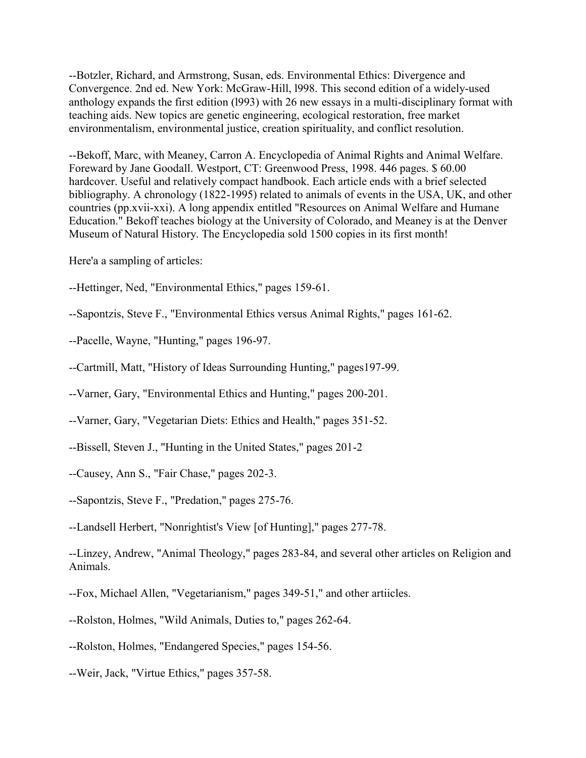--Botzler, Richard, and Armstrong, Susan, eds. Environmental Ethics: Divergence and Convergence. 2nd ed. New York: McGraw-Hill, l998. This second edition of a widely-used anthology expands the first edition (l993) with 26 new essays in a multi-disciplinary format with teaching aids. New topics are genetic engineering, ecological restoration, free market environmentalism, environmental justice, creation spirituality, and conflict resolution.

--Bekoff, Marc, with Meaney, Carron A. Encyclopedia of Animal Rights and Animal Welfare. Foreward by Jane Goodall. Westport, CT: Greenwood Press, 1998. 446 pages. \$ 60.00 hardcover. Useful and relatively compact handbook. Each article ends with a brief selected bibliography. A chronology (1822-1995) related to animals of events in the USA, UK, and other countries (pp.xvii-xxi). A long appendix entitled "Resources on Animal Welfare and Humane Education." Bekoff teaches biology at the University of Colorado, and Meaney is at the Denver Museum of Natural History. The Encyclopedia sold 1500 copies in its first month!

Here'a a sampling of articles:

- --Hettinger, Ned, "Environmental Ethics," pages 159-61.
- --Sapontzis, Steve F., "Environmental Ethics versus Animal Rights," pages 161-62.

--Pacelle, Wayne, "Hunting," pages 196-97.

- --Cartmill, Matt, "History of Ideas Surrounding Hunting," pages197-99.
- --Varner, Gary, "Environmental Ethics and Hunting," pages 200-201.
- --Varner, Gary, "Vegetarian Diets: Ethics and Health," pages 351-52.
- --Bissell, Steven J., "Hunting in the United States," pages 201-2
- --Causey, Ann S., "Fair Chase," pages 202-3.
- --Sapontzis, Steve F., "Predation," pages 275-76.

--Landsell Herbert, "Nonrightist's View [of Hunting]," pages 277-78.

--Linzey, Andrew, "Animal Theology," pages 283-84, and several other articles on Religion and Animals.

- --Fox, Michael Allen, "Vegetarianism," pages 349-51," and other artiicles.
- --Rolston, Holmes, "Wild Animals, Duties to," pages 262-64.
- --Rolston, Holmes, "Endangered Species," pages 154-56.
- --Weir, Jack, "Virtue Ethics," pages 357-58.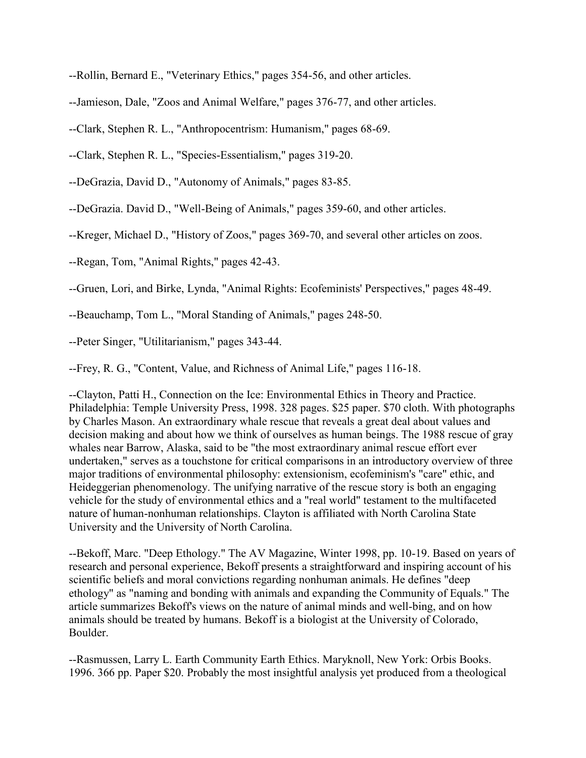- --Rollin, Bernard E., "Veterinary Ethics," pages 354-56, and other articles.
- --Jamieson, Dale, "Zoos and Animal Welfare," pages 376-77, and other articles.
- --Clark, Stephen R. L., "Anthropocentrism: Humanism," pages 68-69.
- --Clark, Stephen R. L., "Species-Essentialism," pages 319-20.
- --DeGrazia, David D., "Autonomy of Animals," pages 83-85.
- --DeGrazia. David D., "Well-Being of Animals," pages 359-60, and other articles.
- --Kreger, Michael D., "History of Zoos," pages 369-70, and several other articles on zoos.
- --Regan, Tom, "Animal Rights," pages 42-43.
- --Gruen, Lori, and Birke, Lynda, "Animal Rights: Ecofeminists' Perspectives," pages 48-49.
- --Beauchamp, Tom L., "Moral Standing of Animals," pages 248-50.
- --Peter Singer, "Utilitarianism," pages 343-44.

--Frey, R. G., "Content, Value, and Richness of Animal Life," pages 116-18.

--Clayton, Patti H., Connection on the Ice: Environmental Ethics in Theory and Practice. Philadelphia: Temple University Press, 1998. 328 pages. \$25 paper. \$70 cloth. With photographs by Charles Mason. An extraordinary whale rescue that reveals a great deal about values and decision making and about how we think of ourselves as human beings. The 1988 rescue of gray whales near Barrow, Alaska, said to be "the most extraordinary animal rescue effort ever undertaken," serves as a touchstone for critical comparisons in an introductory overview of three major traditions of environmental philosophy: extensionism, ecofeminism's "care" ethic, and Heideggerian phenomenology. The unifying narrative of the rescue story is both an engaging vehicle for the study of environmental ethics and a "real world" testament to the multifaceted nature of human-nonhuman relationships. Clayton is affiliated with North Carolina State University and the University of North Carolina.

--Bekoff, Marc. "Deep Ethology." The AV Magazine, Winter 1998, pp. 10-19. Based on years of research and personal experience, Bekoff presents a straightforward and inspiring account of his scientific beliefs and moral convictions regarding nonhuman animals. He defines "deep ethology" as "naming and bonding with animals and expanding the Community of Equals." The article summarizes Bekoff's views on the nature of animal minds and well-bing, and on how animals should be treated by humans. Bekoff is a biologist at the University of Colorado, Boulder.

--Rasmussen, Larry L. Earth Community Earth Ethics. Maryknoll, New York: Orbis Books. 1996. 366 pp. Paper \$20. Probably the most insightful analysis yet produced from a theological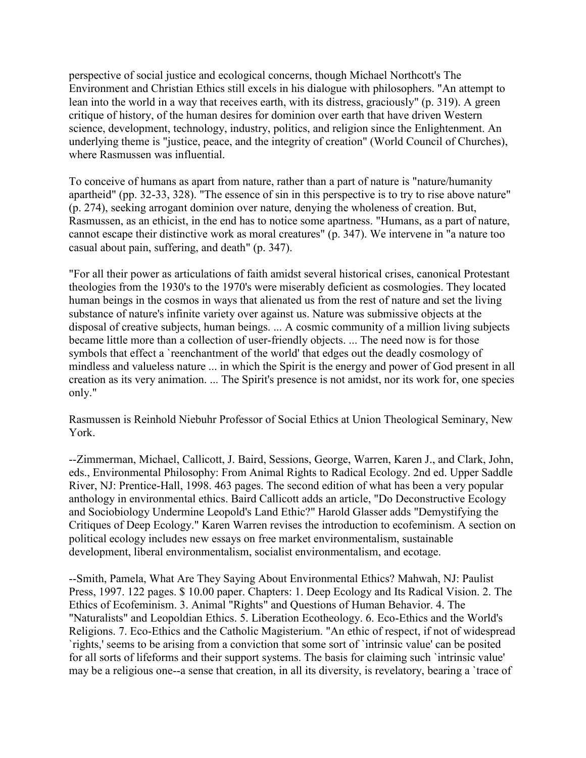perspective of social justice and ecological concerns, though Michael Northcott's The Environment and Christian Ethics still excels in his dialogue with philosophers. "An attempt to lean into the world in a way that receives earth, with its distress, graciously" (p. 319). A green critique of history, of the human desires for dominion over earth that have driven Western science, development, technology, industry, politics, and religion since the Enlightenment. An underlying theme is "justice, peace, and the integrity of creation" (World Council of Churches), where Rasmussen was influential.

To conceive of humans as apart from nature, rather than a part of nature is "nature/humanity apartheid" (pp. 32-33, 328). "The essence of sin in this perspective is to try to rise above nature" (p. 274), seeking arrogant dominion over nature, denying the wholeness of creation. But, Rasmussen, as an ethicist, in the end has to notice some apartness. "Humans, as a part of nature, cannot escape their distinctive work as moral creatures" (p. 347). We intervene in "a nature too casual about pain, suffering, and death" (p. 347).

"For all their power as articulations of faith amidst several historical crises, canonical Protestant theologies from the 1930's to the 1970's were miserably deficient as cosmologies. They located human beings in the cosmos in ways that alienated us from the rest of nature and set the living substance of nature's infinite variety over against us. Nature was submissive objects at the disposal of creative subjects, human beings. ... A cosmic community of a million living subjects became little more than a collection of user-friendly objects. ... The need now is for those symbols that effect a `reenchantment of the world' that edges out the deadly cosmology of mindless and valueless nature ... in which the Spirit is the energy and power of God present in all creation as its very animation. ... The Spirit's presence is not amidst, nor its work for, one species only."

Rasmussen is Reinhold Niebuhr Professor of Social Ethics at Union Theological Seminary, New York.

--Zimmerman, Michael, Callicott, J. Baird, Sessions, George, Warren, Karen J., and Clark, John, eds., Environmental Philosophy: From Animal Rights to Radical Ecology. 2nd ed. Upper Saddle River, NJ: Prentice-Hall, 1998. 463 pages. The second edition of what has been a very popular anthology in environmental ethics. Baird Callicott adds an article, "Do Deconstructive Ecology and Sociobiology Undermine Leopold's Land Ethic?" Harold Glasser adds "Demystifying the Critiques of Deep Ecology." Karen Warren revises the introduction to ecofeminism. A section on political ecology includes new essays on free market environmentalism, sustainable development, liberal environmentalism, socialist environmentalism, and ecotage.

--Smith, Pamela, What Are They Saying About Environmental Ethics? Mahwah, NJ: Paulist Press, 1997. 122 pages. \$ 10.00 paper. Chapters: 1. Deep Ecology and Its Radical Vision. 2. The Ethics of Ecofeminism. 3. Animal "Rights" and Questions of Human Behavior. 4. The "Naturalists" and Leopoldian Ethics. 5. Liberation Ecotheology. 6. Eco-Ethics and the World's Religions. 7. Eco-Ethics and the Catholic Magisterium. "An ethic of respect, if not of widespread `rights,' seems to be arising from a conviction that some sort of `intrinsic value' can be posited for all sorts of lifeforms and their support systems. The basis for claiming such `intrinsic value' may be a religious one--a sense that creation, in all its diversity, is revelatory, bearing a `trace of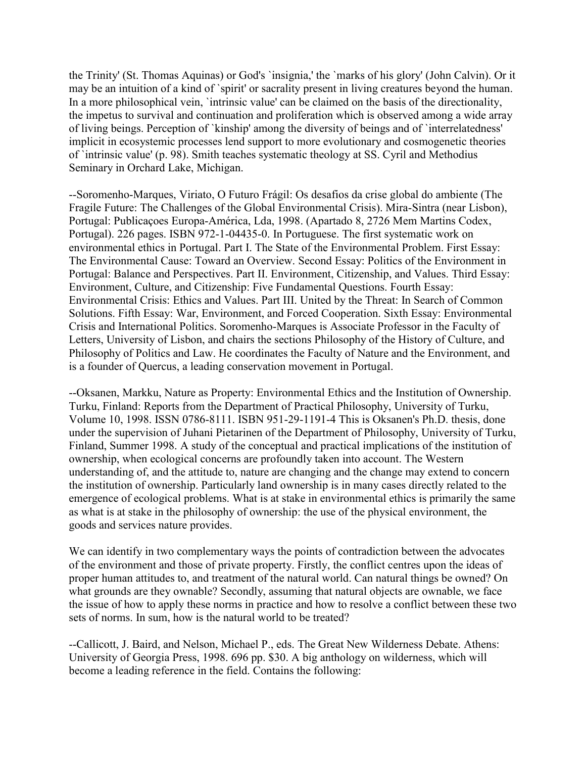the Trinity' (St. Thomas Aquinas) or God's `insignia,' the `marks of his glory' (John Calvin). Or it may be an intuition of a kind of `spirit' or sacrality present in living creatures beyond the human. In a more philosophical vein, `intrinsic value' can be claimed on the basis of the directionality, the impetus to survival and continuation and proliferation which is observed among a wide array of living beings. Perception of `kinship' among the diversity of beings and of `interrelatedness' implicit in ecosystemic processes lend support to more evolutionary and cosmogenetic theories of `intrinsic value' (p. 98). Smith teaches systematic theology at SS. Cyril and Methodius Seminary in Orchard Lake, Michigan.

--Soromenho-Marques, Viriato, O Futuro Frágil: Os desafios da crise global do ambiente (The Fragile Future: The Challenges of the Global Environmental Crisis). Mira-Sintra (near Lisbon), Portugal: Publicaçoes Europa-América, Lda, 1998. (Apartado 8, 2726 Mem Martins Codex, Portugal). 226 pages. ISBN 972-1-04435-0. In Portuguese. The first systematic work on environmental ethics in Portugal. Part I. The State of the Environmental Problem. First Essay: The Environmental Cause: Toward an Overview. Second Essay: Politics of the Environment in Portugal: Balance and Perspectives. Part II. Environment, Citizenship, and Values. Third Essay: Environment, Culture, and Citizenship: Five Fundamental Questions. Fourth Essay: Environmental Crisis: Ethics and Values. Part III. United by the Threat: In Search of Common Solutions. Fifth Essay: War, Environment, and Forced Cooperation. Sixth Essay: Environmental Crisis and International Politics. Soromenho-Marques is Associate Professor in the Faculty of Letters, University of Lisbon, and chairs the sections Philosophy of the History of Culture, and Philosophy of Politics and Law. He coordinates the Faculty of Nature and the Environment, and is a founder of Quercus, a leading conservation movement in Portugal.

--Oksanen, Markku, Nature as Property: Environmental Ethics and the Institution of Ownership. Turku, Finland: Reports from the Department of Practical Philosophy, University of Turku, Volume 10, 1998. ISSN 0786-8111. ISBN 951-29-1191-4 This is Oksanen's Ph.D. thesis, done under the supervision of Juhani Pietarinen of the Department of Philosophy, University of Turku, Finland, Summer 1998. A study of the conceptual and practical implications of the institution of ownership, when ecological concerns are profoundly taken into account. The Western understanding of, and the attitude to, nature are changing and the change may extend to concern the institution of ownership. Particularly land ownership is in many cases directly related to the emergence of ecological problems. What is at stake in environmental ethics is primarily the same as what is at stake in the philosophy of ownership: the use of the physical environment, the goods and services nature provides.

We can identify in two complementary ways the points of contradiction between the advocates of the environment and those of private property. Firstly, the conflict centres upon the ideas of proper human attitudes to, and treatment of the natural world. Can natural things be owned? On what grounds are they ownable? Secondly, assuming that natural objects are ownable, we face the issue of how to apply these norms in practice and how to resolve a conflict between these two sets of norms. In sum, how is the natural world to be treated?

--Callicott, J. Baird, and Nelson, Michael P., eds. The Great New Wilderness Debate. Athens: University of Georgia Press, 1998. 696 pp. \$30. A big anthology on wilderness, which will become a leading reference in the field. Contains the following: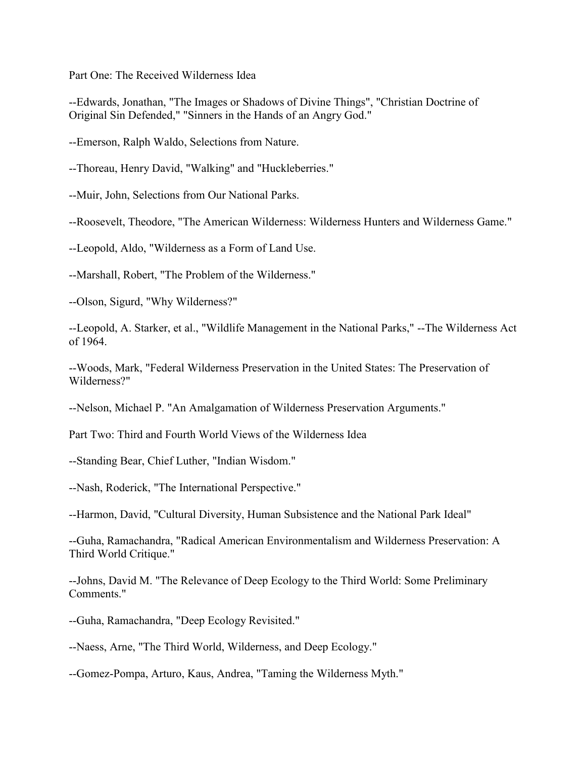Part One: The Received Wilderness Idea

--Edwards, Jonathan, "The Images or Shadows of Divine Things", "Christian Doctrine of Original Sin Defended," "Sinners in the Hands of an Angry God."

--Emerson, Ralph Waldo, Selections from Nature.

--Thoreau, Henry David, "Walking" and "Huckleberries."

--Muir, John, Selections from Our National Parks.

--Roosevelt, Theodore, "The American Wilderness: Wilderness Hunters and Wilderness Game."

--Leopold, Aldo, "Wilderness as a Form of Land Use.

--Marshall, Robert, "The Problem of the Wilderness."

--Olson, Sigurd, "Why Wilderness?"

--Leopold, A. Starker, et al., "Wildlife Management in the National Parks," --The Wilderness Act of 1964.

--Woods, Mark, "Federal Wilderness Preservation in the United States: The Preservation of Wilderness?"

--Nelson, Michael P. "An Amalgamation of Wilderness Preservation Arguments."

Part Two: Third and Fourth World Views of the Wilderness Idea

--Standing Bear, Chief Luther, "Indian Wisdom."

--Nash, Roderick, "The International Perspective."

--Harmon, David, "Cultural Diversity, Human Subsistence and the National Park Ideal"

--Guha, Ramachandra, "Radical American Environmentalism and Wilderness Preservation: A Third World Critique."

--Johns, David M. "The Relevance of Deep Ecology to the Third World: Some Preliminary Comments."

--Guha, Ramachandra, "Deep Ecology Revisited."

--Naess, Arne, "The Third World, Wilderness, and Deep Ecology."

--Gomez-Pompa, Arturo, Kaus, Andrea, "Taming the Wilderness Myth."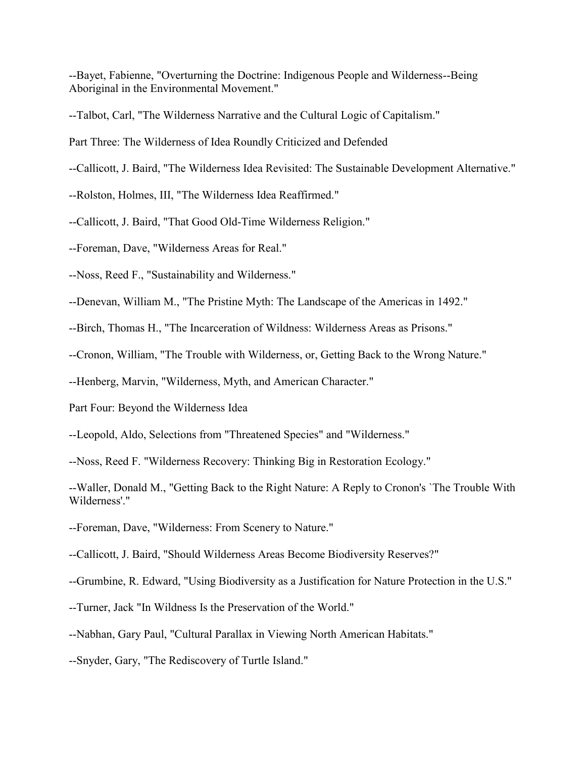--Bayet, Fabienne, "Overturning the Doctrine: Indigenous People and Wilderness--Being Aboriginal in the Environmental Movement."

--Talbot, Carl, "The Wilderness Narrative and the Cultural Logic of Capitalism."

Part Three: The Wilderness of Idea Roundly Criticized and Defended

--Callicott, J. Baird, "The Wilderness Idea Revisited: The Sustainable Development Alternative."

--Rolston, Holmes, III, "The Wilderness Idea Reaffirmed."

--Callicott, J. Baird, "That Good Old-Time Wilderness Religion."

--Foreman, Dave, "Wilderness Areas for Real."

--Noss, Reed F., "Sustainability and Wilderness."

--Denevan, William M., "The Pristine Myth: The Landscape of the Americas in 1492."

--Birch, Thomas H., "The Incarceration of Wildness: Wilderness Areas as Prisons."

--Cronon, William, "The Trouble with Wilderness, or, Getting Back to the Wrong Nature."

--Henberg, Marvin, "Wilderness, Myth, and American Character."

Part Four: Beyond the Wilderness Idea

--Leopold, Aldo, Selections from "Threatened Species" and "Wilderness."

--Noss, Reed F. "Wilderness Recovery: Thinking Big in Restoration Ecology."

--Waller, Donald M., "Getting Back to the Right Nature: A Reply to Cronon's `The Trouble With Wilderness'."

--Foreman, Dave, "Wilderness: From Scenery to Nature."

--Callicott, J. Baird, "Should Wilderness Areas Become Biodiversity Reserves?"

--Grumbine, R. Edward, "Using Biodiversity as a Justification for Nature Protection in the U.S."

--Turner, Jack "In Wildness Is the Preservation of the World."

--Nabhan, Gary Paul, "Cultural Parallax in Viewing North American Habitats."

--Snyder, Gary, "The Rediscovery of Turtle Island."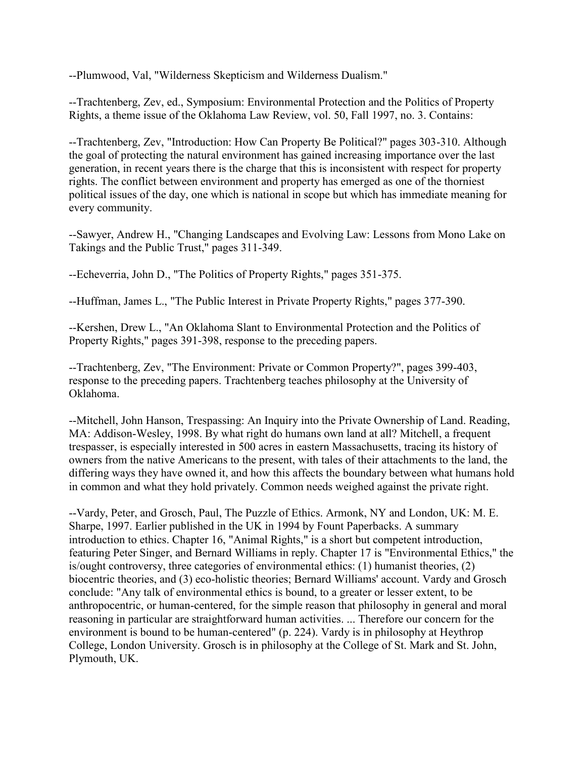--Plumwood, Val, "Wilderness Skepticism and Wilderness Dualism."

--Trachtenberg, Zev, ed., Symposium: Environmental Protection and the Politics of Property Rights, a theme issue of the Oklahoma Law Review, vol. 50, Fall 1997, no. 3. Contains:

--Trachtenberg, Zev, "Introduction: How Can Property Be Political?" pages 303-310. Although the goal of protecting the natural environment has gained increasing importance over the last generation, in recent years there is the charge that this is inconsistent with respect for property rights. The conflict between environment and property has emerged as one of the thorniest political issues of the day, one which is national in scope but which has immediate meaning for every community.

--Sawyer, Andrew H., "Changing Landscapes and Evolving Law: Lessons from Mono Lake on Takings and the Public Trust," pages 311-349.

--Echeverria, John D., "The Politics of Property Rights," pages 351-375.

--Huffman, James L., "The Public Interest in Private Property Rights," pages 377-390.

--Kershen, Drew L., "An Oklahoma Slant to Environmental Protection and the Politics of Property Rights," pages 391-398, response to the preceding papers.

--Trachtenberg, Zev, "The Environment: Private or Common Property?", pages 399-403, response to the preceding papers. Trachtenberg teaches philosophy at the University of Oklahoma.

--Mitchell, John Hanson, Trespassing: An Inquiry into the Private Ownership of Land. Reading, MA: Addison-Wesley, 1998. By what right do humans own land at all? Mitchell, a frequent trespasser, is especially interested in 500 acres in eastern Massachusetts, tracing its history of owners from the native Americans to the present, with tales of their attachments to the land, the differing ways they have owned it, and how this affects the boundary between what humans hold in common and what they hold privately. Common needs weighed against the private right.

--Vardy, Peter, and Grosch, Paul, The Puzzle of Ethics. Armonk, NY and London, UK: M. E. Sharpe, 1997. Earlier published in the UK in 1994 by Fount Paperbacks. A summary introduction to ethics. Chapter 16, "Animal Rights," is a short but competent introduction, featuring Peter Singer, and Bernard Williams in reply. Chapter 17 is "Environmental Ethics," the is/ought controversy, three categories of environmental ethics: (1) humanist theories, (2) biocentric theories, and (3) eco-holistic theories; Bernard Williams' account. Vardy and Grosch conclude: "Any talk of environmental ethics is bound, to a greater or lesser extent, to be anthropocentric, or human-centered, for the simple reason that philosophy in general and moral reasoning in particular are straightforward human activities. ... Therefore our concern for the environment is bound to be human-centered" (p. 224). Vardy is in philosophy at Heythrop College, London University. Grosch is in philosophy at the College of St. Mark and St. John, Plymouth, UK.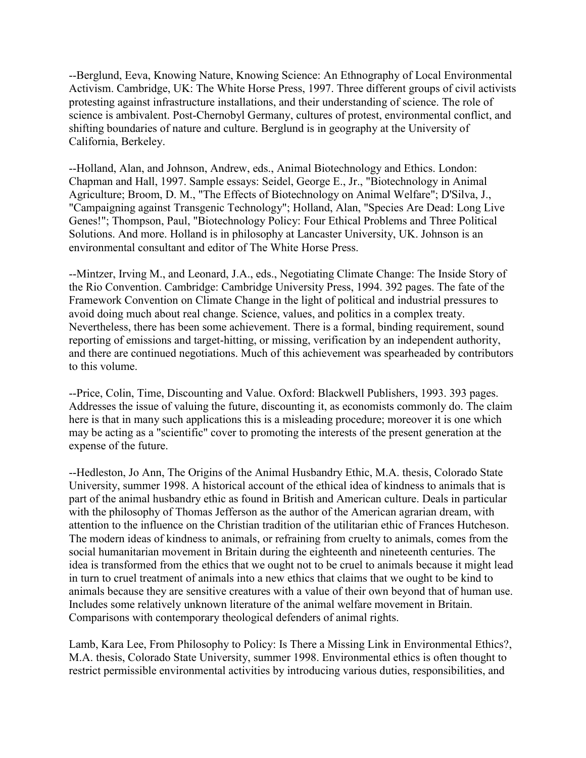--Berglund, Eeva, Knowing Nature, Knowing Science: An Ethnography of Local Environmental Activism. Cambridge, UK: The White Horse Press, 1997. Three different groups of civil activists protesting against infrastructure installations, and their understanding of science. The role of science is ambivalent. Post-Chernobyl Germany, cultures of protest, environmental conflict, and shifting boundaries of nature and culture. Berglund is in geography at the University of California, Berkeley.

--Holland, Alan, and Johnson, Andrew, eds., Animal Biotechnology and Ethics. London: Chapman and Hall, 1997. Sample essays: Seidel, George E., Jr., "Biotechnology in Animal Agriculture; Broom, D. M., "The Effects of Biotechnology on Animal Welfare"; D'Silva, J., "Campaigning against Transgenic Technology"; Holland, Alan, "Species Are Dead: Long Live Genes!"; Thompson, Paul, "Biotechnology Policy: Four Ethical Problems and Three Political Solutions. And more. Holland is in philosophy at Lancaster University, UK. Johnson is an environmental consultant and editor of The White Horse Press.

--Mintzer, Irving M., and Leonard, J.A., eds., Negotiating Climate Change: The Inside Story of the Rio Convention. Cambridge: Cambridge University Press, 1994. 392 pages. The fate of the Framework Convention on Climate Change in the light of political and industrial pressures to avoid doing much about real change. Science, values, and politics in a complex treaty. Nevertheless, there has been some achievement. There is a formal, binding requirement, sound reporting of emissions and target-hitting, or missing, verification by an independent authority, and there are continued negotiations. Much of this achievement was spearheaded by contributors to this volume.

--Price, Colin, Time, Discounting and Value. Oxford: Blackwell Publishers, 1993. 393 pages. Addresses the issue of valuing the future, discounting it, as economists commonly do. The claim here is that in many such applications this is a misleading procedure; moreover it is one which may be acting as a "scientific" cover to promoting the interests of the present generation at the expense of the future.

--Hedleston, Jo Ann, The Origins of the Animal Husbandry Ethic, M.A. thesis, Colorado State University, summer 1998. A historical account of the ethical idea of kindness to animals that is part of the animal husbandry ethic as found in British and American culture. Deals in particular with the philosophy of Thomas Jefferson as the author of the American agrarian dream, with attention to the influence on the Christian tradition of the utilitarian ethic of Frances Hutcheson. The modern ideas of kindness to animals, or refraining from cruelty to animals, comes from the social humanitarian movement in Britain during the eighteenth and nineteenth centuries. The idea is transformed from the ethics that we ought not to be cruel to animals because it might lead in turn to cruel treatment of animals into a new ethics that claims that we ought to be kind to animals because they are sensitive creatures with a value of their own beyond that of human use. Includes some relatively unknown literature of the animal welfare movement in Britain. Comparisons with contemporary theological defenders of animal rights.

Lamb, Kara Lee, From Philosophy to Policy: Is There a Missing Link in Environmental Ethics?, M.A. thesis, Colorado State University, summer 1998. Environmental ethics is often thought to restrict permissible environmental activities by introducing various duties, responsibilities, and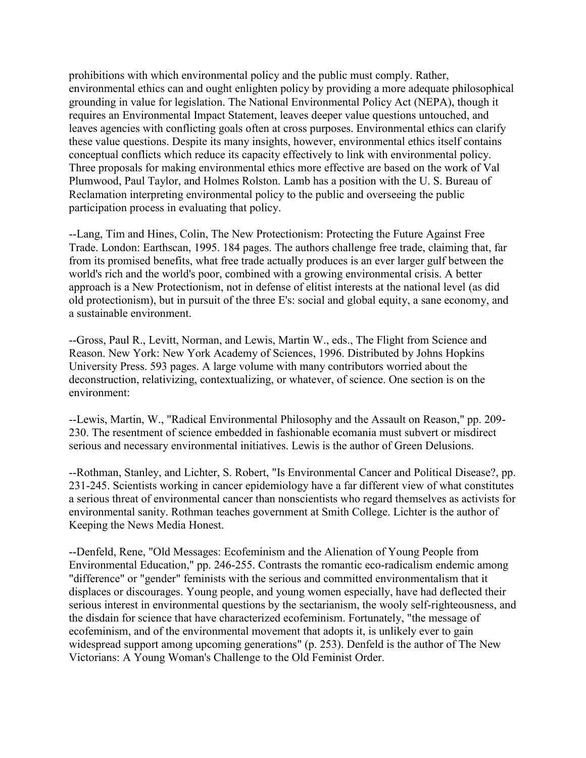prohibitions with which environmental policy and the public must comply. Rather, environmental ethics can and ought enlighten policy by providing a more adequate philosophical grounding in value for legislation. The National Environmental Policy Act (NEPA), though it requires an Environmental Impact Statement, leaves deeper value questions untouched, and leaves agencies with conflicting goals often at cross purposes. Environmental ethics can clarify these value questions. Despite its many insights, however, environmental ethics itself contains conceptual conflicts which reduce its capacity effectively to link with environmental policy. Three proposals for making environmental ethics more effective are based on the work of Val Plumwood, Paul Taylor, and Holmes Rolston. Lamb has a position with the U. S. Bureau of Reclamation interpreting environmental policy to the public and overseeing the public participation process in evaluating that policy.

--Lang, Tim and Hines, Colin, The New Protectionism: Protecting the Future Against Free Trade. London: Earthscan, 1995. 184 pages. The authors challenge free trade, claiming that, far from its promised benefits, what free trade actually produces is an ever larger gulf between the world's rich and the world's poor, combined with a growing environmental crisis. A better approach is a New Protectionism, not in defense of elitist interests at the national level (as did old protectionism), but in pursuit of the three E's: social and global equity, a sane economy, and a sustainable environment.

--Gross, Paul R., Levitt, Norman, and Lewis, Martin W., eds., The Flight from Science and Reason. New York: New York Academy of Sciences, 1996. Distributed by Johns Hopkins University Press. 593 pages. A large volume with many contributors worried about the deconstruction, relativizing, contextualizing, or whatever, of science. One section is on the environment:

--Lewis, Martin, W., "Radical Environmental Philosophy and the Assault on Reason," pp. 209- 230. The resentment of science embedded in fashionable ecomania must subvert or misdirect serious and necessary environmental initiatives. Lewis is the author of Green Delusions.

--Rothman, Stanley, and Lichter, S. Robert, "Is Environmental Cancer and Political Disease?, pp. 231-245. Scientists working in cancer epidemiology have a far different view of what constitutes a serious threat of environmental cancer than nonscientists who regard themselves as activists for environmental sanity. Rothman teaches government at Smith College. Lichter is the author of Keeping the News Media Honest.

--Denfeld, Rene, "Old Messages: Ecofeminism and the Alienation of Young People from Environmental Education," pp. 246-255. Contrasts the romantic eco-radicalism endemic among "difference" or "gender" feminists with the serious and committed environmentalism that it displaces or discourages. Young people, and young women especially, have had deflected their serious interest in environmental questions by the sectarianism, the wooly self-righteousness, and the disdain for science that have characterized ecofeminism. Fortunately, "the message of ecofeminism, and of the environmental movement that adopts it, is unlikely ever to gain widespread support among upcoming generations" (p. 253). Denfeld is the author of The New Victorians: A Young Woman's Challenge to the Old Feminist Order.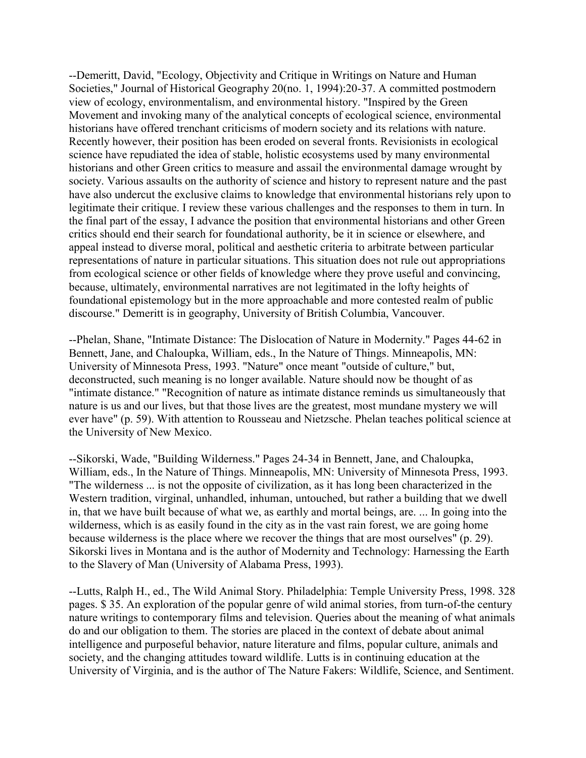--Demeritt, David, "Ecology, Objectivity and Critique in Writings on Nature and Human Societies," Journal of Historical Geography 20(no. 1, 1994):20-37. A committed postmodern view of ecology, environmentalism, and environmental history. "Inspired by the Green Movement and invoking many of the analytical concepts of ecological science, environmental historians have offered trenchant criticisms of modern society and its relations with nature. Recently however, their position has been eroded on several fronts. Revisionists in ecological science have repudiated the idea of stable, holistic ecosystems used by many environmental historians and other Green critics to measure and assail the environmental damage wrought by society. Various assaults on the authority of science and history to represent nature and the past have also undercut the exclusive claims to knowledge that environmental historians rely upon to legitimate their critique. I review these various challenges and the responses to them in turn. In the final part of the essay, I advance the position that environmental historians and other Green critics should end their search for foundational authority, be it in science or elsewhere, and appeal instead to diverse moral, political and aesthetic criteria to arbitrate between particular representations of nature in particular situations. This situation does not rule out appropriations from ecological science or other fields of knowledge where they prove useful and convincing, because, ultimately, environmental narratives are not legitimated in the lofty heights of foundational epistemology but in the more approachable and more contested realm of public discourse." Demeritt is in geography, University of British Columbia, Vancouver.

--Phelan, Shane, "Intimate Distance: The Dislocation of Nature in Modernity." Pages 44-62 in Bennett, Jane, and Chaloupka, William, eds., In the Nature of Things. Minneapolis, MN: University of Minnesota Press, 1993. "Nature" once meant "outside of culture," but, deconstructed, such meaning is no longer available. Nature should now be thought of as "intimate distance." "Recognition of nature as intimate distance reminds us simultaneously that nature is us and our lives, but that those lives are the greatest, most mundane mystery we will ever have" (p. 59). With attention to Rousseau and Nietzsche. Phelan teaches political science at the University of New Mexico.

--Sikorski, Wade, "Building Wilderness." Pages 24-34 in Bennett, Jane, and Chaloupka, William, eds., In the Nature of Things. Minneapolis, MN: University of Minnesota Press, 1993. "The wilderness ... is not the opposite of civilization, as it has long been characterized in the Western tradition, virginal, unhandled, inhuman, untouched, but rather a building that we dwell in, that we have built because of what we, as earthly and mortal beings, are. ... In going into the wilderness, which is as easily found in the city as in the vast rain forest, we are going home because wilderness is the place where we recover the things that are most ourselves" (p. 29). Sikorski lives in Montana and is the author of Modernity and Technology: Harnessing the Earth to the Slavery of Man (University of Alabama Press, 1993).

--Lutts, Ralph H., ed., The Wild Animal Story. Philadelphia: Temple University Press, 1998. 328 pages. \$ 35. An exploration of the popular genre of wild animal stories, from turn-of-the century nature writings to contemporary films and television. Queries about the meaning of what animals do and our obligation to them. The stories are placed in the context of debate about animal intelligence and purposeful behavior, nature literature and films, popular culture, animals and society, and the changing attitudes toward wildlife. Lutts is in continuing education at the University of Virginia, and is the author of The Nature Fakers: Wildlife, Science, and Sentiment.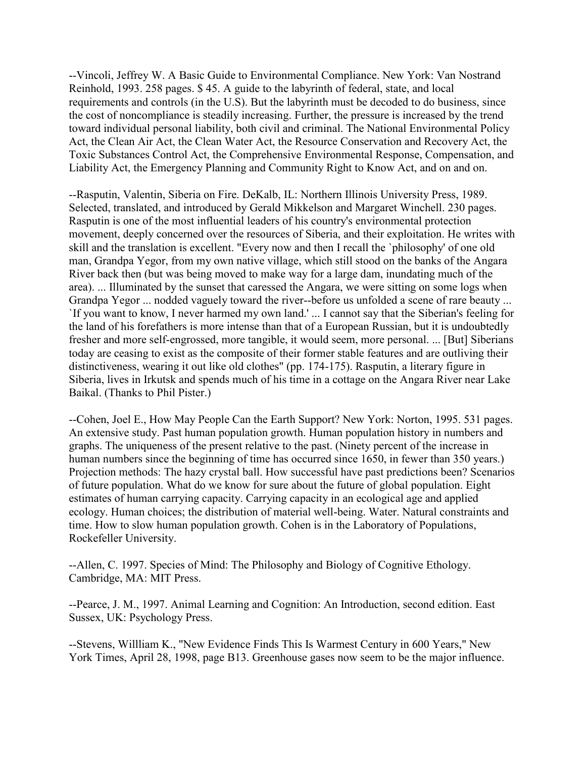--Vincoli, Jeffrey W. A Basic Guide to Environmental Compliance. New York: Van Nostrand Reinhold, 1993. 258 pages. \$ 45. A guide to the labyrinth of federal, state, and local requirements and controls (in the U.S). But the labyrinth must be decoded to do business, since the cost of noncompliance is steadily increasing. Further, the pressure is increased by the trend toward individual personal liability, both civil and criminal. The National Environmental Policy Act, the Clean Air Act, the Clean Water Act, the Resource Conservation and Recovery Act, the Toxic Substances Control Act, the Comprehensive Environmental Response, Compensation, and Liability Act, the Emergency Planning and Community Right to Know Act, and on and on.

--Rasputin, Valentin, Siberia on Fire. DeKalb, IL: Northern Illinois University Press, 1989. Selected, translated, and introduced by Gerald Mikkelson and Margaret Winchell. 230 pages. Rasputin is one of the most influential leaders of his country's environmental protection movement, deeply concerned over the resources of Siberia, and their exploitation. He writes with skill and the translation is excellent. "Every now and then I recall the `philosophy' of one old man, Grandpa Yegor, from my own native village, which still stood on the banks of the Angara River back then (but was being moved to make way for a large dam, inundating much of the area). ... Illuminated by the sunset that caressed the Angara, we were sitting on some logs when Grandpa Yegor ... nodded vaguely toward the river--before us unfolded a scene of rare beauty ... `If you want to know, I never harmed my own land.' ... I cannot say that the Siberian's feeling for the land of his forefathers is more intense than that of a European Russian, but it is undoubtedly fresher and more self-engrossed, more tangible, it would seem, more personal. ... [But] Siberians today are ceasing to exist as the composite of their former stable features and are outliving their distinctiveness, wearing it out like old clothes" (pp. 174-175). Rasputin, a literary figure in Siberia, lives in Irkutsk and spends much of his time in a cottage on the Angara River near Lake Baikal. (Thanks to Phil Pister.)

--Cohen, Joel E., How May People Can the Earth Support? New York: Norton, 1995. 531 pages. An extensive study. Past human population growth. Human population history in numbers and graphs. The uniqueness of the present relative to the past. (Ninety percent of the increase in human numbers since the beginning of time has occurred since 1650, in fewer than 350 years.) Projection methods: The hazy crystal ball. How successful have past predictions been? Scenarios of future population. What do we know for sure about the future of global population. Eight estimates of human carrying capacity. Carrying capacity in an ecological age and applied ecology. Human choices; the distribution of material well-being. Water. Natural constraints and time. How to slow human population growth. Cohen is in the Laboratory of Populations, Rockefeller University.

--Allen, C. 1997. Species of Mind: The Philosophy and Biology of Cognitive Ethology. Cambridge, MA: MIT Press.

--Pearce, J. M., 1997. Animal Learning and Cognition: An Introduction, second edition. East Sussex, UK: Psychology Press.

--Stevens, Willliam K., "New Evidence Finds This Is Warmest Century in 600 Years," New York Times, April 28, 1998, page B13. Greenhouse gases now seem to be the major influence.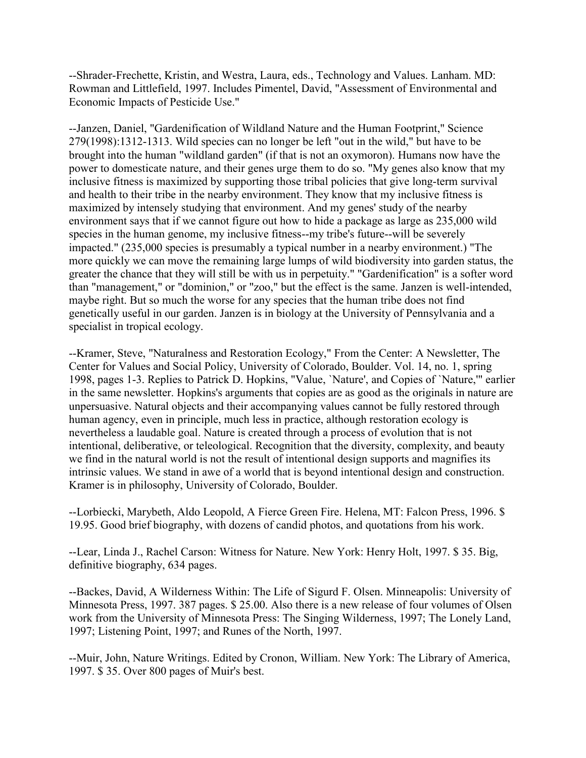--Shrader-Frechette, Kristin, and Westra, Laura, eds., Technology and Values. Lanham. MD: Rowman and Littlefield, 1997. Includes Pimentel, David, "Assessment of Environmental and Economic Impacts of Pesticide Use."

--Janzen, Daniel, "Gardenification of Wildland Nature and the Human Footprint," Science 279(1998):1312-1313. Wild species can no longer be left "out in the wild," but have to be brought into the human "wildland garden" (if that is not an oxymoron). Humans now have the power to domesticate nature, and their genes urge them to do so. "My genes also know that my inclusive fitness is maximized by supporting those tribal policies that give long-term survival and health to their tribe in the nearby environment. They know that my inclusive fitness is maximized by intensely studying that environment. And my genes' study of the nearby environment says that if we cannot figure out how to hide a package as large as 235,000 wild species in the human genome, my inclusive fitness--my tribe's future--will be severely impacted." (235,000 species is presumably a typical number in a nearby environment.) "The more quickly we can move the remaining large lumps of wild biodiversity into garden status, the greater the chance that they will still be with us in perpetuity." "Gardenification" is a softer word than "management," or "dominion," or "zoo," but the effect is the same. Janzen is well-intended, maybe right. But so much the worse for any species that the human tribe does not find genetically useful in our garden. Janzen is in biology at the University of Pennsylvania and a specialist in tropical ecology.

--Kramer, Steve, "Naturalness and Restoration Ecology," From the Center: A Newsletter, The Center for Values and Social Policy, University of Colorado, Boulder. Vol. 14, no. 1, spring 1998, pages 1-3. Replies to Patrick D. Hopkins, "Value, `Nature', and Copies of `Nature,'" earlier in the same newsletter. Hopkins's arguments that copies are as good as the originals in nature are unpersuasive. Natural objects and their accompanying values cannot be fully restored through human agency, even in principle, much less in practice, although restoration ecology is nevertheless a laudable goal. Nature is created through a process of evolution that is not intentional, deliberative, or teleological. Recognition that the diversity, complexity, and beauty we find in the natural world is not the result of intentional design supports and magnifies its intrinsic values. We stand in awe of a world that is beyond intentional design and construction. Kramer is in philosophy, University of Colorado, Boulder.

--Lorbiecki, Marybeth, Aldo Leopold, A Fierce Green Fire. Helena, MT: Falcon Press, 1996. \$ 19.95. Good brief biography, with dozens of candid photos, and quotations from his work.

--Lear, Linda J., Rachel Carson: Witness for Nature. New York: Henry Holt, 1997. \$ 35. Big, definitive biography, 634 pages.

--Backes, David, A Wilderness Within: The Life of Sigurd F. Olsen. Minneapolis: University of Minnesota Press, 1997. 387 pages. \$ 25.00. Also there is a new release of four volumes of Olsen work from the University of Minnesota Press: The Singing Wilderness, 1997; The Lonely Land, 1997; Listening Point, 1997; and Runes of the North, 1997.

--Muir, John, Nature Writings. Edited by Cronon, William. New York: The Library of America, 1997. \$ 35. Over 800 pages of Muir's best.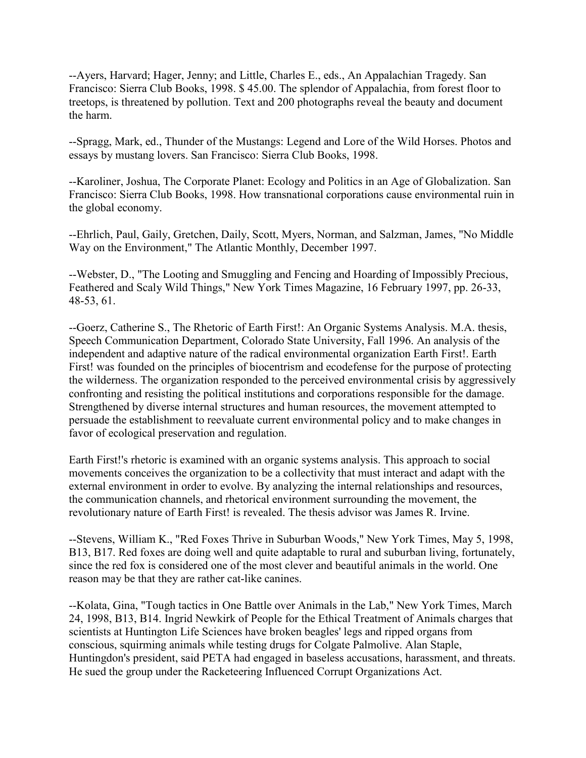--Ayers, Harvard; Hager, Jenny; and Little, Charles E., eds., An Appalachian Tragedy. San Francisco: Sierra Club Books, 1998. \$ 45.00. The splendor of Appalachia, from forest floor to treetops, is threatened by pollution. Text and 200 photographs reveal the beauty and document the harm.

--Spragg, Mark, ed., Thunder of the Mustangs: Legend and Lore of the Wild Horses. Photos and essays by mustang lovers. San Francisco: Sierra Club Books, 1998.

--Karoliner, Joshua, The Corporate Planet: Ecology and Politics in an Age of Globalization. San Francisco: Sierra Club Books, 1998. How transnational corporations cause environmental ruin in the global economy.

--Ehrlich, Paul, Gaily, Gretchen, Daily, Scott, Myers, Norman, and Salzman, James, "No Middle Way on the Environment," The Atlantic Monthly, December 1997.

--Webster, D., "The Looting and Smuggling and Fencing and Hoarding of Impossibly Precious, Feathered and Scaly Wild Things," New York Times Magazine, 16 February 1997, pp. 26-33, 48-53, 61.

--Goerz, Catherine S., The Rhetoric of Earth First!: An Organic Systems Analysis. M.A. thesis, Speech Communication Department, Colorado State University, Fall 1996. An analysis of the independent and adaptive nature of the radical environmental organization Earth First!. Earth First! was founded on the principles of biocentrism and ecodefense for the purpose of protecting the wilderness. The organization responded to the perceived environmental crisis by aggressively confronting and resisting the political institutions and corporations responsible for the damage. Strengthened by diverse internal structures and human resources, the movement attempted to persuade the establishment to reevaluate current environmental policy and to make changes in favor of ecological preservation and regulation.

Earth First!'s rhetoric is examined with an organic systems analysis. This approach to social movements conceives the organization to be a collectivity that must interact and adapt with the external environment in order to evolve. By analyzing the internal relationships and resources, the communication channels, and rhetorical environment surrounding the movement, the revolutionary nature of Earth First! is revealed. The thesis advisor was James R. Irvine.

--Stevens, William K., "Red Foxes Thrive in Suburban Woods," New York Times, May 5, 1998, B13, B17. Red foxes are doing well and quite adaptable to rural and suburban living, fortunately, since the red fox is considered one of the most clever and beautiful animals in the world. One reason may be that they are rather cat-like canines.

--Kolata, Gina, "Tough tactics in One Battle over Animals in the Lab," New York Times, March 24, 1998, B13, B14. Ingrid Newkirk of People for the Ethical Treatment of Animals charges that scientists at Huntington Life Sciences have broken beagles' legs and ripped organs from conscious, squirming animals while testing drugs for Colgate Palmolive. Alan Staple, Huntingdon's president, said PETA had engaged in baseless accusations, harassment, and threats. He sued the group under the Racketeering Influenced Corrupt Organizations Act.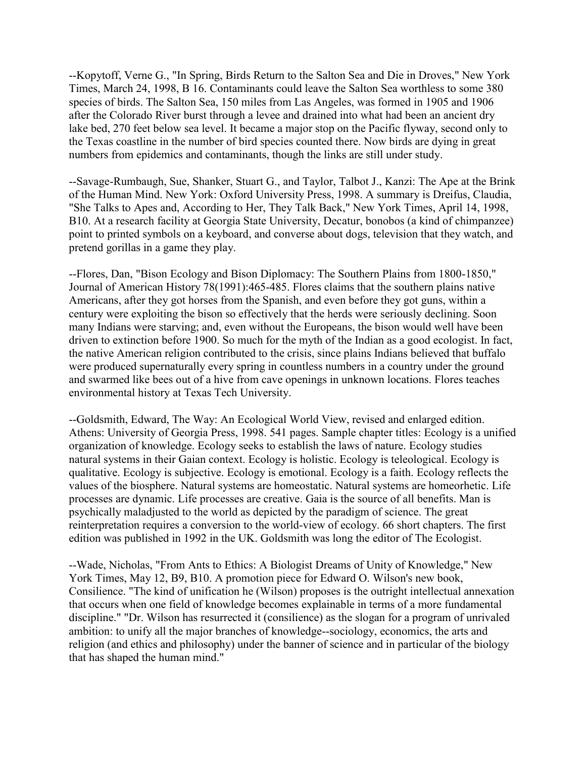--Kopytoff, Verne G., "In Spring, Birds Return to the Salton Sea and Die in Droves," New York Times, March 24, 1998, B 16. Contaminants could leave the Salton Sea worthless to some 380 species of birds. The Salton Sea, 150 miles from Las Angeles, was formed in 1905 and 1906 after the Colorado River burst through a levee and drained into what had been an ancient dry lake bed, 270 feet below sea level. It became a major stop on the Pacific flyway, second only to the Texas coastline in the number of bird species counted there. Now birds are dying in great numbers from epidemics and contaminants, though the links are still under study.

--Savage-Rumbaugh, Sue, Shanker, Stuart G., and Taylor, Talbot J., Kanzi: The Ape at the Brink of the Human Mind. New York: Oxford University Press, 1998. A summary is Dreifus, Claudia, "She Talks to Apes and, According to Her, They Talk Back," New York Times, April 14, 1998, B10. At a research facility at Georgia State University, Decatur, bonobos (a kind of chimpanzee) point to printed symbols on a keyboard, and converse about dogs, television that they watch, and pretend gorillas in a game they play.

--Flores, Dan, "Bison Ecology and Bison Diplomacy: The Southern Plains from 1800-1850," Journal of American History 78(1991):465-485. Flores claims that the southern plains native Americans, after they got horses from the Spanish, and even before they got guns, within a century were exploiting the bison so effectively that the herds were seriously declining. Soon many Indians were starving; and, even without the Europeans, the bison would well have been driven to extinction before 1900. So much for the myth of the Indian as a good ecologist. In fact, the native American religion contributed to the crisis, since plains Indians believed that buffalo were produced supernaturally every spring in countless numbers in a country under the ground and swarmed like bees out of a hive from cave openings in unknown locations. Flores teaches environmental history at Texas Tech University.

--Goldsmith, Edward, The Way: An Ecological World View, revised and enlarged edition. Athens: University of Georgia Press, 1998. 541 pages. Sample chapter titles: Ecology is a unified organization of knowledge. Ecology seeks to establish the laws of nature. Ecology studies natural systems in their Gaian context. Ecology is holistic. Ecology is teleological. Ecology is qualitative. Ecology is subjective. Ecology is emotional. Ecology is a faith. Ecology reflects the values of the biosphere. Natural systems are homeostatic. Natural systems are homeorhetic. Life processes are dynamic. Life processes are creative. Gaia is the source of all benefits. Man is psychically maladjusted to the world as depicted by the paradigm of science. The great reinterpretation requires a conversion to the world-view of ecology. 66 short chapters. The first edition was published in 1992 in the UK. Goldsmith was long the editor of The Ecologist.

--Wade, Nicholas, "From Ants to Ethics: A Biologist Dreams of Unity of Knowledge," New York Times, May 12, B9, B10. A promotion piece for Edward O. Wilson's new book, Consilience. "The kind of unification he (Wilson) proposes is the outright intellectual annexation that occurs when one field of knowledge becomes explainable in terms of a more fundamental discipline." "Dr. Wilson has resurrected it (consilience) as the slogan for a program of unrivaled ambition: to unify all the major branches of knowledge--sociology, economics, the arts and religion (and ethics and philosophy) under the banner of science and in particular of the biology that has shaped the human mind."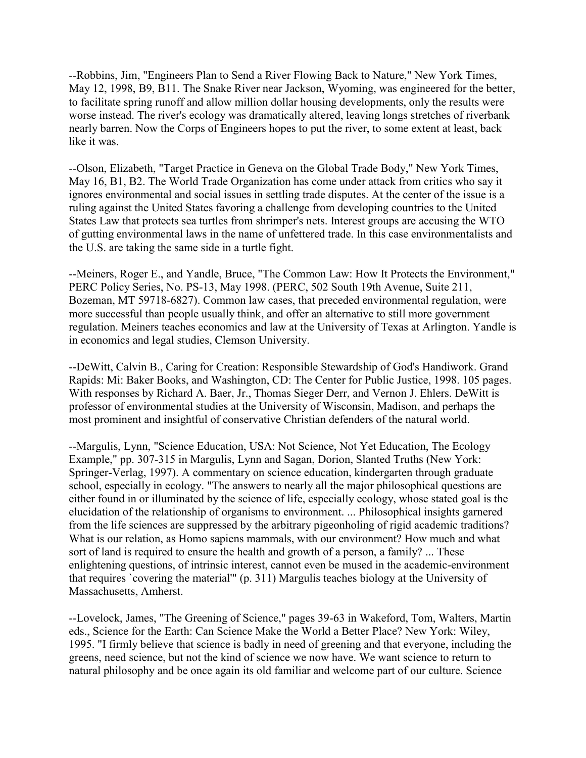--Robbins, Jim, "Engineers Plan to Send a River Flowing Back to Nature," New York Times, May 12, 1998, B9, B11. The Snake River near Jackson, Wyoming, was engineered for the better, to facilitate spring runoff and allow million dollar housing developments, only the results were worse instead. The river's ecology was dramatically altered, leaving longs stretches of riverbank nearly barren. Now the Corps of Engineers hopes to put the river, to some extent at least, back like it was.

--Olson, Elizabeth, "Target Practice in Geneva on the Global Trade Body," New York Times, May 16, B1, B2. The World Trade Organization has come under attack from critics who say it ignores environmental and social issues in settling trade disputes. At the center of the issue is a ruling against the United States favoring a challenge from developing countries to the United States Law that protects sea turtles from shrimper's nets. Interest groups are accusing the WTO of gutting environmental laws in the name of unfettered trade. In this case environmentalists and the U.S. are taking the same side in a turtle fight.

--Meiners, Roger E., and Yandle, Bruce, "The Common Law: How It Protects the Environment," PERC Policy Series, No. PS-13, May 1998. (PERC, 502 South 19th Avenue, Suite 211, Bozeman, MT 59718-6827). Common law cases, that preceded environmental regulation, were more successful than people usually think, and offer an alternative to still more government regulation. Meiners teaches economics and law at the University of Texas at Arlington. Yandle is in economics and legal studies, Clemson University.

--DeWitt, Calvin B., Caring for Creation: Responsible Stewardship of God's Handiwork. Grand Rapids: Mi: Baker Books, and Washington, CD: The Center for Public Justice, 1998. 105 pages. With responses by Richard A. Baer, Jr., Thomas Sieger Derr, and Vernon J. Ehlers. DeWitt is professor of environmental studies at the University of Wisconsin, Madison, and perhaps the most prominent and insightful of conservative Christian defenders of the natural world.

--Margulis, Lynn, "Science Education, USA: Not Science, Not Yet Education, The Ecology Example," pp. 307-315 in Margulis, Lynn and Sagan, Dorion, Slanted Truths (New York: Springer-Verlag, 1997). A commentary on science education, kindergarten through graduate school, especially in ecology. "The answers to nearly all the major philosophical questions are either found in or illuminated by the science of life, especially ecology, whose stated goal is the elucidation of the relationship of organisms to environment. ... Philosophical insights garnered from the life sciences are suppressed by the arbitrary pigeonholing of rigid academic traditions? What is our relation, as Homo sapiens mammals, with our environment? How much and what sort of land is required to ensure the health and growth of a person, a family? ... These enlightening questions, of intrinsic interest, cannot even be mused in the academic-environment that requires `covering the material'" (p. 311) Margulis teaches biology at the University of Massachusetts, Amherst.

--Lovelock, James, "The Greening of Science," pages 39-63 in Wakeford, Tom, Walters, Martin eds., Science for the Earth: Can Science Make the World a Better Place? New York: Wiley, 1995. "I firmly believe that science is badly in need of greening and that everyone, including the greens, need science, but not the kind of science we now have. We want science to return to natural philosophy and be once again its old familiar and welcome part of our culture. Science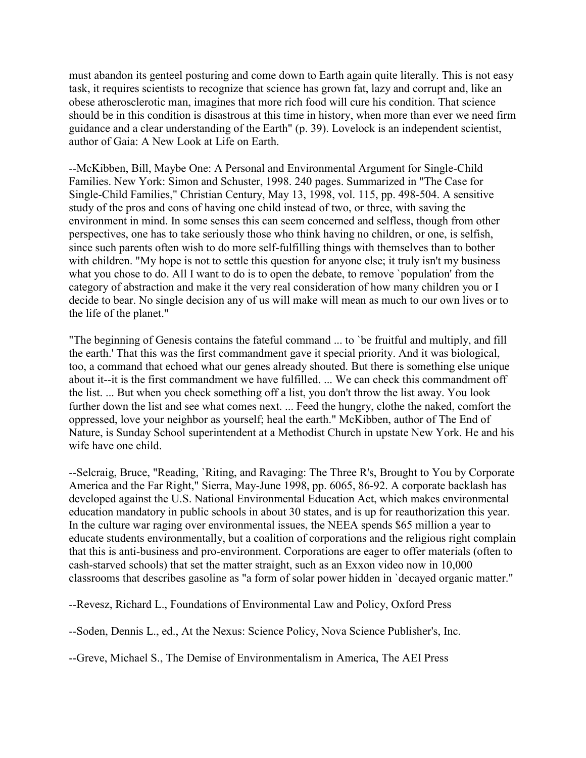must abandon its genteel posturing and come down to Earth again quite literally. This is not easy task, it requires scientists to recognize that science has grown fat, lazy and corrupt and, like an obese atherosclerotic man, imagines that more rich food will cure his condition. That science should be in this condition is disastrous at this time in history, when more than ever we need firm guidance and a clear understanding of the Earth" (p. 39). Lovelock is an independent scientist, author of Gaia: A New Look at Life on Earth.

--McKibben, Bill, Maybe One: A Personal and Environmental Argument for Single-Child Families. New York: Simon and Schuster, 1998. 240 pages. Summarized in "The Case for Single-Child Families," Christian Century, May 13, 1998, vol. 115, pp. 498-504. A sensitive study of the pros and cons of having one child instead of two, or three, with saving the environment in mind. In some senses this can seem concerned and selfless, though from other perspectives, one has to take seriously those who think having no children, or one, is selfish, since such parents often wish to do more self-fulfilling things with themselves than to bother with children. "My hope is not to settle this question for anyone else; it truly isn't my business what you chose to do. All I want to do is to open the debate, to remove `population' from the category of abstraction and make it the very real consideration of how many children you or I decide to bear. No single decision any of us will make will mean as much to our own lives or to the life of the planet."

"The beginning of Genesis contains the fateful command ... to `be fruitful and multiply, and fill the earth.' That this was the first commandment gave it special priority. And it was biological, too, a command that echoed what our genes already shouted. But there is something else unique about it--it is the first commandment we have fulfilled. ... We can check this commandment off the list. ... But when you check something off a list, you don't throw the list away. You look further down the list and see what comes next. ... Feed the hungry, clothe the naked, comfort the oppressed, love your neighbor as yourself; heal the earth." McKibben, author of The End of Nature, is Sunday School superintendent at a Methodist Church in upstate New York. He and his wife have one child.

--Selcraig, Bruce, "Reading, `Riting, and Ravaging: The Three R's, Brought to You by Corporate America and the Far Right," Sierra, May-June 1998, pp. 6065, 86-92. A corporate backlash has developed against the U.S. National Environmental Education Act, which makes environmental education mandatory in public schools in about 30 states, and is up for reauthorization this year. In the culture war raging over environmental issues, the NEEA spends \$65 million a year to educate students environmentally, but a coalition of corporations and the religious right complain that this is anti-business and pro-environment. Corporations are eager to offer materials (often to cash-starved schools) that set the matter straight, such as an Exxon video now in 10,000 classrooms that describes gasoline as "a form of solar power hidden in `decayed organic matter."

--Revesz, Richard L., Foundations of Environmental Law and Policy, Oxford Press

--Soden, Dennis L., ed., At the Nexus: Science Policy, Nova Science Publisher's, Inc.

--Greve, Michael S., The Demise of Environmentalism in America, The AEI Press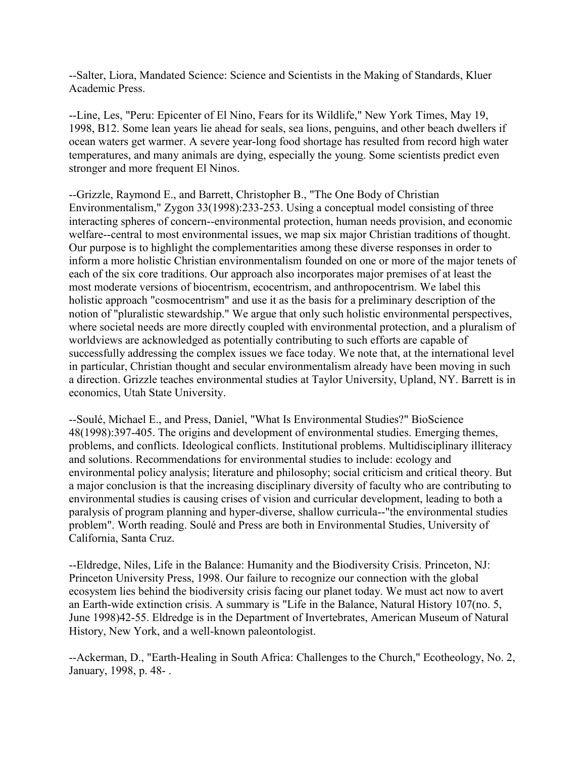--Salter, Liora, Mandated Science: Science and Scientists in the Making of Standards, Kluer Academic Press.

--Line, Les, "Peru: Epicenter of El Nino, Fears for its Wildlife," New York Times, May 19, 1998, B12. Some lean years lie ahead for seals, sea lions, penguins, and other beach dwellers if ocean waters get warmer. A severe year-long food shortage has resulted from record high water temperatures, and many animals are dying, especially the young. Some scientists predict even stronger and more frequent El Ninos.

--Grizzle, Raymond E., and Barrett, Christopher B., "The One Body of Christian Environmentalism," Zygon 33(1998):233-253. Using a conceptual model consisting of three interacting spheres of concern--environmental protection, human needs provision, and economic welfare--central to most environmental issues, we map six major Christian traditions of thought. Our purpose is to highlight the complementarities among these diverse responses in order to inform a more holistic Christian environmentalism founded on one or more of the major tenets of each of the six core traditions. Our approach also incorporates major premises of at least the most moderate versions of biocentrism, ecocentrism, and anthropocentrism. We label this holistic approach "cosmocentrism" and use it as the basis for a preliminary description of the notion of "pluralistic stewardship." We argue that only such holistic environmental perspectives, where societal needs are more directly coupled with environmental protection, and a pluralism of worldviews are acknowledged as potentially contributing to such efforts are capable of successfully addressing the complex issues we face today. We note that, at the international level in particular, Christian thought and secular environmentalism already have been moving in such a direction. Grizzle teaches environmental studies at Taylor University, Upland, NY. Barrett is in economics, Utah State University.

--Soulé, Michael E., and Press, Daniel, "What Is Environmental Studies?" BioScience 48(1998):397-405. The origins and development of environmental studies. Emerging themes, problems, and conflicts. Ideological conflicts. Institutional problems. Multidisciplinary illiteracy and solutions. Recommendations for environmental studies to include: ecology and environmental policy analysis; literature and philosophy; social criticism and critical theory. But a major conclusion is that the increasing disciplinary diversity of faculty who are contributing to environmental studies is causing crises of vision and curricular development, leading to both a paralysis of program planning and hyper-diverse, shallow curricula--"the environmental studies problem". Worth reading. Soulé and Press are both in Environmental Studies, University of California, Santa Cruz.

--Eldredge, Niles, Life in the Balance: Humanity and the Biodiversity Crisis. Princeton, NJ: Princeton University Press, 1998. Our failure to recognize our connection with the global ecosystem lies behind the biodiversity crisis facing our planet today. We must act now to avert an Earth-wide extinction crisis. A summary is "Life in the Balance, Natural History 107(no. 5, June 1998)42-55. Eldredge is in the Department of Invertebrates, American Museum of Natural History, New York, and a well-known paleontologist.

--Ackerman, D., "Earth-Healing in South Africa: Challenges to the Church," Ecotheology, No. 2, January, 1998, p. 48- .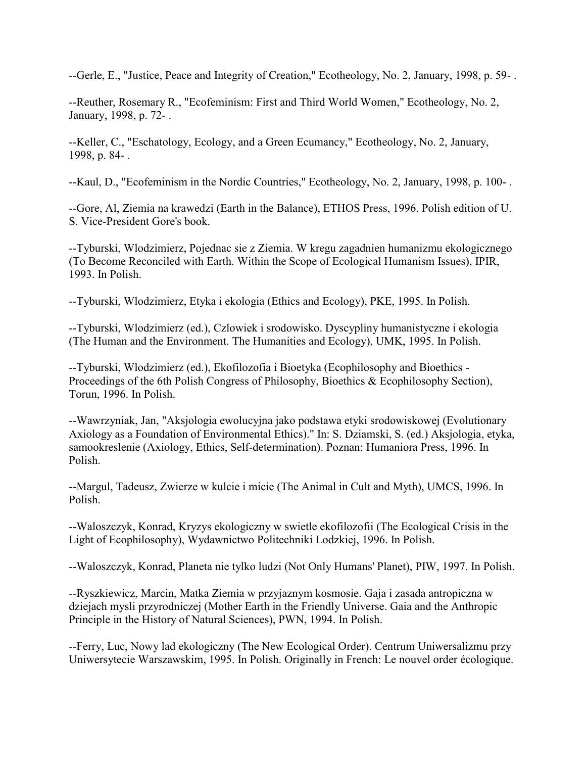--Gerle, E., "Justice, Peace and Integrity of Creation," Ecotheology, No. 2, January, 1998, p. 59- .

--Reuther, Rosemary R., "Ecofeminism: First and Third World Women," Ecotheology, No. 2, January, 1998, p. 72- .

--Keller, C., "Eschatology, Ecology, and a Green Ecumancy," Ecotheology, No. 2, January, 1998, p. 84- .

--Kaul, D., "Ecofeminism in the Nordic Countries," Ecotheology, No. 2, January, 1998, p. 100- .

--Gore, Al, Ziemia na krawedzi (Earth in the Balance), ETHOS Press, 1996. Polish edition of U. S. Vice-President Gore's book.

--Tyburski, Wlodzimierz, Pojednac sie z Ziemia. W kregu zagadnien humanizmu ekologicznego (To Become Reconciled with Earth. Within the Scope of Ecological Humanism Issues), IPIR, 1993. In Polish.

--Tyburski, Wlodzimierz, Etyka i ekologia (Ethics and Ecology), PKE, 1995. In Polish.

--Tyburski, Wlodzimierz (ed.), Czlowiek i srodowisko. Dyscypliny humanistyczne i ekologia (The Human and the Environment. The Humanities and Ecology), UMK, 1995. In Polish.

--Tyburski, Wlodzimierz (ed.), Ekofilozofia i Bioetyka (Ecophilosophy and Bioethics - Proceedings of the 6th Polish Congress of Philosophy, Bioethics & Ecophilosophy Section), Torun, 1996. In Polish.

--Wawrzyniak, Jan, "Aksjologia ewolucyjna jako podstawa etyki srodowiskowej (Evolutionary Axiology as a Foundation of Environmental Ethics)." In: S. Dziamski, S. (ed.) Aksjologia, etyka, samookreslenie (Axiology, Ethics, Self-determination). Poznan: Humaniora Press, 1996. In Polish.

--Margul, Tadeusz, Zwierze w kulcie i micie (The Animal in Cult and Myth), UMCS, 1996. In Polish.

--Waloszczyk, Konrad, Kryzys ekologiczny w swietle ekofilozofii (The Ecological Crisis in the Light of Ecophilosophy), Wydawnictwo Politechniki Lodzkiej, 1996. In Polish.

--Waloszczyk, Konrad, Planeta nie tylko ludzi (Not Only Humans' Planet), PIW, 1997. In Polish.

--Ryszkiewicz, Marcin, Matka Ziemia w przyjaznym kosmosie. Gaja i zasada antropiczna w dziejach mysli przyrodniczej (Mother Earth in the Friendly Universe. Gaia and the Anthropic Principle in the History of Natural Sciences), PWN, 1994. In Polish.

--Ferry, Luc, Nowy lad ekologiczny (The New Ecological Order). Centrum Uniwersalizmu przy Uniwersytecie Warszawskim, 1995. In Polish. Originally in French: Le nouvel order écologique.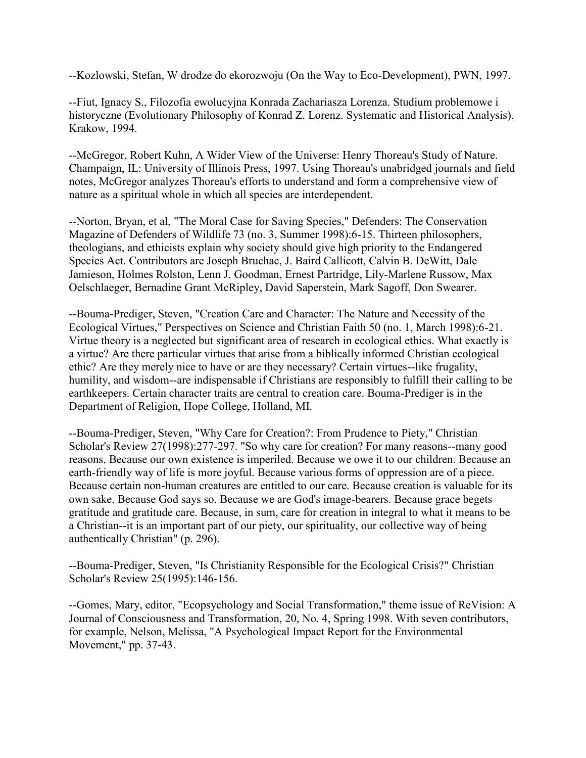--Kozlowski, Stefan, W drodze do ekorozwoju (On the Way to Eco-Development), PWN, 1997.

--Fiut, Ignacy S., Filozofia ewolucyjna Konrada Zachariasza Lorenza. Studium problemowe i historyczne (Evolutionary Philosophy of Konrad Z. Lorenz. Systematic and Historical Analysis), Krakow, 1994.

--McGregor, Robert Kuhn, A Wider View of the Universe: Henry Thoreau's Study of Nature. Champaign, IL: University of Illinois Press, 1997. Using Thoreau's unabridged journals and field notes, McGregor analyzes Thoreau's efforts to understand and form a comprehensive view of nature as a spiritual whole in which all species are interdependent.

--Norton, Bryan, et al, "The Moral Case for Saving Species," Defenders: The Conservation Magazine of Defenders of Wildlife 73 (no. 3, Summer 1998):6-15. Thirteen philosophers, theologians, and ethicists explain why society should give high priority to the Endangered Species Act. Contributors are Joseph Bruchac, J. Baird Callicott, Calvin B. DeWitt, Dale Jamieson, Holmes Rolston, Lenn J. Goodman, Ernest Partridge, Lily-Marlene Russow, Max Oelschlaeger, Bernadine Grant McRipley, David Saperstein, Mark Sagoff, Don Swearer.

--Bouma-Prediger, Steven, "Creation Care and Character: The Nature and Necessity of the Ecological Virtues," Perspectives on Science and Christian Faith 50 (no. 1, March 1998):6-21. Virtue theory is a neglected but significant area of research in ecological ethics. What exactly is a virtue? Are there particular virtues that arise from a biblically informed Christian ecological ethic? Are they merely nice to have or are they necessary? Certain virtues--like frugality, humility, and wisdom--are indispensable if Christians are responsibly to fulfill their calling to be earthkeepers. Certain character traits are central to creation care. Bouma-Prediger is in the Department of Religion, Hope College, Holland, MI.

--Bouma-Prediger, Steven, "Why Care for Creation?: From Prudence to Piety," Christian Scholar's Review 27(1998):277-297. "So why care for creation? For many reasons--many good reasons. Because our own existence is imperiled. Because we owe it to our children. Because an earth-friendly way of life is more joyful. Because various forms of oppression are of a piece. Because certain non-human creatures are entitled to our care. Because creation is valuable for its own sake. Because God says so. Because we are God's image-bearers. Because grace begets gratitude and gratitude care. Because, in sum, care for creation in integral to what it means to be a Christian--it is an important part of our piety, our spirituality, our collective way of being authentically Christian" (p. 296).

--Bouma-Prediger, Steven, "Is Christianity Responsible for the Ecological Crisis?" Christian Scholar's Review 25(1995):146-156.

--Gomes, Mary, editor, "Ecopsychology and Social Transformation," theme issue of ReVision: A Journal of Consciousness and Transformation, 20, No. 4, Spring 1998. With seven contributors, for example, Nelson, Melissa, "A Psychological Impact Report for the Environmental Movement," pp. 37-43.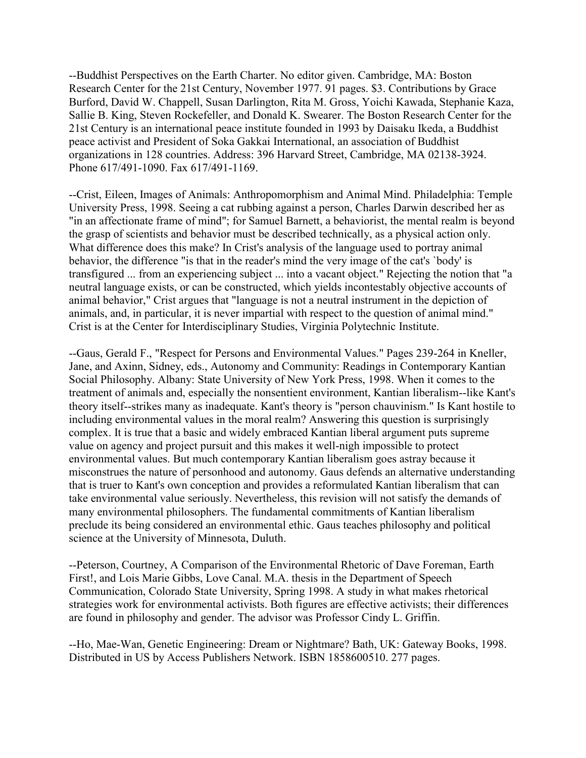--Buddhist Perspectives on the Earth Charter. No editor given. Cambridge, MA: Boston Research Center for the 21st Century, November 1977. 91 pages. \$3. Contributions by Grace Burford, David W. Chappell, Susan Darlington, Rita M. Gross, Yoichi Kawada, Stephanie Kaza, Sallie B. King, Steven Rockefeller, and Donald K. Swearer. The Boston Research Center for the 21st Century is an international peace institute founded in 1993 by Daisaku Ikeda, a Buddhist peace activist and President of Soka Gakkai International, an association of Buddhist organizations in 128 countries. Address: 396 Harvard Street, Cambridge, MA 02138-3924. Phone 617/491-1090. Fax 617/491-1169.

--Crist, Eileen, Images of Animals: Anthropomorphism and Animal Mind. Philadelphia: Temple University Press, 1998. Seeing a cat rubbing against a person, Charles Darwin described her as "in an affectionate frame of mind"; for Samuel Barnett, a behaviorist, the mental realm is beyond the grasp of scientists and behavior must be described technically, as a physical action only. What difference does this make? In Crist's analysis of the language used to portray animal behavior, the difference "is that in the reader's mind the very image of the cat's `body' is transfigured ... from an experiencing subject ... into a vacant object." Rejecting the notion that "a neutral language exists, or can be constructed, which yields incontestably objective accounts of animal behavior," Crist argues that "language is not a neutral instrument in the depiction of animals, and, in particular, it is never impartial with respect to the question of animal mind." Crist is at the Center for Interdisciplinary Studies, Virginia Polytechnic Institute.

--Gaus, Gerald F., "Respect for Persons and Environmental Values." Pages 239-264 in Kneller, Jane, and Axinn, Sidney, eds., Autonomy and Community: Readings in Contemporary Kantian Social Philosophy. Albany: State University of New York Press, 1998. When it comes to the treatment of animals and, especially the nonsentient environment, Kantian liberalism--like Kant's theory itself--strikes many as inadequate. Kant's theory is "person chauvinism." Is Kant hostile to including environmental values in the moral realm? Answering this question is surprisingly complex. It is true that a basic and widely embraced Kantian liberal argument puts supreme value on agency and project pursuit and this makes it well-nigh impossible to protect environmental values. But much contemporary Kantian liberalism goes astray because it misconstrues the nature of personhood and autonomy. Gaus defends an alternative understanding that is truer to Kant's own conception and provides a reformulated Kantian liberalism that can take environmental value seriously. Nevertheless, this revision will not satisfy the demands of many environmental philosophers. The fundamental commitments of Kantian liberalism preclude its being considered an environmental ethic. Gaus teaches philosophy and political science at the University of Minnesota, Duluth.

--Peterson, Courtney, A Comparison of the Environmental Rhetoric of Dave Foreman, Earth First!, and Lois Marie Gibbs, Love Canal. M.A. thesis in the Department of Speech Communication, Colorado State University, Spring 1998. A study in what makes rhetorical strategies work for environmental activists. Both figures are effective activists; their differences are found in philosophy and gender. The advisor was Professor Cindy L. Griffin.

--Ho, Mae-Wan, Genetic Engineering: Dream or Nightmare? Bath, UK: Gateway Books, 1998. Distributed in US by Access Publishers Network. ISBN 1858600510. 277 pages.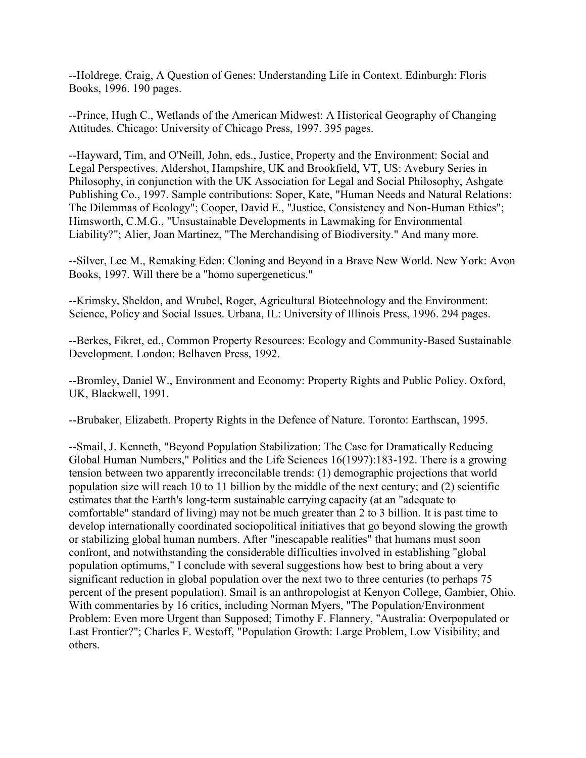--Holdrege, Craig, A Question of Genes: Understanding Life in Context. Edinburgh: Floris Books, 1996. 190 pages.

--Prince, Hugh C., Wetlands of the American Midwest: A Historical Geography of Changing Attitudes. Chicago: University of Chicago Press, 1997. 395 pages.

--Hayward, Tim, and O'Neill, John, eds., Justice, Property and the Environment: Social and Legal Perspectives. Aldershot, Hampshire, UK and Brookfield, VT, US: Avebury Series in Philosophy, in conjunction with the UK Association for Legal and Social Philosophy, Ashgate Publishing Co., 1997. Sample contributions: Soper, Kate, "Human Needs and Natural Relations: The Dilemmas of Ecology"; Cooper, David E., "Justice, Consistency and Non-Human Ethics"; Himsworth, C.M.G., "Unsustainable Developments in Lawmaking for Environmental Liability?"; Alier, Joan Martinez, "The Merchandising of Biodiversity." And many more.

--Silver, Lee M., Remaking Eden: Cloning and Beyond in a Brave New World. New York: Avon Books, 1997. Will there be a "homo supergeneticus."

--Krimsky, Sheldon, and Wrubel, Roger, Agricultural Biotechnology and the Environment: Science, Policy and Social Issues. Urbana, IL: University of Illinois Press, 1996. 294 pages.

--Berkes, Fikret, ed., Common Property Resources: Ecology and Community-Based Sustainable Development. London: Belhaven Press, 1992.

--Bromley, Daniel W., Environment and Economy: Property Rights and Public Policy. Oxford, UK, Blackwell, 1991.

--Brubaker, Elizabeth. Property Rights in the Defence of Nature. Toronto: Earthscan, 1995.

--Smail, J. Kenneth, "Beyond Population Stabilization: The Case for Dramatically Reducing Global Human Numbers," Politics and the Life Sciences 16(1997):183-192. There is a growing tension between two apparently irreconcilable trends: (1) demographic projections that world population size will reach 10 to 11 billion by the middle of the next century; and (2) scientific estimates that the Earth's long-term sustainable carrying capacity (at an "adequate to comfortable" standard of living) may not be much greater than 2 to 3 billion. It is past time to develop internationally coordinated sociopolitical initiatives that go beyond slowing the growth or stabilizing global human numbers. After "inescapable realities" that humans must soon confront, and notwithstanding the considerable difficulties involved in establishing "global population optimums," I conclude with several suggestions how best to bring about a very significant reduction in global population over the next two to three centuries (to perhaps 75 percent of the present population). Smail is an anthropologist at Kenyon College, Gambier, Ohio. With commentaries by 16 critics, including Norman Myers, "The Population/Environment Problem: Even more Urgent than Supposed; Timothy F. Flannery, "Australia: Overpopulated or Last Frontier?"; Charles F. Westoff, "Population Growth: Large Problem, Low Visibility; and others.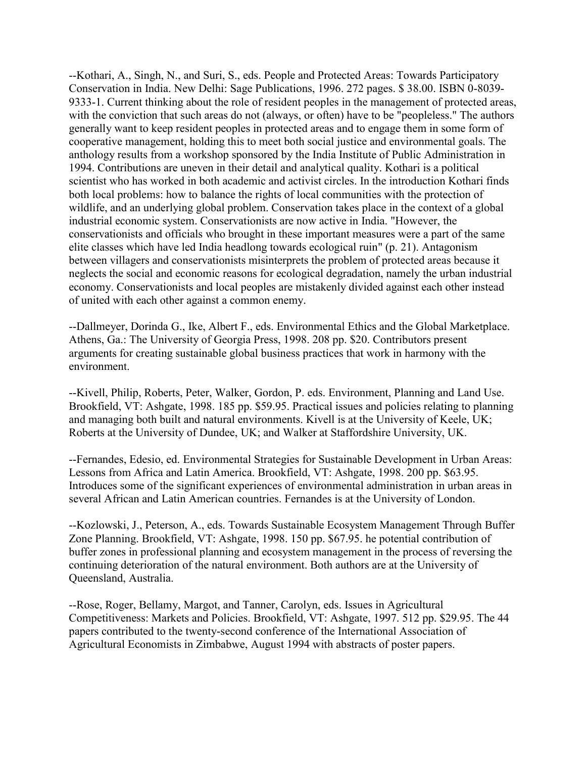--Kothari, A., Singh, N., and Suri, S., eds. People and Protected Areas: Towards Participatory Conservation in India. New Delhi: Sage Publications, 1996. 272 pages. \$ 38.00. ISBN 0-8039- 9333-1. Current thinking about the role of resident peoples in the management of protected areas, with the conviction that such areas do not (always, or often) have to be "peopleless." The authors generally want to keep resident peoples in protected areas and to engage them in some form of cooperative management, holding this to meet both social justice and environmental goals. The anthology results from a workshop sponsored by the India Institute of Public Administration in 1994. Contributions are uneven in their detail and analytical quality. Kothari is a political scientist who has worked in both academic and activist circles. In the introduction Kothari finds both local problems: how to balance the rights of local communities with the protection of wildlife, and an underlying global problem. Conservation takes place in the context of a global industrial economic system. Conservationists are now active in India. "However, the conservationists and officials who brought in these important measures were a part of the same elite classes which have led India headlong towards ecological ruin" (p. 21). Antagonism between villagers and conservationists misinterprets the problem of protected areas because it neglects the social and economic reasons for ecological degradation, namely the urban industrial economy. Conservationists and local peoples are mistakenly divided against each other instead of united with each other against a common enemy.

--Dallmeyer, Dorinda G., Ike, Albert F., eds. Environmental Ethics and the Global Marketplace. Athens, Ga.: The University of Georgia Press, 1998. 208 pp. \$20. Contributors present arguments for creating sustainable global business practices that work in harmony with the environment.

--Kivell, Philip, Roberts, Peter, Walker, Gordon, P. eds. Environment, Planning and Land Use. Brookfield, VT: Ashgate, 1998. 185 pp. \$59.95. Practical issues and policies relating to planning and managing both built and natural environments. Kivell is at the University of Keele, UK; Roberts at the University of Dundee, UK; and Walker at Staffordshire University, UK.

--Fernandes, Edesio, ed. Environmental Strategies for Sustainable Development in Urban Areas: Lessons from Africa and Latin America. Brookfield, VT: Ashgate, 1998. 200 pp. \$63.95. Introduces some of the significant experiences of environmental administration in urban areas in several African and Latin American countries. Fernandes is at the University of London.

--Kozlowski, J., Peterson, A., eds. Towards Sustainable Ecosystem Management Through Buffer Zone Planning. Brookfield, VT: Ashgate, 1998. 150 pp. \$67.95. he potential contribution of buffer zones in professional planning and ecosystem management in the process of reversing the continuing deterioration of the natural environment. Both authors are at the University of Queensland, Australia.

--Rose, Roger, Bellamy, Margot, and Tanner, Carolyn, eds. Issues in Agricultural Competitiveness: Markets and Policies. Brookfield, VT: Ashgate, 1997. 512 pp. \$29.95. The 44 papers contributed to the twenty-second conference of the International Association of Agricultural Economists in Zimbabwe, August 1994 with abstracts of poster papers.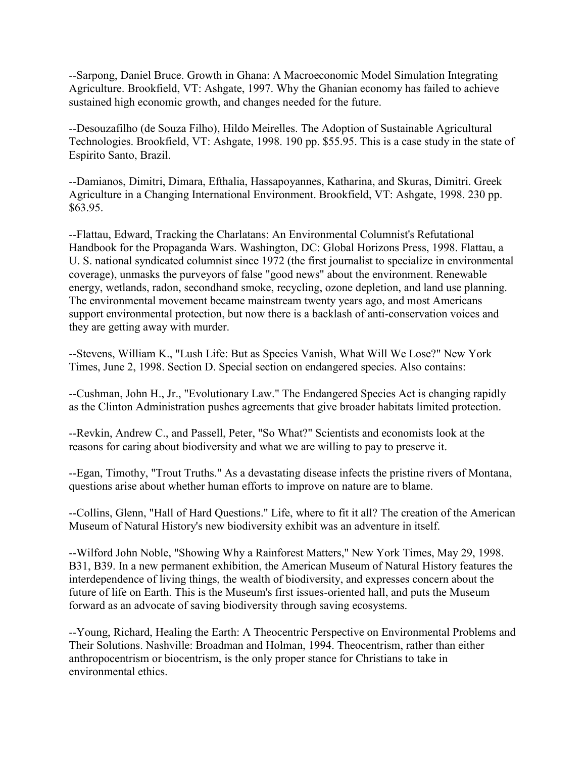--Sarpong, Daniel Bruce. Growth in Ghana: A Macroeconomic Model Simulation Integrating Agriculture. Brookfield, VT: Ashgate, 1997. Why the Ghanian economy has failed to achieve sustained high economic growth, and changes needed for the future.

--Desouzafilho (de Souza Filho), Hildo Meirelles. The Adoption of Sustainable Agricultural Technologies. Brookfield, VT: Ashgate, 1998. 190 pp. \$55.95. This is a case study in the state of Espirito Santo, Brazil.

--Damianos, Dimitri, Dimara, Efthalia, Hassapoyannes, Katharina, and Skuras, Dimitri. Greek Agriculture in a Changing International Environment. Brookfield, VT: Ashgate, 1998. 230 pp. \$63.95.

--Flattau, Edward, Tracking the Charlatans: An Environmental Columnist's Refutational Handbook for the Propaganda Wars. Washington, DC: Global Horizons Press, 1998. Flattau, a U. S. national syndicated columnist since 1972 (the first journalist to specialize in environmental coverage), unmasks the purveyors of false "good news" about the environment. Renewable energy, wetlands, radon, secondhand smoke, recycling, ozone depletion, and land use planning. The environmental movement became mainstream twenty years ago, and most Americans support environmental protection, but now there is a backlash of anti-conservation voices and they are getting away with murder.

--Stevens, William K., "Lush Life: But as Species Vanish, What Will We Lose?" New York Times, June 2, 1998. Section D. Special section on endangered species. Also contains:

--Cushman, John H., Jr., "Evolutionary Law." The Endangered Species Act is changing rapidly as the Clinton Administration pushes agreements that give broader habitats limited protection.

--Revkin, Andrew C., and Passell, Peter, "So What?" Scientists and economists look at the reasons for caring about biodiversity and what we are willing to pay to preserve it.

--Egan, Timothy, "Trout Truths." As a devastating disease infects the pristine rivers of Montana, questions arise about whether human efforts to improve on nature are to blame.

--Collins, Glenn, "Hall of Hard Questions." Life, where to fit it all? The creation of the American Museum of Natural History's new biodiversity exhibit was an adventure in itself.

--Wilford John Noble, "Showing Why a Rainforest Matters," New York Times, May 29, 1998. B31, B39. In a new permanent exhibition, the American Museum of Natural History features the interdependence of living things, the wealth of biodiversity, and expresses concern about the future of life on Earth. This is the Museum's first issues-oriented hall, and puts the Museum forward as an advocate of saving biodiversity through saving ecosystems.

--Young, Richard, Healing the Earth: A Theocentric Perspective on Environmental Problems and Their Solutions. Nashville: Broadman and Holman, 1994. Theocentrism, rather than either anthropocentrism or biocentrism, is the only proper stance for Christians to take in environmental ethics.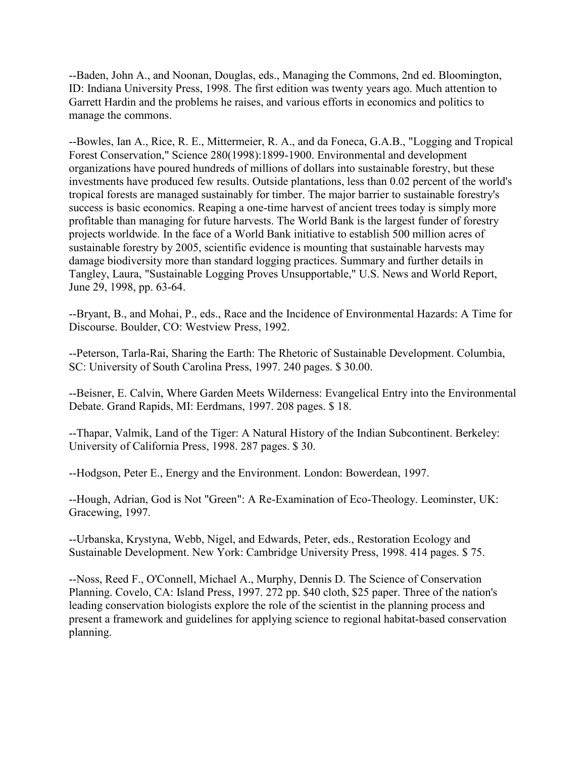--Baden, John A., and Noonan, Douglas, eds., Managing the Commons, 2nd ed. Bloomington, ID: Indiana University Press, 1998. The first edition was twenty years ago. Much attention to Garrett Hardin and the problems he raises, and various efforts in economics and politics to manage the commons.

--Bowles, Ian A., Rice, R. E., Mittermeier, R. A., and da Foneca, G.A.B., "Logging and Tropical Forest Conservation," Science 280(1998):1899-1900. Environmental and development organizations have poured hundreds of millions of dollars into sustainable forestry, but these investments have produced few results. Outside plantations, less than 0.02 percent of the world's tropical forests are managed sustainably for timber. The major barrier to sustainable forestry's success is basic economics. Reaping a one-time harvest of ancient trees today is simply more profitable than managing for future harvests. The World Bank is the largest funder of forestry projects worldwide. In the face of a World Bank initiative to establish 500 million acres of sustainable forestry by 2005, scientific evidence is mounting that sustainable harvests may damage biodiversity more than standard logging practices. Summary and further details in Tangley, Laura, "Sustainable Logging Proves Unsupportable," U.S. News and World Report, June 29, 1998, pp. 63-64.

--Bryant, B., and Mohai, P., eds., Race and the Incidence of Environmental Hazards: A Time for Discourse. Boulder, CO: Westview Press, 1992.

--Peterson, Tarla-Rai, Sharing the Earth: The Rhetoric of Sustainable Development. Columbia, SC: University of South Carolina Press, 1997. 240 pages. \$ 30.00.

--Beisner, E. Calvin, Where Garden Meets Wilderness: Evangelical Entry into the Environmental Debate. Grand Rapids, MI: Eerdmans, 1997. 208 pages. \$ 18.

--Thapar, Valmik, Land of the Tiger: A Natural History of the Indian Subcontinent. Berkeley: University of California Press, 1998. 287 pages. \$ 30.

--Hodgson, Peter E., Energy and the Environment. London: Bowerdean, 1997.

--Hough, Adrian, God is Not "Green": A Re-Examination of Eco-Theology. Leominster, UK: Gracewing, 1997.

--Urbanska, Krystyna, Webb, Nigel, and Edwards, Peter, eds., Restoration Ecology and Sustainable Development. New York: Cambridge University Press, 1998. 414 pages. \$ 75.

--Noss, Reed F., O'Connell, Michael A., Murphy, Dennis D. The Science of Conservation Planning. Covelo, CA: Island Press, 1997. 272 pp. \$40 cloth, \$25 paper. Three of the nation's leading conservation biologists explore the role of the scientist in the planning process and present a framework and guidelines for applying science to regional habitat-based conservation planning.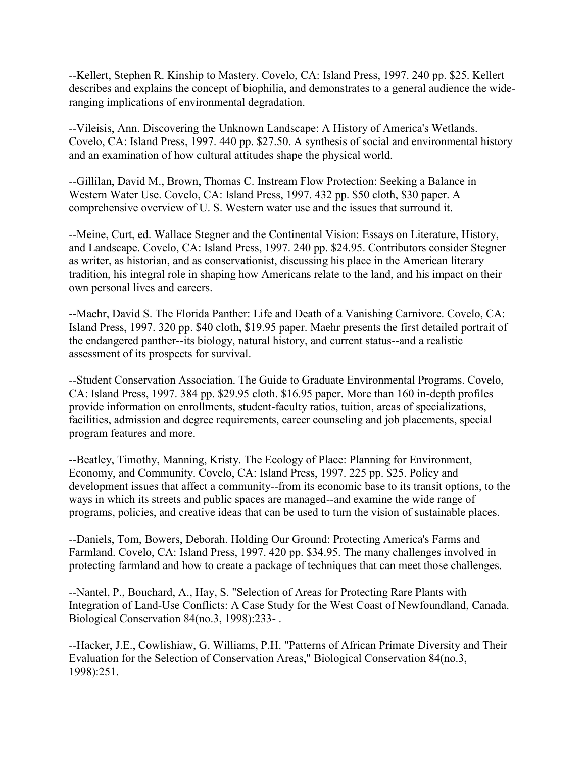--Kellert, Stephen R. Kinship to Mastery. Covelo, CA: Island Press, 1997. 240 pp. \$25. Kellert describes and explains the concept of biophilia, and demonstrates to a general audience the wideranging implications of environmental degradation.

--Vileisis, Ann. Discovering the Unknown Landscape: A History of America's Wetlands. Covelo, CA: Island Press, 1997. 440 pp. \$27.50. A synthesis of social and environmental history and an examination of how cultural attitudes shape the physical world.

--Gillilan, David M., Brown, Thomas C. Instream Flow Protection: Seeking a Balance in Western Water Use. Covelo, CA: Island Press, 1997. 432 pp. \$50 cloth, \$30 paper. A comprehensive overview of U. S. Western water use and the issues that surround it.

--Meine, Curt, ed. Wallace Stegner and the Continental Vision: Essays on Literature, History, and Landscape. Covelo, CA: Island Press, 1997. 240 pp. \$24.95. Contributors consider Stegner as writer, as historian, and as conservationist, discussing his place in the American literary tradition, his integral role in shaping how Americans relate to the land, and his impact on their own personal lives and careers.

--Maehr, David S. The Florida Panther: Life and Death of a Vanishing Carnivore. Covelo, CA: Island Press, 1997. 320 pp. \$40 cloth, \$19.95 paper. Maehr presents the first detailed portrait of the endangered panther--its biology, natural history, and current status--and a realistic assessment of its prospects for survival.

--Student Conservation Association. The Guide to Graduate Environmental Programs. Covelo, CA: Island Press, 1997. 384 pp. \$29.95 cloth. \$16.95 paper. More than 160 in-depth profiles provide information on enrollments, student-faculty ratios, tuition, areas of specializations, facilities, admission and degree requirements, career counseling and job placements, special program features and more.

--Beatley, Timothy, Manning, Kristy. The Ecology of Place: Planning for Environment, Economy, and Community. Covelo, CA: Island Press, 1997. 225 pp. \$25. Policy and development issues that affect a community--from its economic base to its transit options, to the ways in which its streets and public spaces are managed--and examine the wide range of programs, policies, and creative ideas that can be used to turn the vision of sustainable places.

--Daniels, Tom, Bowers, Deborah. Holding Our Ground: Protecting America's Farms and Farmland. Covelo, CA: Island Press, 1997. 420 pp. \$34.95. The many challenges involved in protecting farmland and how to create a package of techniques that can meet those challenges.

--Nantel, P., Bouchard, A., Hay, S. "Selection of Areas for Protecting Rare Plants with Integration of Land-Use Conflicts: A Case Study for the West Coast of Newfoundland, Canada. Biological Conservation 84(no.3, 1998):233- .

--Hacker, J.E., Cowlishiaw, G. Williams, P.H. "Patterns of African Primate Diversity and Their Evaluation for the Selection of Conservation Areas," Biological Conservation 84(no.3, 1998):251.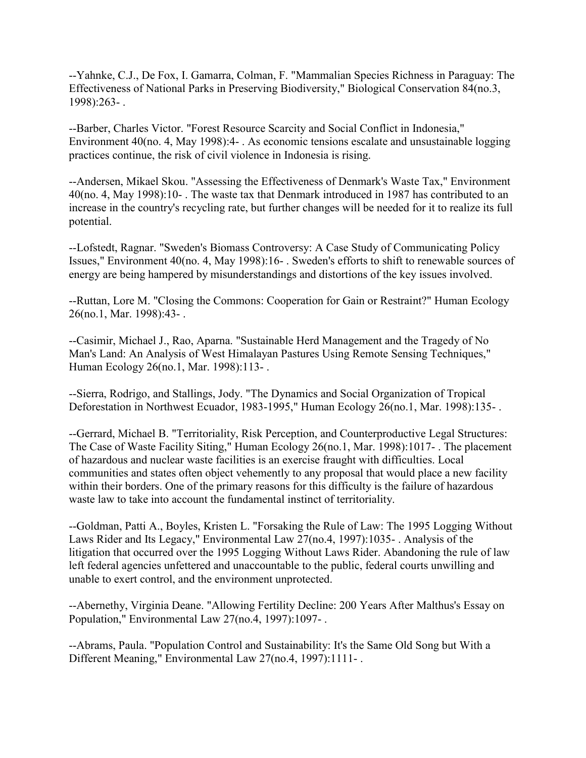--Yahnke, C.J., De Fox, I. Gamarra, Colman, F. "Mammalian Species Richness in Paraguay: The Effectiveness of National Parks in Preserving Biodiversity," Biological Conservation 84(no.3, 1998):263- .

--Barber, Charles Victor. "Forest Resource Scarcity and Social Conflict in Indonesia," Environment 40(no. 4, May 1998):4- . As economic tensions escalate and unsustainable logging practices continue, the risk of civil violence in Indonesia is rising.

--Andersen, Mikael Skou. "Assessing the Effectiveness of Denmark's Waste Tax," Environment 40(no. 4, May 1998):10- . The waste tax that Denmark introduced in 1987 has contributed to an increase in the country's recycling rate, but further changes will be needed for it to realize its full potential.

--Lofstedt, Ragnar. "Sweden's Biomass Controversy: A Case Study of Communicating Policy Issues," Environment 40(no. 4, May 1998):16- . Sweden's efforts to shift to renewable sources of energy are being hampered by misunderstandings and distortions of the key issues involved.

--Ruttan, Lore M. "Closing the Commons: Cooperation for Gain or Restraint?" Human Ecology 26(no.1, Mar. 1998):43- .

--Casimir, Michael J., Rao, Aparna. "Sustainable Herd Management and the Tragedy of No Man's Land: An Analysis of West Himalayan Pastures Using Remote Sensing Techniques," Human Ecology 26(no.1, Mar. 1998):113- .

--Sierra, Rodrigo, and Stallings, Jody. "The Dynamics and Social Organization of Tropical Deforestation in Northwest Ecuador, 1983-1995," Human Ecology 26(no.1, Mar. 1998):135- .

--Gerrard, Michael B. "Territoriality, Risk Perception, and Counterproductive Legal Structures: The Case of Waste Facility Siting," Human Ecology 26(no.1, Mar. 1998):1017- . The placement of hazardous and nuclear waste facilities is an exercise fraught with difficulties. Local communities and states often object vehemently to any proposal that would place a new facility within their borders. One of the primary reasons for this difficulty is the failure of hazardous waste law to take into account the fundamental instinct of territoriality.

--Goldman, Patti A., Boyles, Kristen L. "Forsaking the Rule of Law: The 1995 Logging Without Laws Rider and Its Legacy," Environmental Law 27(no.4, 1997):1035- . Analysis of the litigation that occurred over the 1995 Logging Without Laws Rider. Abandoning the rule of law left federal agencies unfettered and unaccountable to the public, federal courts unwilling and unable to exert control, and the environment unprotected.

--Abernethy, Virginia Deane. "Allowing Fertility Decline: 200 Years After Malthus's Essay on Population," Environmental Law 27(no.4, 1997):1097- .

--Abrams, Paula. "Population Control and Sustainability: It's the Same Old Song but With a Different Meaning," Environmental Law 27(no.4, 1997):1111- .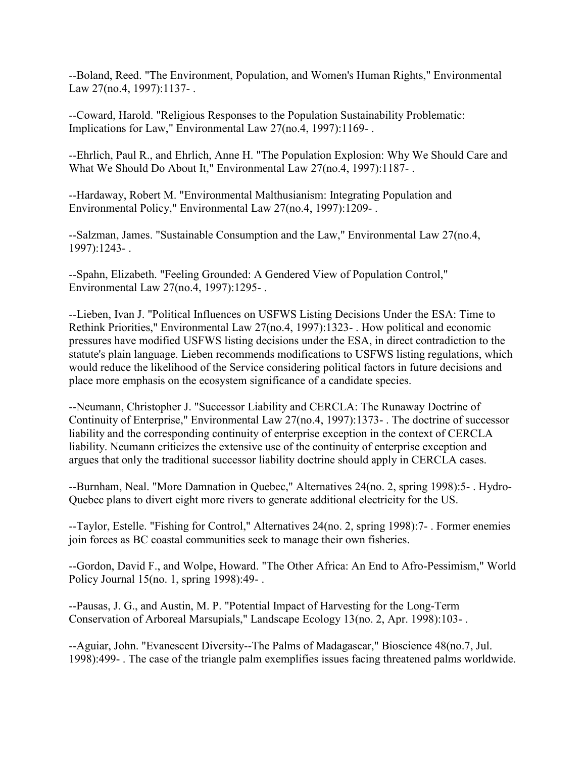--Boland, Reed. "The Environment, Population, and Women's Human Rights," Environmental Law 27(no.4, 1997):1137-.

--Coward, Harold. "Religious Responses to the Population Sustainability Problematic: Implications for Law," Environmental Law 27(no.4, 1997):1169- .

--Ehrlich, Paul R., and Ehrlich, Anne H. "The Population Explosion: Why We Should Care and What We Should Do About It," Environmental Law 27(no.4, 1997):1187- .

--Hardaway, Robert M. "Environmental Malthusianism: Integrating Population and Environmental Policy," Environmental Law 27(no.4, 1997):1209- .

--Salzman, James. "Sustainable Consumption and the Law," Environmental Law 27(no.4, 1997):1243- .

--Spahn, Elizabeth. "Feeling Grounded: A Gendered View of Population Control," Environmental Law 27(no.4, 1997):1295- .

--Lieben, Ivan J. "Political Influences on USFWS Listing Decisions Under the ESA: Time to Rethink Priorities," Environmental Law 27(no.4, 1997):1323- . How political and economic pressures have modified USFWS listing decisions under the ESA, in direct contradiction to the statute's plain language. Lieben recommends modifications to USFWS listing regulations, which would reduce the likelihood of the Service considering political factors in future decisions and place more emphasis on the ecosystem significance of a candidate species.

--Neumann, Christopher J. "Successor Liability and CERCLA: The Runaway Doctrine of Continuity of Enterprise," Environmental Law 27(no.4, 1997):1373- . The doctrine of successor liability and the corresponding continuity of enterprise exception in the context of CERCLA liability. Neumann criticizes the extensive use of the continuity of enterprise exception and argues that only the traditional successor liability doctrine should apply in CERCLA cases.

--Burnham, Neal. "More Damnation in Quebec," Alternatives 24(no. 2, spring 1998):5- . Hydro-Quebec plans to divert eight more rivers to generate additional electricity for the US.

--Taylor, Estelle. "Fishing for Control," Alternatives 24(no. 2, spring 1998):7- . Former enemies join forces as BC coastal communities seek to manage their own fisheries.

--Gordon, David F., and Wolpe, Howard. "The Other Africa: An End to Afro-Pessimism," World Policy Journal 15(no. 1, spring 1998):49- .

--Pausas, J. G., and Austin, M. P. "Potential Impact of Harvesting for the Long-Term Conservation of Arboreal Marsupials," Landscape Ecology 13(no. 2, Apr. 1998):103- .

--Aguiar, John. "Evanescent Diversity--The Palms of Madagascar," Bioscience 48(no.7, Jul. 1998):499- . The case of the triangle palm exemplifies issues facing threatened palms worldwide.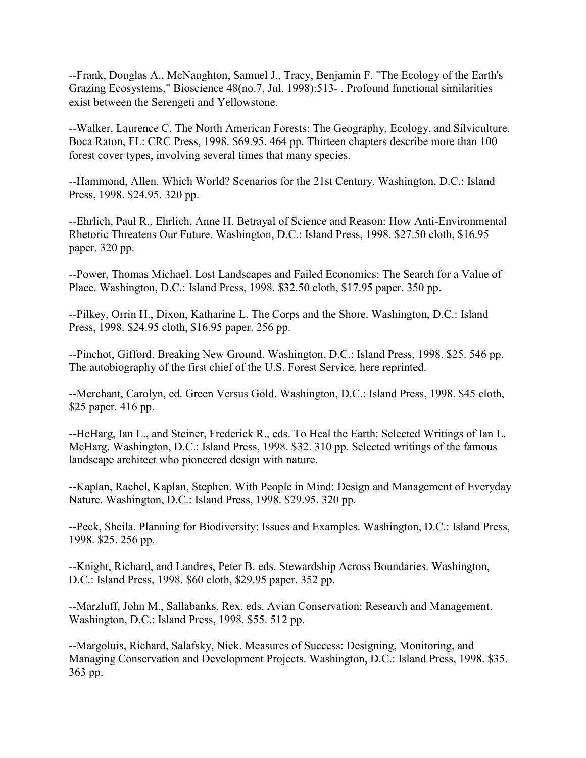--Frank, Douglas A., McNaughton, Samuel J., Tracy, Benjamin F. "The Ecology of the Earth's Grazing Ecosystems," Bioscience 48(no.7, Jul. 1998):513- . Profound functional similarities exist between the Serengeti and Yellowstone.

--Walker, Laurence C. The North American Forests: The Geography, Ecology, and Silviculture. Boca Raton, FL: CRC Press, 1998. \$69.95. 464 pp. Thirteen chapters describe more than 100 forest cover types, involving several times that many species.

--Hammond, Allen. Which World? Scenarios for the 21st Century. Washington, D.C.: Island Press, 1998. \$24.95. 320 pp.

--Ehrlich, Paul R., Ehrlich, Anne H. Betrayal of Science and Reason: How Anti-Environmental Rhetoric Threatens Our Future. Washington, D.C.: Island Press, 1998. \$27.50 cloth, \$16.95 paper. 320 pp.

--Power, Thomas Michael. Lost Landscapes and Failed Economics: The Search for a Value of Place. Washington, D.C.: Island Press, 1998. \$32.50 cloth, \$17.95 paper. 350 pp.

--Pilkey, Orrin H., Dixon, Katharine L. The Corps and the Shore. Washington, D.C.: Island Press, 1998. \$24.95 cloth, \$16.95 paper. 256 pp.

--Pinchot, Gifford. Breaking New Ground. Washington, D.C.: Island Press, 1998. \$25. 546 pp. The autobiography of the first chief of the U.S. Forest Service, here reprinted.

--Merchant, Carolyn, ed. Green Versus Gold. Washington, D.C.: Island Press, 1998. \$45 cloth, \$25 paper. 416 pp.

--HcHarg, Ian L., and Steiner, Frederick R., eds. To Heal the Earth: Selected Writings of Ian L. McHarg. Washington, D.C.: Island Press, 1998. \$32. 310 pp. Selected writings of the famous landscape architect who pioneered design with nature.

--Kaplan, Rachel, Kaplan, Stephen. With People in Mind: Design and Management of Everyday Nature. Washington, D.C.: Island Press, 1998. \$29.95. 320 pp.

--Peck, Sheila. Planning for Biodiversity: Issues and Examples. Washington, D.C.: Island Press, 1998. \$25. 256 pp.

--Knight, Richard, and Landres, Peter B. eds. Stewardship Across Boundaries. Washington, D.C.: Island Press, 1998. \$60 cloth, \$29.95 paper. 352 pp.

--Marzluff, John M., Sallabanks, Rex, eds. Avian Conservation: Research and Management. Washington, D.C.: Island Press, 1998. \$55. 512 pp.

--Margoluis, Richard, Salafsky, Nick. Measures of Success: Designing, Monitoring, and Managing Conservation and Development Projects. Washington, D.C.: Island Press, 1998. \$35. 363 pp.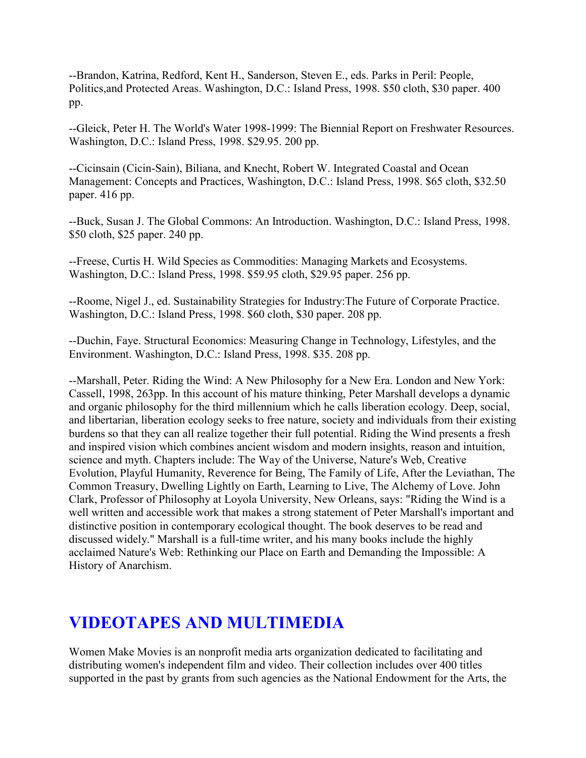--Brandon, Katrina, Redford, Kent H., Sanderson, Steven E., eds. Parks in Peril: People, Politics,and Protected Areas. Washington, D.C.: Island Press, 1998. \$50 cloth, \$30 paper. 400 pp.

--Gleick, Peter H. The World's Water 1998-1999: The Biennial Report on Freshwater Resources. Washington, D.C.: Island Press, 1998. \$29.95. 200 pp.

--Cicinsain (Cicin-Sain), Biliana, and Knecht, Robert W. Integrated Coastal and Ocean Management: Concepts and Practices, Washington, D.C.: Island Press, 1998. \$65 cloth, \$32.50 paper. 416 pp.

--Buck, Susan J. The Global Commons: An Introduction. Washington, D.C.: Island Press, 1998. \$50 cloth, \$25 paper. 240 pp.

--Freese, Curtis H. Wild Species as Commodities: Managing Markets and Ecosystems. Washington, D.C.: Island Press, 1998. \$59.95 cloth, \$29.95 paper. 256 pp.

--Roome, Nigel J., ed. Sustainability Strategies for Industry:The Future of Corporate Practice. Washington, D.C.: Island Press, 1998. \$60 cloth, \$30 paper. 208 pp.

--Duchin, Faye. Structural Economics: Measuring Change in Technology, Lifestyles, and the Environment. Washington, D.C.: Island Press, 1998. \$35. 208 pp.

--Marshall, Peter. Riding the Wind: A New Philosophy for a New Era. London and New York: Cassell, 1998, 263pp. In this account of his mature thinking, Peter Marshall develops a dynamic and organic philosophy for the third millennium which he calls liberation ecology. Deep, social, and libertarian, liberation ecology seeks to free nature, society and individuals from their existing burdens so that they can all realize together their full potential. Riding the Wind presents a fresh and inspired vision which combines ancient wisdom and modern insights, reason and intuition, science and myth. Chapters include: The Way of the Universe, Nature's Web, Creative Evolution, Playful Humanity, Reverence for Being, The Family of Life, After the Leviathan, The Common Treasury, Dwelling Lightly on Earth, Learning to Live, The Alchemy of Love. John Clark, Professor of Philosophy at Loyola University, New Orleans, says: "Riding the Wind is a well written and accessible work that makes a strong statement of Peter Marshall's important and distinctive position in contemporary ecological thought. The book deserves to be read and discussed widely." Marshall is a full-time writer, and his many books include the highly acclaimed Nature's Web: Rethinking our Place on Earth and Demanding the Impossible: A History of Anarchism.

## **VIDEOTAPES AND MULTIMEDIA**

Women Make Movies is an nonprofit media arts organization dedicated to facilitating and distributing women's independent film and video. Their collection includes over 400 titles supported in the past by grants from such agencies as the National Endowment for the Arts, the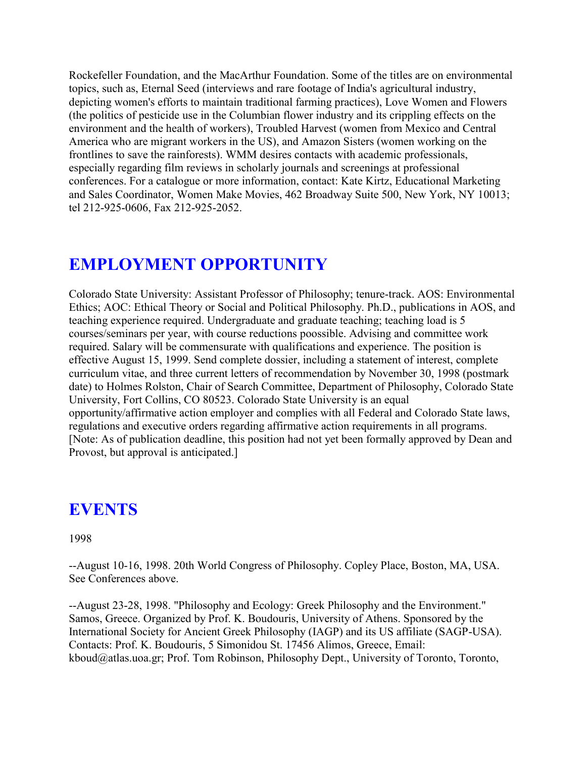Rockefeller Foundation, and the MacArthur Foundation. Some of the titles are on environmental topics, such as, Eternal Seed (interviews and rare footage of India's agricultural industry, depicting women's efforts to maintain traditional farming practices), Love Women and Flowers (the politics of pesticide use in the Columbian flower industry and its crippling effects on the environment and the health of workers), Troubled Harvest (women from Mexico and Central America who are migrant workers in the US), and Amazon Sisters (women working on the frontlines to save the rainforests). WMM desires contacts with academic professionals, especially regarding film reviews in scholarly journals and screenings at professional conferences. For a catalogue or more information, contact: Kate Kirtz, Educational Marketing and Sales Coordinator, Women Make Movies, 462 Broadway Suite 500, New York, NY 10013; tel 212-925-0606, Fax 212-925-2052.

## **EMPLOYMENT OPPORTUNITY**

Colorado State University: Assistant Professor of Philosophy; tenure-track. AOS: Environmental Ethics; AOC: Ethical Theory or Social and Political Philosophy. Ph.D., publications in AOS, and teaching experience required. Undergraduate and graduate teaching; teaching load is 5 courses/seminars per year, with course reductions poossible. Advising and committee work required. Salary will be commensurate with qualifications and experience. The position is effective August 15, 1999. Send complete dossier, including a statement of interest, complete curriculum vitae, and three current letters of recommendation by November 30, 1998 (postmark date) to Holmes Rolston, Chair of Search Committee, Department of Philosophy, Colorado State University, Fort Collins, CO 80523. Colorado State University is an equal opportunity/affirmative action employer and complies with all Federal and Colorado State laws, regulations and executive orders regarding affirmative action requirements in all programs. [Note: As of publication deadline, this position had not yet been formally approved by Dean and Provost, but approval is anticipated.]

## **EVENTS**

1998

--August 10-16, 1998. 20th World Congress of Philosophy. Copley Place, Boston, MA, USA. See Conferences above.

--August 23-28, 1998. "Philosophy and Ecology: Greek Philosophy and the Environment." Samos, Greece. Organized by Prof. K. Boudouris, University of Athens. Sponsored by the International Society for Ancient Greek Philosophy (IAGP) and its US affiliate (SAGP-USA). Contacts: Prof. K. Boudouris, 5 Simonidou St. 17456 Alimos, Greece, Email: kboud@atlas.uoa.gr; Prof. Tom Robinson, Philosophy Dept., University of Toronto, Toronto,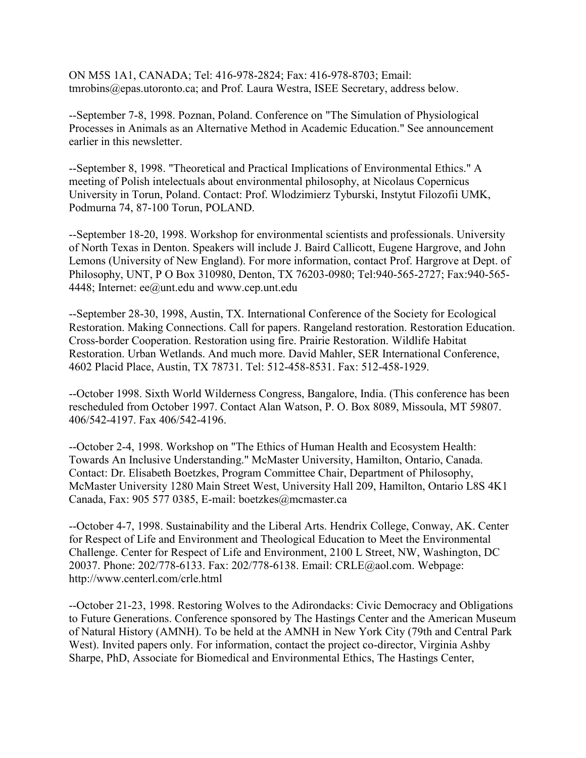ON M5S 1A1, CANADA; Tel: 416-978-2824; Fax: 416-978-8703; Email: tmrobins@epas.utoronto.ca; and Prof. Laura Westra, ISEE Secretary, address below.

--September 7-8, 1998. Poznan, Poland. Conference on "The Simulation of Physiological Processes in Animals as an Alternative Method in Academic Education." See announcement earlier in this newsletter.

--September 8, 1998. "Theoretical and Practical Implications of Environmental Ethics." A meeting of Polish intelectuals about environmental philosophy, at Nicolaus Copernicus University in Torun, Poland. Contact: Prof. Wlodzimierz Tyburski, Instytut Filozofii UMK, Podmurna 74, 87-100 Torun, POLAND.

--September 18-20, 1998. Workshop for environmental scientists and professionals. University of North Texas in Denton. Speakers will include J. Baird Callicott, Eugene Hargrove, and John Lemons (University of New England). For more information, contact Prof. Hargrove at Dept. of Philosophy, UNT, P O Box 310980, Denton, TX 76203-0980; Tel:940-565-2727; Fax:940-565- 4448; Internet: ee@unt.edu and www.cep.unt.edu

--September 28-30, 1998, Austin, TX. International Conference of the Society for Ecological Restoration. Making Connections. Call for papers. Rangeland restoration. Restoration Education. Cross-border Cooperation. Restoration using fire. Prairie Restoration. Wildlife Habitat Restoration. Urban Wetlands. And much more. David Mahler, SER International Conference, 4602 Placid Place, Austin, TX 78731. Tel: 512-458-8531. Fax: 512-458-1929.

--October 1998. Sixth World Wilderness Congress, Bangalore, India. (This conference has been rescheduled from October 1997. Contact Alan Watson, P. O. Box 8089, Missoula, MT 59807. 406/542-4197. Fax 406/542-4196.

--October 2-4, 1998. Workshop on "The Ethics of Human Health and Ecosystem Health: Towards An Inclusive Understanding." McMaster University, Hamilton, Ontario, Canada. Contact: Dr. Elisabeth Boetzkes, Program Committee Chair, Department of Philosophy, McMaster University 1280 Main Street West, University Hall 209, Hamilton, Ontario L8S 4K1 Canada, Fax: 905 577 0385, E-mail: boetzkes@mcmaster.ca

--October 4-7, 1998. Sustainability and the Liberal Arts. Hendrix College, Conway, AK. Center for Respect of Life and Environment and Theological Education to Meet the Environmental Challenge. Center for Respect of Life and Environment, 2100 L Street, NW, Washington, DC 20037. Phone: 202/778-6133. Fax: 202/778-6138. Email: CRLE@aol.com. Webpage: http://www.centerl.com/crle.html

--October 21-23, 1998. Restoring Wolves to the Adirondacks: Civic Democracy and Obligations to Future Generations. Conference sponsored by The Hastings Center and the American Museum of Natural History (AMNH). To be held at the AMNH in New York City (79th and Central Park West). Invited papers only. For information, contact the project co-director, Virginia Ashby Sharpe, PhD, Associate for Biomedical and Environmental Ethics, The Hastings Center,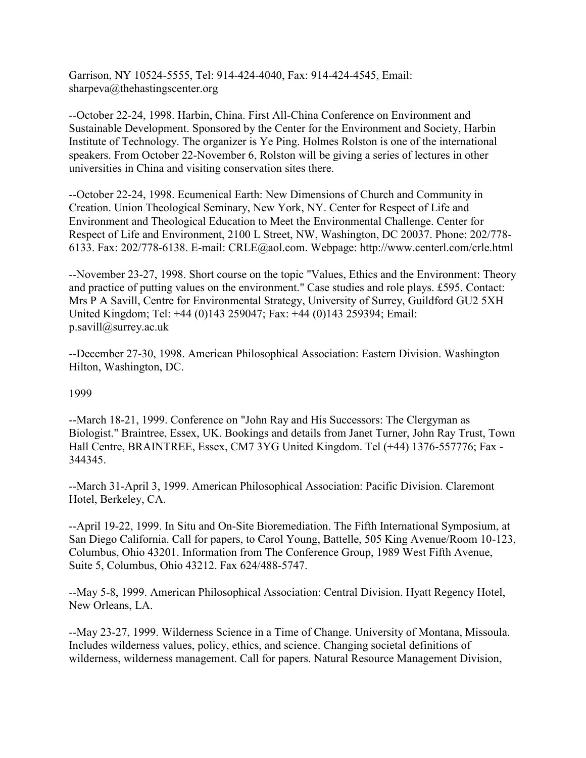Garrison, NY 10524-5555, Tel: 914-424-4040, Fax: 914-424-4545, Email: sharpeva@thehastingscenter.org

--October 22-24, 1998. Harbin, China. First All-China Conference on Environment and Sustainable Development. Sponsored by the Center for the Environment and Society, Harbin Institute of Technology. The organizer is Ye Ping. Holmes Rolston is one of the international speakers. From October 22-November 6, Rolston will be giving a series of lectures in other universities in China and visiting conservation sites there.

--October 22-24, 1998. Ecumenical Earth: New Dimensions of Church and Community in Creation. Union Theological Seminary, New York, NY. Center for Respect of Life and Environment and Theological Education to Meet the Environmental Challenge. Center for Respect of Life and Environment, 2100 L Street, NW, Washington, DC 20037. Phone: 202/778- 6133. Fax: 202/778-6138. E-mail: CRLE@aol.com. Webpage: http://www.centerl.com/crle.html

--November 23-27, 1998. Short course on the topic "Values, Ethics and the Environment: Theory and practice of putting values on the environment." Case studies and role plays. £595. Contact: Mrs P A Savill, Centre for Environmental Strategy, University of Surrey, Guildford GU2 5XH United Kingdom; Tel: +44 (0)143 259047; Fax: +44 (0)143 259394; Email: p.savill@surrey.ac.uk

--December 27-30, 1998. American Philosophical Association: Eastern Division. Washington Hilton, Washington, DC.

### 1999

--March 18-21, 1999. Conference on "John Ray and His Successors: The Clergyman as Biologist." Braintree, Essex, UK. Bookings and details from Janet Turner, John Ray Trust, Town Hall Centre, BRAINTREE, Essex, CM7 3YG United Kingdom. Tel (+44) 1376-557776; Fax - 344345.

--March 31-April 3, 1999. American Philosophical Association: Pacific Division. Claremont Hotel, Berkeley, CA.

--April 19-22, 1999. In Situ and On-Site Bioremediation. The Fifth International Symposium, at San Diego California. Call for papers, to Carol Young, Battelle, 505 King Avenue/Room 10-123, Columbus, Ohio 43201. Information from The Conference Group, 1989 West Fifth Avenue, Suite 5, Columbus, Ohio 43212. Fax 624/488-5747.

--May 5-8, 1999. American Philosophical Association: Central Division. Hyatt Regency Hotel, New Orleans, LA.

--May 23-27, 1999. Wilderness Science in a Time of Change. University of Montana, Missoula. Includes wilderness values, policy, ethics, and science. Changing societal definitions of wilderness, wilderness management. Call for papers. Natural Resource Management Division,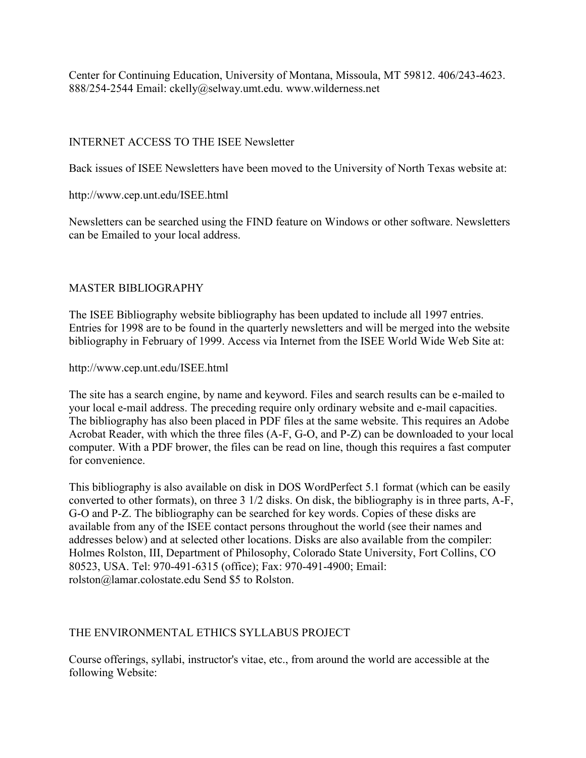Center for Continuing Education, University of Montana, Missoula, MT 59812. 406/243-4623. 888/254-2544 Email: ckelly@selway.umt.edu. www.wilderness.net

### INTERNET ACCESS TO THE ISEE Newsletter

Back issues of ISEE Newsletters have been moved to the University of North Texas website at:

### http://www.cep.unt.edu/ISEE.html

Newsletters can be searched using the FIND feature on Windows or other software. Newsletters can be Emailed to your local address.

### MASTER BIBLIOGRAPHY

The ISEE Bibliography website bibliography has been updated to include all 1997 entries. Entries for 1998 are to be found in the quarterly newsletters and will be merged into the website bibliography in February of 1999. Access via Internet from the ISEE World Wide Web Site at:

### http://www.cep.unt.edu/ISEE.html

The site has a search engine, by name and keyword. Files and search results can be e-mailed to your local e-mail address. The preceding require only ordinary website and e-mail capacities. The bibliography has also been placed in PDF files at the same website. This requires an Adobe Acrobat Reader, with which the three files (A-F, G-O, and P-Z) can be downloaded to your local computer. With a PDF brower, the files can be read on line, though this requires a fast computer for convenience.

This bibliography is also available on disk in DOS WordPerfect 5.1 format (which can be easily converted to other formats), on three 3 1/2 disks. On disk, the bibliography is in three parts, A-F, G-O and P-Z. The bibliography can be searched for key words. Copies of these disks are available from any of the ISEE contact persons throughout the world (see their names and addresses below) and at selected other locations. Disks are also available from the compiler: Holmes Rolston, III, Department of Philosophy, Colorado State University, Fort Collins, CO 80523, USA. Tel: 970-491-6315 (office); Fax: 970-491-4900; Email: rolston@lamar.colostate.edu Send \$5 to Rolston.

## THE ENVIRONMENTAL ETHICS SYLLABUS PROJECT

Course offerings, syllabi, instructor's vitae, etc., from around the world are accessible at the following Website: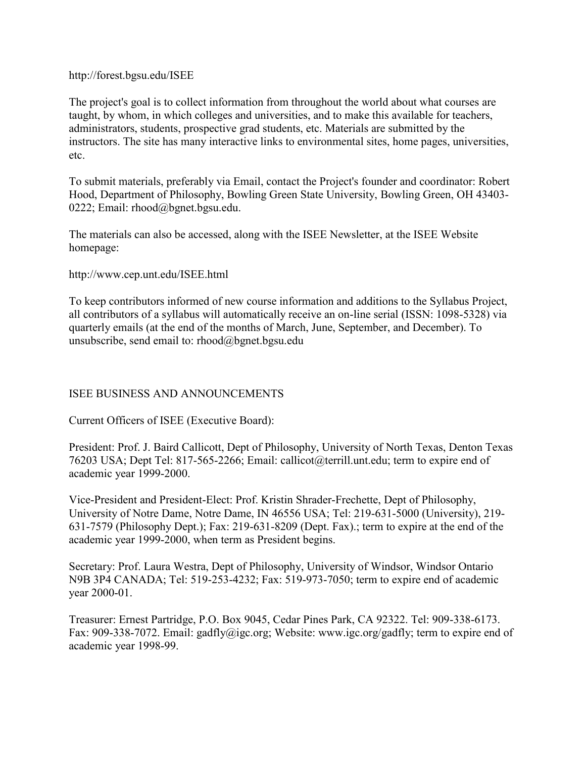#### http://forest.bgsu.edu/ISEE

The project's goal is to collect information from throughout the world about what courses are taught, by whom, in which colleges and universities, and to make this available for teachers, administrators, students, prospective grad students, etc. Materials are submitted by the instructors. The site has many interactive links to environmental sites, home pages, universities, etc.

To submit materials, preferably via Email, contact the Project's founder and coordinator: Robert Hood, Department of Philosophy, Bowling Green State University, Bowling Green, OH 43403- 0222; Email: rhood@bgnet.bgsu.edu.

The materials can also be accessed, along with the ISEE Newsletter, at the ISEE Website homepage:

http://www.cep.unt.edu/ISEE.html

To keep contributors informed of new course information and additions to the Syllabus Project, all contributors of a syllabus will automatically receive an on-line serial (ISSN: 1098-5328) via quarterly emails (at the end of the months of March, June, September, and December). To unsubscribe, send email to: rhood@bgnet.bgsu.edu

#### ISEE BUSINESS AND ANNOUNCEMENTS

Current Officers of ISEE (Executive Board):

President: Prof. J. Baird Callicott, Dept of Philosophy, University of North Texas, Denton Texas 76203 USA; Dept Tel: 817-565-2266; Email: callicot@terrill.unt.edu; term to expire end of academic year 1999-2000.

Vice-President and President-Elect: Prof. Kristin Shrader-Frechette, Dept of Philosophy, University of Notre Dame, Notre Dame, IN 46556 USA; Tel: 219-631-5000 (University), 219- 631-7579 (Philosophy Dept.); Fax: 219-631-8209 (Dept. Fax).; term to expire at the end of the academic year 1999-2000, when term as President begins.

Secretary: Prof. Laura Westra, Dept of Philosophy, University of Windsor, Windsor Ontario N9B 3P4 CANADA; Tel: 519-253-4232; Fax: 519-973-7050; term to expire end of academic year 2000-01.

Treasurer: Ernest Partridge, P.O. Box 9045, Cedar Pines Park, CA 92322. Tel: 909-338-6173. Fax: 909-338-7072. Email: gadfly@igc.org; Website: www.igc.org/gadfly; term to expire end of academic year 1998-99.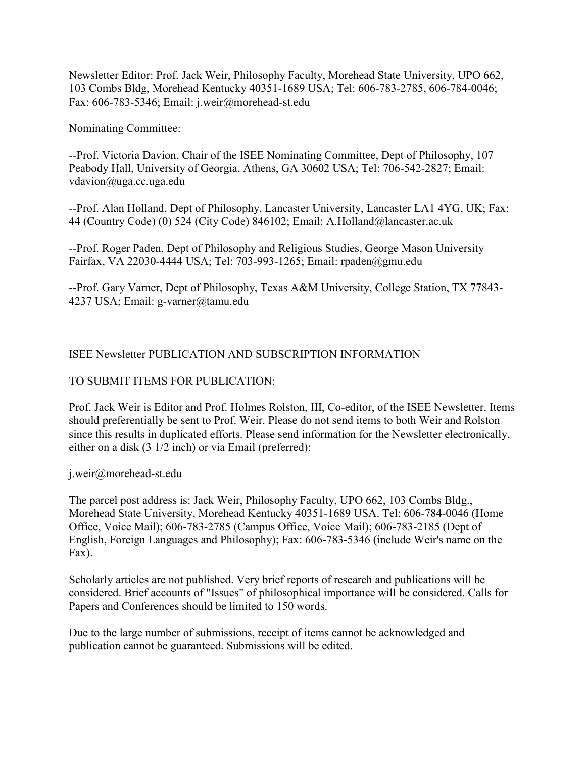Newsletter Editor: Prof. Jack Weir, Philosophy Faculty, Morehead State University, UPO 662, 103 Combs Bldg, Morehead Kentucky 40351-1689 USA; Tel: 606-783-2785, 606-784-0046; Fax: 606-783-5346; Email: j.weir@morehead-st.edu

Nominating Committee:

--Prof. Victoria Davion, Chair of the ISEE Nominating Committee, Dept of Philosophy, 107 Peabody Hall, University of Georgia, Athens, GA 30602 USA; Tel: 706-542-2827; Email: vdavion@uga.cc.uga.edu

--Prof. Alan Holland, Dept of Philosophy, Lancaster University, Lancaster LA1 4YG, UK; Fax: 44 (Country Code) (0) 524 (City Code) 846102; Email: A.Holland@lancaster.ac.uk

--Prof. Roger Paden, Dept of Philosophy and Religious Studies, George Mason University Fairfax, VA 22030-4444 USA; Tel: 703-993-1265; Email: rpaden@gmu.edu

--Prof. Gary Varner, Dept of Philosophy, Texas A&M University, College Station, TX 77843- 4237 USA; Email: g-varner@tamu.edu

### ISEE Newsletter PUBLICATION AND SUBSCRIPTION INFORMATION

### TO SUBMIT ITEMS FOR PUBLICATION:

Prof. Jack Weir is Editor and Prof. Holmes Rolston, III, Co-editor, of the ISEE Newsletter. Items should preferentially be sent to Prof. Weir. Please do not send items to both Weir and Rolston since this results in duplicated efforts. Please send information for the Newsletter electronically, either on a disk (3 1/2 inch) or via Email (preferred):

j.weir@morehead-st.edu

The parcel post address is: Jack Weir, Philosophy Faculty, UPO 662, 103 Combs Bldg., Morehead State University, Morehead Kentucky 40351-1689 USA. Tel: 606-784-0046 (Home Office, Voice Mail); 606-783-2785 (Campus Office, Voice Mail); 606-783-2185 (Dept of English, Foreign Languages and Philosophy); Fax: 606-783-5346 (include Weir's name on the Fax).

Scholarly articles are not published. Very brief reports of research and publications will be considered. Brief accounts of "Issues" of philosophical importance will be considered. Calls for Papers and Conferences should be limited to 150 words.

Due to the large number of submissions, receipt of items cannot be acknowledged and publication cannot be guaranteed. Submissions will be edited.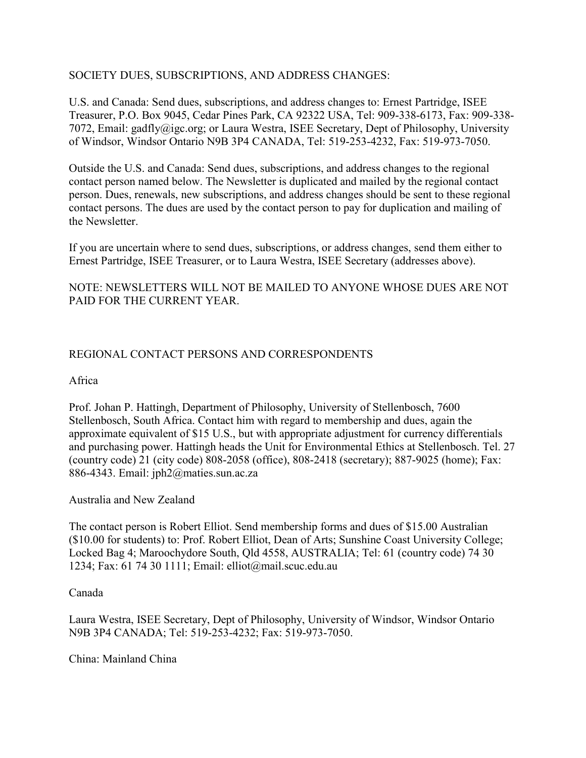#### SOCIETY DUES, SUBSCRIPTIONS, AND ADDRESS CHANGES:

U.S. and Canada: Send dues, subscriptions, and address changes to: Ernest Partridge, ISEE Treasurer, P.O. Box 9045, Cedar Pines Park, CA 92322 USA, Tel: 909-338-6173, Fax: 909-338- 7072, Email: gadfly@igc.org; or Laura Westra, ISEE Secretary, Dept of Philosophy, University of Windsor, Windsor Ontario N9B 3P4 CANADA, Tel: 519-253-4232, Fax: 519-973-7050.

Outside the U.S. and Canada: Send dues, subscriptions, and address changes to the regional contact person named below. The Newsletter is duplicated and mailed by the regional contact person. Dues, renewals, new subscriptions, and address changes should be sent to these regional contact persons. The dues are used by the contact person to pay for duplication and mailing of the Newsletter.

If you are uncertain where to send dues, subscriptions, or address changes, send them either to Ernest Partridge, ISEE Treasurer, or to Laura Westra, ISEE Secretary (addresses above).

#### NOTE: NEWSLETTERS WILL NOT BE MAILED TO ANYONE WHOSE DUES ARE NOT PAID FOR THE CURRENT YEAR.

#### REGIONAL CONTACT PERSONS AND CORRESPONDENTS

#### Africa

Prof. Johan P. Hattingh, Department of Philosophy, University of Stellenbosch, 7600 Stellenbosch, South Africa. Contact him with regard to membership and dues, again the approximate equivalent of \$15 U.S., but with appropriate adjustment for currency differentials and purchasing power. Hattingh heads the Unit for Environmental Ethics at Stellenbosch. Tel. 27 (country code) 21 (city code) 808-2058 (office), 808-2418 (secretary); 887-9025 (home); Fax: 886-4343. Email: jph2@maties.sun.ac.za

#### Australia and New Zealand

The contact person is Robert Elliot. Send membership forms and dues of \$15.00 Australian (\$10.00 for students) to: Prof. Robert Elliot, Dean of Arts; Sunshine Coast University College; Locked Bag 4; Maroochydore South, Qld 4558, AUSTRALIA; Tel: 61 (country code) 74 30 1234; Fax: 61 74 30 1111; Email: elliot@mail.scuc.edu.au

#### Canada

Laura Westra, ISEE Secretary, Dept of Philosophy, University of Windsor, Windsor Ontario N9B 3P4 CANADA; Tel: 519-253-4232; Fax: 519-973-7050.

China: Mainland China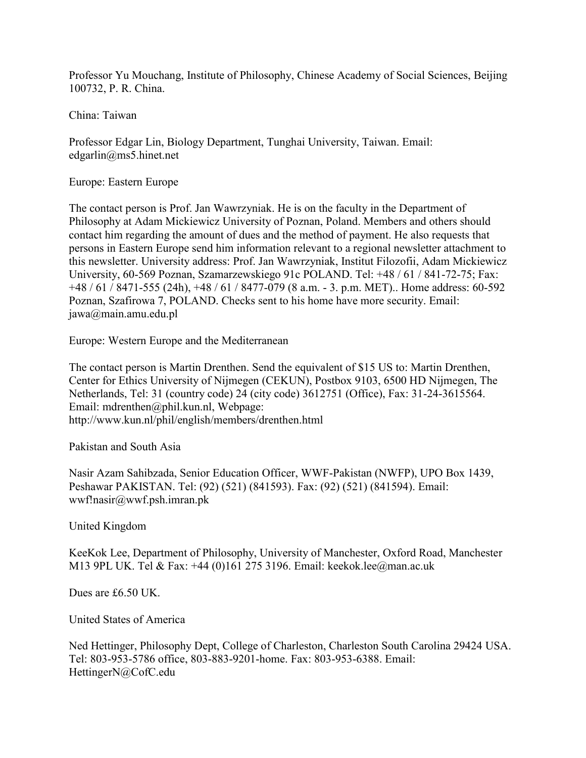Professor Yu Mouchang, Institute of Philosophy, Chinese Academy of Social Sciences, Beijing 100732, P. R. China.

China: Taiwan

Professor Edgar Lin, Biology Department, Tunghai University, Taiwan. Email: edgarlin@ms5.hinet.net

Europe: Eastern Europe

The contact person is Prof. Jan Wawrzyniak. He is on the faculty in the Department of Philosophy at Adam Mickiewicz University of Poznan, Poland. Members and others should contact him regarding the amount of dues and the method of payment. He also requests that persons in Eastern Europe send him information relevant to a regional newsletter attachment to this newsletter. University address: Prof. Jan Wawrzyniak, Institut Filozofii, Adam Mickiewicz University, 60-569 Poznan, Szamarzewskiego 91c POLAND. Tel: +48 / 61 / 841-72-75; Fax: +48 / 61 / 8471-555 (24h), +48 / 61 / 8477-079 (8 a.m. - 3. p.m. MET).. Home address: 60-592 Poznan, Szafirowa 7, POLAND. Checks sent to his home have more security. Email: jawa@main.amu.edu.pl

Europe: Western Europe and the Mediterranean

The contact person is Martin Drenthen. Send the equivalent of \$15 US to: Martin Drenthen, Center for Ethics University of Nijmegen (CEKUN), Postbox 9103, 6500 HD Nijmegen, The Netherlands, Tel: 31 (country code) 24 (city code) 3612751 (Office), Fax: 31-24-3615564. Email: mdrenthen@phil.kun.nl, Webpage: http://www.kun.nl/phil/english/members/drenthen.html

Pakistan and South Asia

Nasir Azam Sahibzada, Senior Education Officer, WWF-Pakistan (NWFP), UPO Box 1439, Peshawar PAKISTAN. Tel: (92) (521) (841593). Fax: (92) (521) (841594). Email: wwf!nasir@wwf.psh.imran.pk

United Kingdom

KeeKok Lee, Department of Philosophy, University of Manchester, Oxford Road, Manchester M13 9PL UK. Tel & Fax: +44 (0)161 275 3196. Email: keekok.lee@man.ac.uk

Dues are £6.50 UK.

United States of America

Ned Hettinger, Philosophy Dept, College of Charleston, Charleston South Carolina 29424 USA. Tel: 803-953-5786 office, 803-883-9201-home. Fax: 803-953-6388. Email: HettingerN@CofC.edu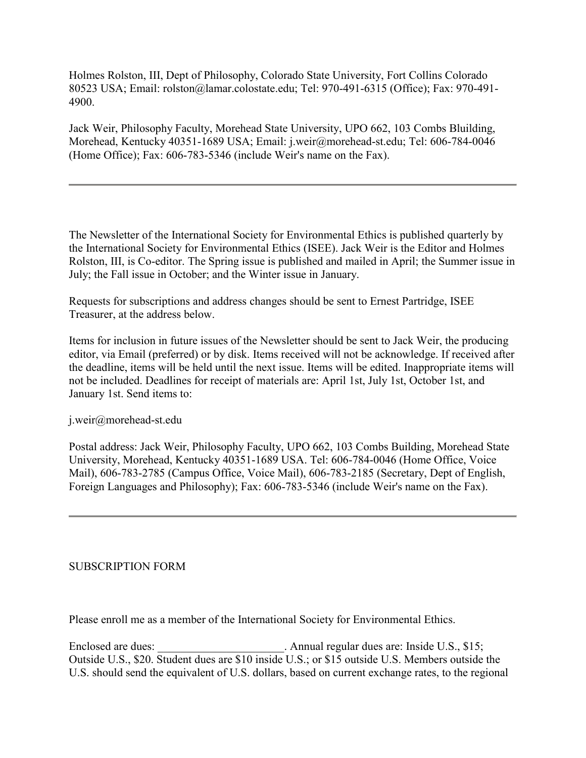Holmes Rolston, III, Dept of Philosophy, Colorado State University, Fort Collins Colorado 80523 USA; Email: rolston@lamar.colostate.edu; Tel: 970-491-6315 (Office); Fax: 970-491- 4900.

Jack Weir, Philosophy Faculty, Morehead State University, UPO 662, 103 Combs Bluilding, Morehead, Kentucky 40351-1689 USA; Email: j.weir@morehead-st.edu; Tel: 606-784-0046 (Home Office); Fax: 606-783-5346 (include Weir's name on the Fax).

The Newsletter of the International Society for Environmental Ethics is published quarterly by the International Society for Environmental Ethics (ISEE). Jack Weir is the Editor and Holmes Rolston, III, is Co-editor. The Spring issue is published and mailed in April; the Summer issue in July; the Fall issue in October; and the Winter issue in January.

Requests for subscriptions and address changes should be sent to Ernest Partridge, ISEE Treasurer, at the address below.

Items for inclusion in future issues of the Newsletter should be sent to Jack Weir, the producing editor, via Email (preferred) or by disk. Items received will not be acknowledge. If received after the deadline, items will be held until the next issue. Items will be edited. Inappropriate items will not be included. Deadlines for receipt of materials are: April 1st, July 1st, October 1st, and January 1st. Send items to:

j.weir@morehead-st.edu

Postal address: Jack Weir, Philosophy Faculty, UPO 662, 103 Combs Building, Morehead State University, Morehead, Kentucky 40351-1689 USA. Tel: 606-784-0046 (Home Office, Voice Mail), 606-783-2785 (Campus Office, Voice Mail), 606-783-2185 (Secretary, Dept of English, Foreign Languages and Philosophy); Fax: 606-783-5346 (include Weir's name on the Fax).

### SUBSCRIPTION FORM

Please enroll me as a member of the International Society for Environmental Ethics.

Enclosed are dues: \_\_\_\_\_\_\_\_\_\_\_\_\_\_\_\_\_\_\_\_\_\_\_. Annual regular dues are: Inside U.S., \$15; Outside U.S., \$20. Student dues are \$10 inside U.S.; or \$15 outside U.S. Members outside the U.S. should send the equivalent of U.S. dollars, based on current exchange rates, to the regional